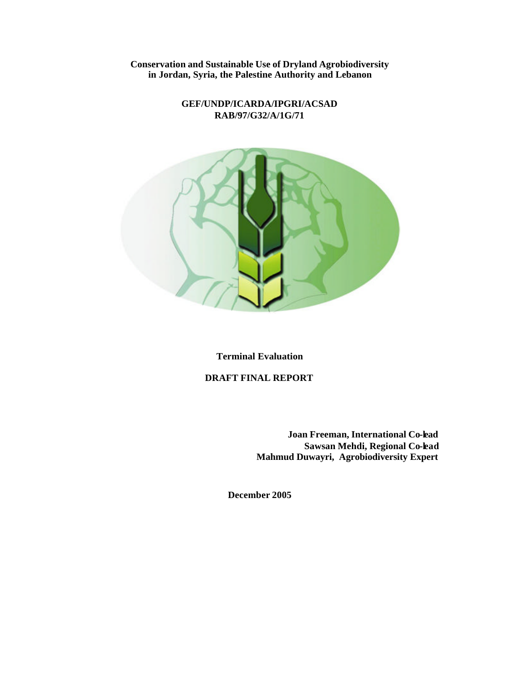**Conservation and Sustainable Use of Dryland Agrobiodiversity in Jordan, Syria, the Palestine Authority and Lebanon**

#### **GEF/UNDP/ICARDA/IPGRI/ACSAD RAB/97/G32/A/1G/71**



**Terminal Evaluation**

**DRAFT FINAL REPORT**

**Joan Freeman, International Co-lead Sawsan Mehdi, Regional Co-lead Mahmud Duwayri, Agrobiodiversity Expert**

**December 2005**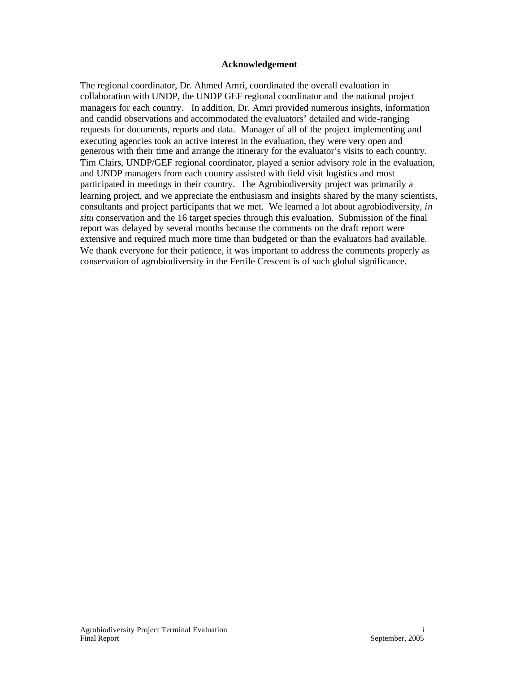#### **Acknowledgement**

The regional coordinator, Dr. Ahmed Amri, coordinated the overall evaluation in collaboration with UNDP, the UNDP GEF regional coordinator and the national project managers for each country. In addition, Dr. Amri provided numerous insights, information and candid observations and accommodated the evaluators' detailed and wide-ranging requests for documents, reports and data. Manager of all of the project implementing and executing agencies took an active interest in the evaluation, they were very open and generous with their time and arrange the itinerary for the evaluator's visits to each country. Tim Clairs, UNDP/GEF regional coordinator, played a senior advisory role in the evaluation, and UNDP managers from each country assisted with field visit logistics and most participated in meetings in their country. The Agrobiodiversity project was primarily a learning project, and we appreciate the enthusiasm and insights shared by the many scientists, consultants and project participants that we met. We learned a lot about agrobiodiversity, *in situ* conservation and the 16 target species through this evaluation. Submission of the final report was delayed by several months because the comments on the draft report were extensive and required much more time than budgeted or than the evaluators had available. We thank everyone for their patience, it was important to address the comments properly as conservation of agrobiodiversity in the Fertile Crescent is of such global significance.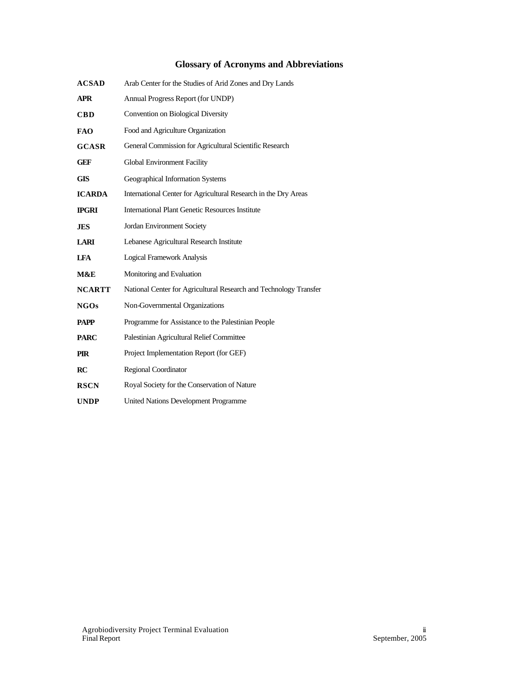# **Glossary of Acronyms and Abbreviations**

| <b>ACSAD</b>  | Arab Center for the Studies of Arid Zones and Dry Lands           |
|---------------|-------------------------------------------------------------------|
| <b>APR</b>    | Annual Progress Report (for UNDP)                                 |
| <b>CBD</b>    | Convention on Biological Diversity                                |
| <b>FAO</b>    | Food and Agriculture Organization                                 |
| <b>GCASR</b>  | General Commission for Agricultural Scientific Research           |
| <b>GEF</b>    | Global Environment Facility                                       |
| <b>GIS</b>    | Geographical Information Systems                                  |
| <b>ICARDA</b> | International Center for Agricultural Research in the Dry Areas   |
| <b>IPGRI</b>  | <b>International Plant Genetic Resources Institute</b>            |
| <b>JES</b>    | Jordan Environment Society                                        |
| <b>LARI</b>   | Lebanese Agricultural Research Institute                          |
| <b>LFA</b>    | <b>Logical Framework Analysis</b>                                 |
| M&E           | Monitoring and Evaluation                                         |
| <b>NCARTT</b> | National Center for Agricultural Research and Technology Transfer |
| <b>NGOs</b>   | Non-Governmental Organizations                                    |
| <b>PAPP</b>   | Programme for Assistance to the Palestinian People                |
| <b>PARC</b>   | Palestinian Agricultural Relief Committee                         |
| <b>PIR</b>    | Project Implementation Report (for GEF)                           |
| RC            | <b>Regional Coordinator</b>                                       |
| <b>RSCN</b>   | Royal Society for the Conservation of Nature                      |
| <b>UNDP</b>   | United Nations Development Programme                              |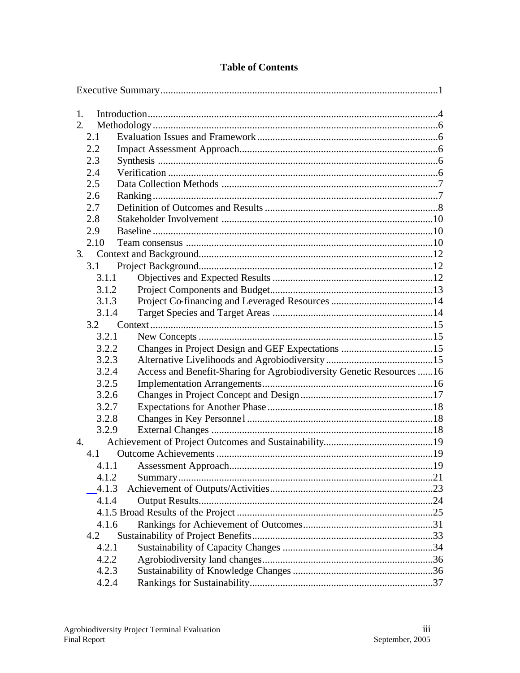| $\mathbf{1}$ . |                                                                       |  |
|----------------|-----------------------------------------------------------------------|--|
| 2.             |                                                                       |  |
| 2.1            |                                                                       |  |
| 2.2            |                                                                       |  |
| 2.3            |                                                                       |  |
| 2.4            |                                                                       |  |
| 2.5            |                                                                       |  |
| 2.6            |                                                                       |  |
| 2.7            |                                                                       |  |
| 2.8            |                                                                       |  |
| 2.9            |                                                                       |  |
| 2.10           |                                                                       |  |
| 3.             |                                                                       |  |
| 3.1            |                                                                       |  |
| 3.1.1          |                                                                       |  |
| 3.1.2          |                                                                       |  |
| 3.1.3          |                                                                       |  |
| 3.1.4          |                                                                       |  |
| 3.2            |                                                                       |  |
| 3.2.1          |                                                                       |  |
| 3.2.2          |                                                                       |  |
| 3.2.3          |                                                                       |  |
| 3.2.4          | Access and Benefit-Sharing for Agrobiodiversity Genetic Resources  16 |  |
| 3.2.5          |                                                                       |  |
| 3.2.6          |                                                                       |  |
| 3.2.7          |                                                                       |  |
| 3.2.8          |                                                                       |  |
| 3.2.9          |                                                                       |  |
| 4.             |                                                                       |  |
| 4.1            |                                                                       |  |
|                |                                                                       |  |
| 4.1.2          |                                                                       |  |
| 4.1.3          |                                                                       |  |
| 4.1.4          |                                                                       |  |
|                |                                                                       |  |
| 4.1.6          |                                                                       |  |
| 4.2            |                                                                       |  |
| 4.2.1          |                                                                       |  |
| 4.2.2          |                                                                       |  |
| 4.2.3          |                                                                       |  |
| 4.2.4          |                                                                       |  |

# **Table of Contents**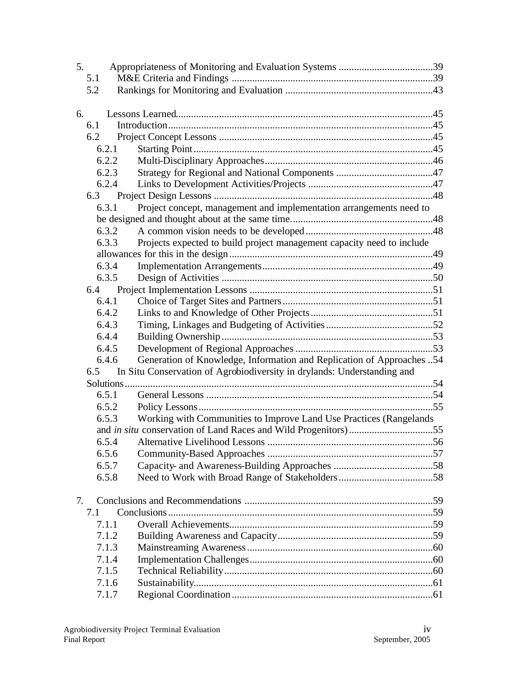| 5. |       |                                                                             |  |
|----|-------|-----------------------------------------------------------------------------|--|
|    | 5.1   |                                                                             |  |
|    | 5.2   |                                                                             |  |
| 6. |       |                                                                             |  |
|    | 6.1   |                                                                             |  |
|    | 6.2   |                                                                             |  |
|    | 6.2.1 |                                                                             |  |
|    | 6.2.2 |                                                                             |  |
|    | 6.2.3 |                                                                             |  |
|    | 6.2.4 |                                                                             |  |
|    | 6.3   |                                                                             |  |
|    | 6.3.1 | Project concept, management and implementation arrangements need to         |  |
|    |       |                                                                             |  |
|    | 6.3.2 |                                                                             |  |
|    | 6.3.3 | Projects expected to build project management capacity need to include      |  |
|    |       |                                                                             |  |
|    | 6.3.4 |                                                                             |  |
|    | 6.3.5 |                                                                             |  |
|    |       |                                                                             |  |
|    | 6.4.1 |                                                                             |  |
|    | 6.4.2 |                                                                             |  |
|    | 6.4.3 |                                                                             |  |
|    | 6.4.4 |                                                                             |  |
|    | 6.4.5 |                                                                             |  |
|    | 6.4.6 | Generation of Knowledge, Information and Replication of Approaches 54       |  |
|    |       | 6.5 In Situ Conservation of Agrobiodiversity in drylands: Understanding and |  |
|    |       |                                                                             |  |
|    | 6.5.1 |                                                                             |  |
|    | 6.5.2 |                                                                             |  |
|    | 6.5.3 | Working with Communities to Improve Land Use Practices (Rangelands          |  |
|    |       |                                                                             |  |
|    | 6.5.4 |                                                                             |  |
|    | 6.5.6 |                                                                             |  |
|    | 6.5.7 |                                                                             |  |
|    | 6.5.8 |                                                                             |  |
| 7. |       |                                                                             |  |
|    | 7.1   |                                                                             |  |
|    | 7.1.1 |                                                                             |  |
|    | 7.1.2 |                                                                             |  |
|    | 7.1.3 |                                                                             |  |
|    | 7.1.4 |                                                                             |  |
|    | 7.1.5 |                                                                             |  |
|    | 7.1.6 |                                                                             |  |
|    | 7.1.7 |                                                                             |  |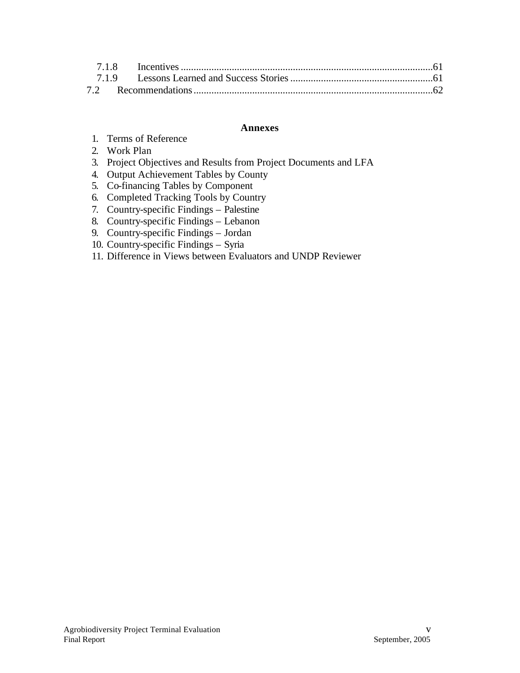#### **Annexes**

- 1. Terms of Reference
- 2. Work Plan
- 3. Project Objectives and Results from Project Documents and LFA
- 4. Output Achievement Tables by County
- 5. Co-financing Tables by Component
- 6. Completed Tracking Tools by Country
- 7. Country-specific Findings Palestine
- 8. Country-specific Findings Lebanon
- 9. Country-specific Findings Jordan
- 10. Country-specific Findings Syria
- 11. Difference in Views between Evaluators and UNDP Reviewer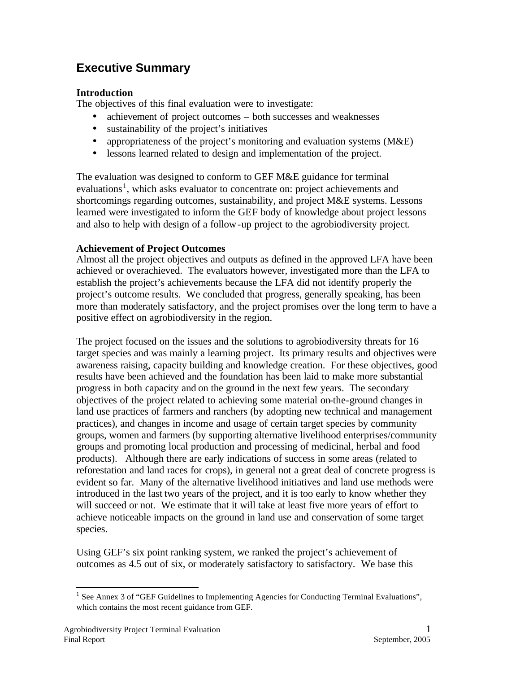# **Executive Summary**

## **Introduction**

The objectives of this final evaluation were to investigate:

- achievement of project outcomes both successes and weaknesses
- sustainability of the project's initiatives
- appropriateness of the project's monitoring and evaluation systems (M&E)
- lessons learned related to design and implementation of the project.

The evaluation was designed to conform to GEF M&E guidance for terminal evaluations<sup>1</sup>, which asks evaluator to concentrate on: project achievements and shortcomings regarding outcomes, sustainability, and project M&E systems. Lessons learned were investigated to inform the GEF body of knowledge about project lessons and also to help with design of a follow-up project to the agrobiodiversity project.

## **Achievement of Project Outcomes**

Almost all the project objectives and outputs as defined in the approved LFA have been achieved or overachieved. The evaluators however, investigated more than the LFA to establish the project's achievements because the LFA did not identify properly the project's outcome results. We concluded that progress, generally speaking, has been more than moderately satisfactory, and the project promises over the long term to have a positive effect on agrobiodiversity in the region.

The project focused on the issues and the solutions to agrobiodiversity threats for 16 target species and was mainly a learning project. Its primary results and objectives were awareness raising, capacity building and knowledge creation. For these objectives, good results have been achieved and the foundation has been laid to make more substantial progress in both capacity and on the ground in the next few years. The secondary objectives of the project related to achieving some material on-the-ground changes in land use practices of farmers and ranchers (by adopting new technical and management practices), and changes in income and usage of certain target species by community groups, women and farmers (by supporting alternative livelihood enterprises/community groups and promoting local production and processing of medicinal, herbal and food products). Although there are early indications of success in some areas (related to reforestation and land races for crops), in general not a great deal of concrete progress is evident so far. Many of the alternative livelihood initiatives and land use methods were introduced in the last two years of the project, and it is too early to know whether they will succeed or not. We estimate that it will take at least five more years of effort to achieve noticeable impacts on the ground in land use and conservation of some target species.

Using GEF's six point ranking system, we ranked the project's achievement of outcomes as 4.5 out of six, or moderately satisfactory to satisfactory. We base this

<sup>&</sup>lt;sup>1</sup> See Annex 3 of "GEF Guidelines to Implementing Agencies for Conducting Terminal Evaluations", which contains the most recent guidance from GEF.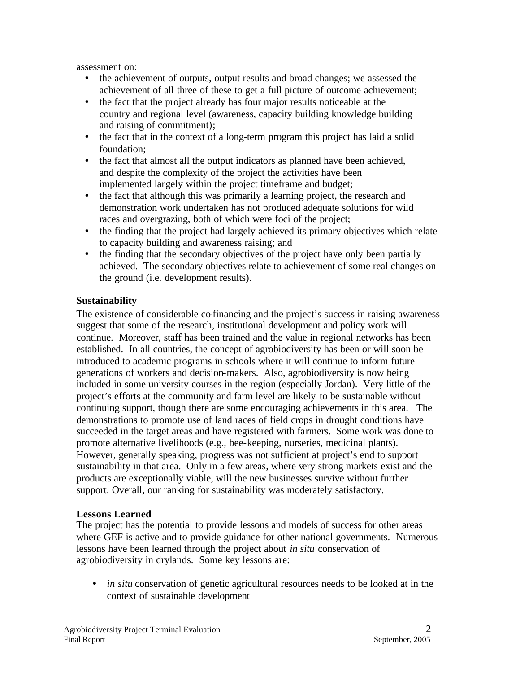assessment on:

- the achievement of outputs, output results and broad changes; we assessed the achievement of all three of these to get a full picture of outcome achievement;
- the fact that the project already has four major results noticeable at the country and regional level (awareness, capacity building knowledge building and raising of commitment);
- the fact that in the context of a long-term program this project has laid a solid foundation;
- the fact that almost all the output indicators as planned have been achieved, and despite the complexity of the project the activities have been implemented largely within the project timeframe and budget;
- the fact that although this was primarily a learning project, the research and demonstration work undertaken has not produced adequate solutions for wild races and overgrazing, both of which were foci of the project;
- the finding that the project had largely achieved its primary objectives which relate to capacity building and awareness raising; and
- the finding that the secondary objectives of the project have only been partially achieved. The secondary objectives relate to achievement of some real changes on the ground (i.e. development results).

#### **Sustainability**

The existence of considerable co-financing and the project's success in raising awareness suggest that some of the research, institutional development and policy work will continue. Moreover, staff has been trained and the value in regional networks has been established. In all countries, the concept of agrobiodiversity has been or will soon be introduced to academic programs in schools where it will continue to inform future generations of workers and decision-makers. Also, agrobiodiversity is now being included in some university courses in the region (especially Jordan). Very little of the project's efforts at the community and farm level are likely to be sustainable without continuing support, though there are some encouraging achievements in this area. The demonstrations to promote use of land races of field crops in drought conditions have succeeded in the target areas and have registered with farmers. Some work was done to promote alternative livelihoods (e.g., bee-keeping, nurseries, medicinal plants). However, generally speaking, progress was not sufficient at project's end to support sustainability in that area. Only in a few areas, where very strong markets exist and the products are exceptionally viable, will the new businesses survive without further support. Overall, our ranking for sustainability was moderately satisfactory.

#### **Lessons Learned**

The project has the potential to provide lessons and models of success for other areas where GEF is active and to provide guidance for other national governments. Numerous lessons have been learned through the project about *in situ* conservation of agrobiodiversity in drylands. Some key lessons are:

• *in situ* conservation of genetic agricultural resources needs to be looked at in the context of sustainable development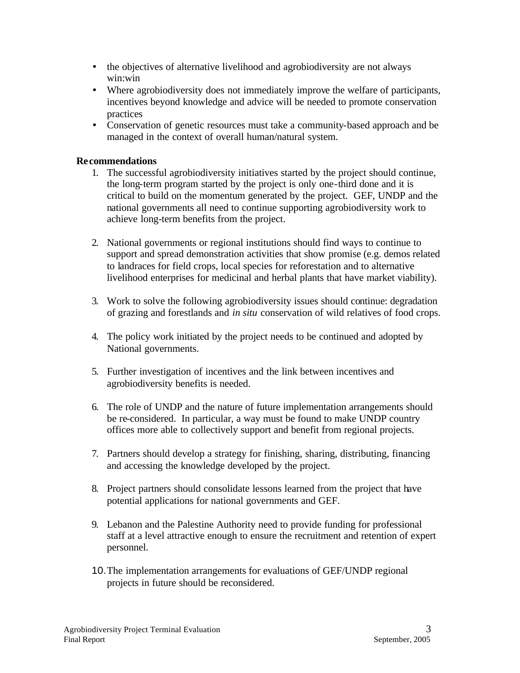- the objectives of alternative livelihood and agrobiodiversity are not always win:win
- Where agrobiodiversity does not immediately improve the welfare of participants, incentives beyond knowledge and advice will be needed to promote conservation practices
- Conservation of genetic resources must take a community-based approach and be managed in the context of overall human/natural system.

#### **Recommendations**

- 1. The successful agrobiodiversity initiatives started by the project should continue, the long-term program started by the project is only one-third done and it is critical to build on the momentum generated by the project. GEF, UNDP and the national governments all need to continue supporting agrobiodiversity work to achieve long-term benefits from the project.
- 2. National governments or regional institutions should find ways to continue to support and spread demonstration activities that show promise (e.g. demos related to landraces for field crops, local species for reforestation and to alternative livelihood enterprises for medicinal and herbal plants that have market viability).
- 3. Work to solve the following agrobiodiversity issues should continue: degradation of grazing and forestlands and *in situ* conservation of wild relatives of food crops.
- 4. The policy work initiated by the project needs to be continued and adopted by National governments.
- 5. Further investigation of incentives and the link between incentives and agrobiodiversity benefits is needed.
- 6. The role of UNDP and the nature of future implementation arrangements should be re-considered. In particular, a way must be found to make UNDP country offices more able to collectively support and benefit from regional projects.
- 7. Partners should develop a strategy for finishing, sharing, distributing, financing and accessing the knowledge developed by the project.
- 8. Project partners should consolidate lessons learned from the project that have potential applications for national governments and GEF.
- 9. Lebanon and the Palestine Authority need to provide funding for professional staff at a level attractive enough to ensure the recruitment and retention of expert personnel.
- 10.The implementation arrangements for evaluations of GEF/UNDP regional projects in future should be reconsidered.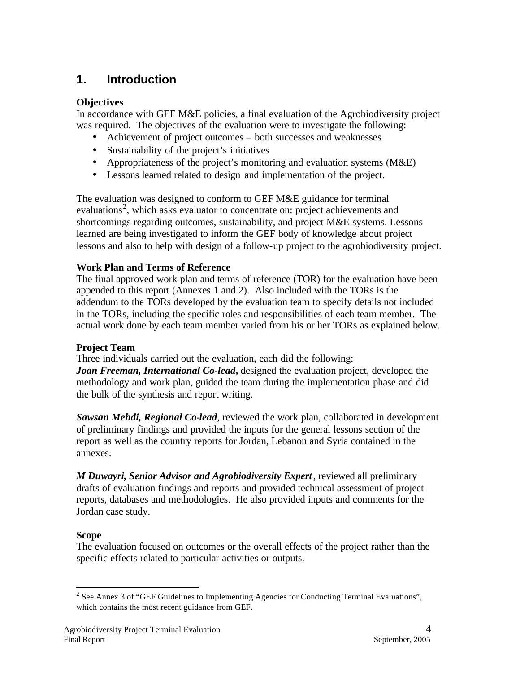# **1. Introduction**

## **Objectives**

In accordance with GEF M&E policies, a final evaluation of the Agrobiodiversity project was required. The objectives of the evaluation were to investigate the following:

- Achievement of project outcomes both successes and weaknesses
- Sustainability of the project's initiatives
- Appropriateness of the project's monitoring and evaluation systems (M&E)
- Lessons learned related to design and implementation of the project.

The evaluation was designed to conform to GEF M&E guidance for terminal evaluations<sup>2</sup>, which asks evaluator to concentrate on: project achievements and shortcomings regarding outcomes, sustainability, and project M&E systems. Lessons learned are being investigated to inform the GEF body of knowledge about project lessons and also to help with design of a follow-up project to the agrobiodiversity project.

## **Work Plan and Terms of Reference**

The final approved work plan and terms of reference (TOR) for the evaluation have been appended to this report (Annexes 1 and 2). Also included with the TORs is the addendum to the TORs developed by the evaluation team to specify details not included in the TORs, including the specific roles and responsibilities of each team member. The actual work done by each team member varied from his or her TORs as explained below.

## **Project Team**

Three individuals carried out the evaluation, each did the following:

*Joan Freeman, International Co-lead***,** designed the evaluation project, developed the methodology and work plan, guided the team during the implementation phase and did the bulk of the synthesis and report writing.

**Sawsan Mehdi, Regional Co-lead**, reviewed the work plan, collaborated in development of preliminary findings and provided the inputs for the general lessons section of the report as well as the country reports for Jordan, Lebanon and Syria contained in the annexes.

*M Duwayri, Senior Advisor and Agrobiodiversity Expert*, reviewed all preliminary drafts of evaluation findings and reports and provided technical assessment of project reports, databases and methodologies. He also provided inputs and comments for the Jordan case study.

## **Scope**

The evaluation focused on outcomes or the overall effects of the project rather than the specific effects related to particular activities or outputs.

 $\overline{a}$ <sup>2</sup> See Annex 3 of "GEF Guidelines to Implementing Agencies for Conducting Terminal Evaluations", which contains the most recent guidance from GEF.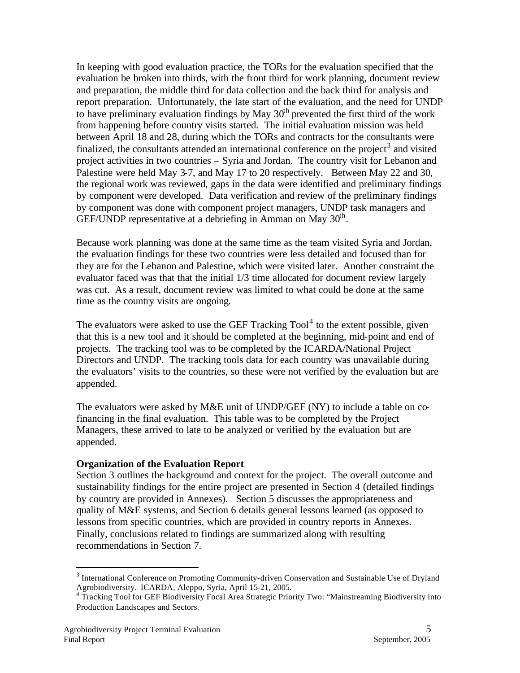In keeping with good evaluation practice, the TORs for the evaluation specified that the evaluation be broken into thirds, with the front third for work planning, document review and preparation, the middle third for data collection and the back third for analysis and report preparation. Unfortunately, the late start of the evaluation, and the need for UNDP to have preliminary evaluation findings by May  $30<sup>th</sup>$  prevented the first third of the work from happening before country visits started. The initial evaluation mission was held between April 18 and 28, during which the TORs and contracts for the consultants were finalized, the consultants attended an international conference on the project<sup>3</sup> and visited project activities in two countries – Syria and Jordan. The country visit for Lebanon and Palestine were held May 3-7, and May 17 to 20 respectively. Between May 22 and 30, the regional work was reviewed, gaps in the data were identified and preliminary findings by component were developed. Data verification and review of the preliminary findings by component was done with component project managers, UNDP task managers and GEF/UNDP representative at a debriefing in Amman on May  $30<sup>th</sup>$ .

Because work planning was done at the same time as the team visited Syria and Jordan, the evaluation findings for these two countries were less detailed and focused than for they are for the Lebanon and Palestine, which were visited later. Another constraint the evaluator faced was that that the initial 1/3 time allocated for document review largely was cut. As a result, document review was limited to what could be done at the same time as the country visits are ongoing.

The evaluators were asked to use the GEF Tracking  $Tool<sup>4</sup>$  to the extent possible, given that this is a new tool and it should be completed at the beginning, mid-point and end of projects. The tracking tool was to be completed by the ICARDA/National Project Directors and UNDP. The tracking tools data for each country was unavailable during the evaluators' visits to the countries, so these were not verified by the evaluation but are appended.

The evaluators were asked by M&E unit of UNDP/GEF (NY) to include a table on cofinancing in the final evaluation. This table was to be completed by the Project Managers, these arrived to late to be analyzed or verified by the evaluation but are appended.

#### **Organization of the Evaluation Report**

Section 3 outlines the background and context for the project. The overall outcome and sustainability findings for the entire project are presented in Section 4 (detailed findings by country are provided in Annexes). Section 5 discusses the appropriateness and quality of M&E systems, and Section 6 details general lessons learned (as opposed to lessons from specific countries, which are provided in country reports in Annexes. Finally, conclusions related to findings are summarized along with resulting recommendations in Section 7.

<sup>&</sup>lt;sup>3</sup> International Conference on Promoting Community-driven Conservation and Sustainable Use of Dryland Agrobiodiversity.ICARDA, Aleppo, Syria, April 15-21, 2005. 4 Tracking Tool for GEF Biodiversity Focal Area Strategic Priority Two: "Mainstreaming Biodiversity into

Production Landscapes and Sectors.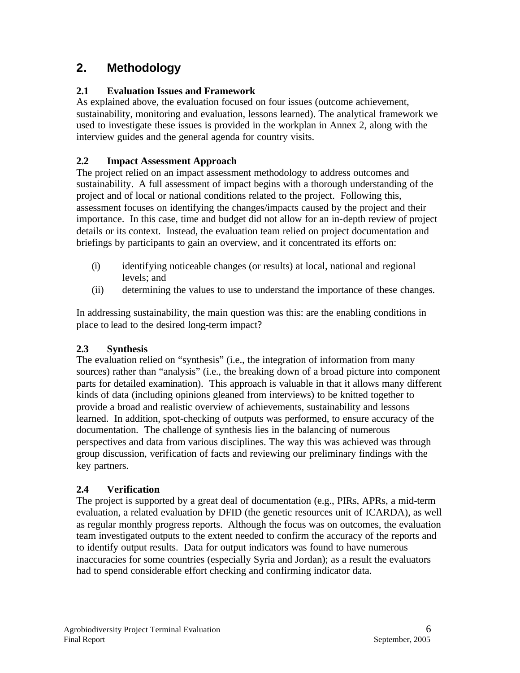# **2. Methodology**

# **2.1 Evaluation Issues and Framework**

As explained above, the evaluation focused on four issues (outcome achievement, sustainability, monitoring and evaluation, lessons learned). The analytical framework we used to investigate these issues is provided in the workplan in Annex 2, along with the interview guides and the general agenda for country visits.

## **2.2 Impact Assessment Approach**

The project relied on an impact assessment methodology to address outcomes and sustainability. A full assessment of impact begins with a thorough understanding of the project and of local or national conditions related to the project. Following this, assessment focuses on identifying the changes/impacts caused by the project and their importance. In this case, time and budget did not allow for an in-depth review of project details or its context. Instead, the evaluation team relied on project documentation and briefings by participants to gain an overview, and it concentrated its efforts on:

- (i) identifying noticeable changes (or results) at local, national and regional levels; and
- (ii) determining the values to use to understand the importance of these changes.

In addressing sustainability, the main question was this: are the enabling conditions in place to lead to the desired long-term impact?

# **2.3 Synthesis**

The evaluation relied on "synthesis" (i.e., the integration of information from many sources) rather than "analysis" (i.e., the breaking down of a broad picture into component parts for detailed examination). This approach is valuable in that it allows many different kinds of data (including opinions gleaned from interviews) to be knitted together to provide a broad and realistic overview of achievements, sustainability and lessons learned. In addition, spot-checking of outputs was performed, to ensure accuracy of the documentation. The challenge of synthesis lies in the balancing of numerous perspectives and data from various disciplines. The way this was achieved was through group discussion, verification of facts and reviewing our preliminary findings with the key partners.

# **2.4 Verification**

The project is supported by a great deal of documentation (e.g., PIRs, APRs, a mid-term evaluation, a related evaluation by DFID (the genetic resources unit of ICARDA), as well as regular monthly progress reports. Although the focus was on outcomes, the evaluation team investigated outputs to the extent needed to confirm the accuracy of the reports and to identify output results. Data for output indicators was found to have numerous inaccuracies for some countries (especially Syria and Jordan); as a result the evaluators had to spend considerable effort checking and confirming indicator data.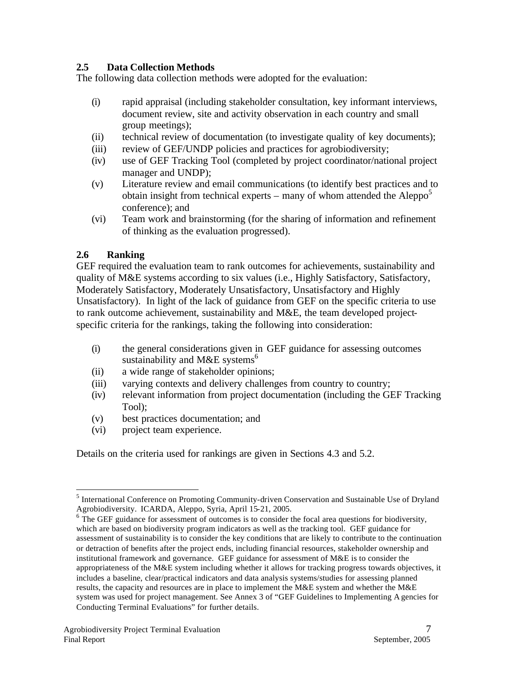## **2.5 Data Collection Methods**

The following data collection methods were adopted for the evaluation:

- (i) rapid appraisal (including stakeholder consultation, key informant interviews, document review, site and activity observation in each country and small group meetings);
- (ii) technical review of documentation (to investigate quality of key documents);
- (iii) review of GEF/UNDP policies and practices for agrobiodiversity;
- (iv) use of GEF Tracking Tool (completed by project coordinator/national project manager and UNDP);
- (v) Literature review and email communications (to identify best practices and to obtain insight from technical experts – many of whom attended the Aleppo<sup>5</sup> conference); and
- (vi) Team work and brainstorming (for the sharing of information and refinement of thinking as the evaluation progressed).

## **2.6 Ranking**

 $\overline{a}$ 

GEF required the evaluation team to rank outcomes for achievements, sustainability and quality of M&E systems according to six values (i.e., Highly Satisfactory, Satisfactory, Moderately Satisfactory, Moderately Unsatisfactory, Unsatisfactory and Highly Unsatisfactory). In light of the lack of guidance from GEF on the specific criteria to use to rank outcome achievement, sustainability and M&E, the team developed projectspecific criteria for the rankings, taking the following into consideration:

- (i) the general considerations given in GEF guidance for assessing outcomes sustainability and M&E systems<sup>6</sup>
- (ii) a wide range of stakeholder opinions;
- (iii) varying contexts and delivery challenges from country to country;
- (iv) relevant information from project documentation (including the GEF Tracking Tool);
- (v) best practices documentation; and
- (vi) project team experience.

Details on the criteria used for rankings are given in Sections 4.3 and 5.2.

<sup>&</sup>lt;sup>5</sup> International Conference on Promoting Community-driven Conservation and Sustainable Use of Dryland Agrobiodiversity.ICARDA, Aleppo, Syria, April 15-21, 2005.

<sup>&</sup>lt;sup>6</sup> The GEF guidance for assessment of outcomes is to consider the focal area questions for biodiversity, which are based on biodiversity program indicators as well as the tracking tool. GEF guidance for assessment of sustainability is to consider the key conditions that are likely to contribute to the continuation or detraction of benefits after the project ends, including financial resources, stakeholder ownership and institutional framework and governance. GEF guidance for assessment of M&E is to consider the appropriateness of the M&E system including whether it allows for tracking progress towards objectives, it includes a baseline, clear/practical indicators and data analysis systems/studies for assessing planned results, the capacity and resources are in place to implement the M&E system and whether the M&E system was used for project management. See Annex 3 of "GEF Guidelines to Implementing A gencies for Conducting Terminal Evaluations" for further details.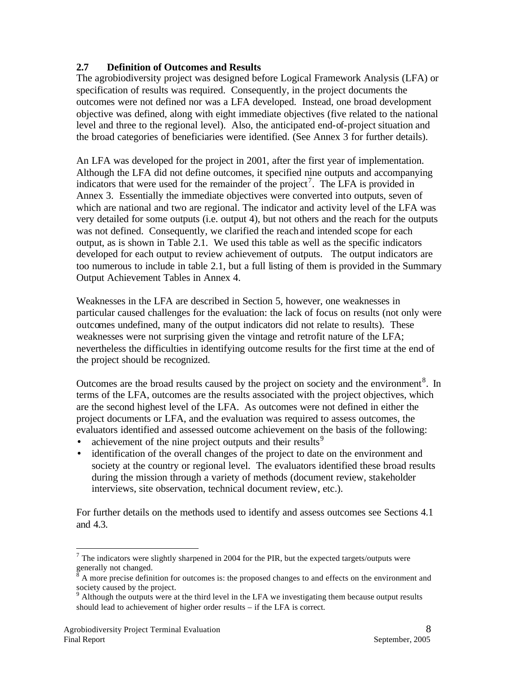## **2.7 Definition of Outcomes and Results**

The agrobiodiversity project was designed before Logical Framework Analysis (LFA) or specification of results was required. Consequently, in the project documents the outcomes were not defined nor was a LFA developed. Instead, one broad development objective was defined, along with eight immediate objectives (five related to the national level and three to the regional level). Also, the anticipated end-of-project situation and the broad categories of beneficiaries were identified. (See Annex 3 for further details).

An LFA was developed for the project in 2001, after the first year of implementation. Although the LFA did not define outcomes, it specified nine outputs and accompanying indicators that were used for the remainder of the project<sup>7</sup>. The LFA is provided in Annex 3. Essentially the immediate objectives were converted into outputs, seven of which are national and two are regional. The indicator and activity level of the LFA was very detailed for some outputs (i.e. output 4), but not others and the reach for the outputs was not defined. Consequently, we clarified the reach and intended scope for each output, as is shown in Table 2.1. We used this table as well as the specific indicators developed for each output to review achievement of outputs. The output indicators are too numerous to include in table 2.1, but a full listing of them is provided in the Summary Output Achievement Tables in Annex 4.

Weaknesses in the LFA are described in Section 5, however, one weaknesses in particular caused challenges for the evaluation: the lack of focus on results (not only were outcomes undefined, many of the output indicators did not relate to results). These weaknesses were not surprising given the vintage and retrofit nature of the LFA; nevertheless the difficulties in identifying outcome results for the first time at the end of the project should be recognized.

Outcomes are the broad results caused by the project on society and the environment<sup>8</sup>. In terms of the LFA, outcomes are the results associated with the project objectives, which are the second highest level of the LFA. As outcomes were not defined in either the project documents or LFA, and the evaluation was required to assess outcomes, the evaluators identified and assessed outcome achievement on the basis of the following:

- achievement of the nine project outputs and their results<sup>9</sup>
- identification of the overall changes of the project to date on the environment and society at the country or regional level. The evaluators identified these broad results during the mission through a variety of methods (document review, stakeholder interviews, site observation, technical document review, etc.).

For further details on the methods used to identify and assess outcomes see Sections 4.1 and 4.3.

 $<sup>7</sup>$  The indicators were slightly sharpened in 2004 for the PIR, but the expected targets/outputs were</sup>

generally not changed.<br><sup>8</sup> A more precise definition for outcomes is: the proposed changes to and effects on the environment and

society caused by the project.<br><sup>9</sup> Although the outputs were at the third level in the LFA we investigating them because output results should lead to achievement of higher order results – if the LFA is correct.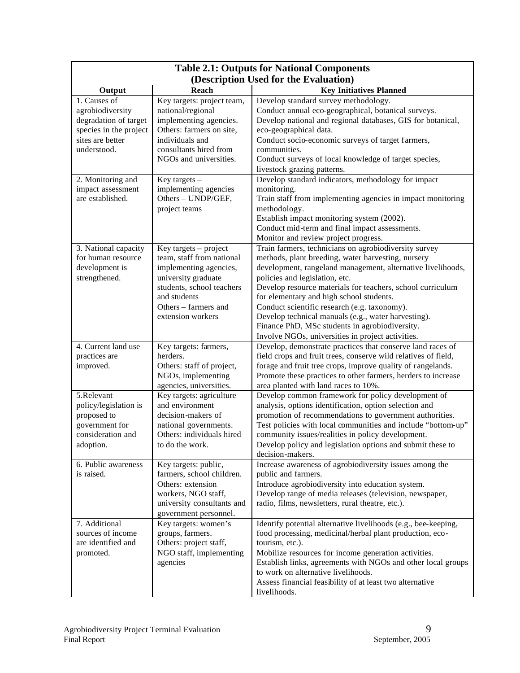| <b>Table 2.1: Outputs for National Components</b>                             |                                                                                                                                  |                                                                                                                                                                                                                                                                            |  |  |  |
|-------------------------------------------------------------------------------|----------------------------------------------------------------------------------------------------------------------------------|----------------------------------------------------------------------------------------------------------------------------------------------------------------------------------------------------------------------------------------------------------------------------|--|--|--|
|                                                                               |                                                                                                                                  | (Description Used for the Evaluation)                                                                                                                                                                                                                                      |  |  |  |
| Output                                                                        | Reach                                                                                                                            | <b>Key Initiatives Planned</b>                                                                                                                                                                                                                                             |  |  |  |
| 1. Causes of<br>agrobiodiversity                                              | Key targets: project team,<br>national/regional                                                                                  | Develop standard survey methodology.<br>Conduct annual eco-geographical, botanical surveys.                                                                                                                                                                                |  |  |  |
| degradation of target<br>species in the project                               | implementing agencies.<br>Others: farmers on site,                                                                               | Develop national and regional databases, GIS for botanical,<br>eco-geographical data.                                                                                                                                                                                      |  |  |  |
| sites are better<br>understood.                                               | individuals and<br>consultants hired from                                                                                        | Conduct socio-economic surveys of target farmers,<br>communities.                                                                                                                                                                                                          |  |  |  |
|                                                                               | NGOs and universities.                                                                                                           | Conduct surveys of local knowledge of target species,<br>livestock grazing patterns.                                                                                                                                                                                       |  |  |  |
| 2. Monitoring and<br>impact assessment<br>are established.                    | Key targets $-$<br>implementing agencies<br>Others - UNDP/GEF,                                                                   | Develop standard indicators, methodology for impact<br>monitoring.<br>Train staff from implementing agencies in impact monitoring                                                                                                                                          |  |  |  |
|                                                                               | project teams                                                                                                                    | methodology.<br>Establish impact monitoring system (2002).<br>Conduct mid-term and final impact assessments.                                                                                                                                                               |  |  |  |
|                                                                               |                                                                                                                                  | Monitor and review project progress.                                                                                                                                                                                                                                       |  |  |  |
| 3. National capacity<br>for human resource<br>development is<br>strengthened. | Key targets - project<br>team, staff from national<br>implementing agencies,<br>university graduate<br>students, school teachers | Train farmers, technicians on agrobiodiversity survey<br>methods, plant breeding, water harvesting, nursery<br>development, rangeland management, alternative livelihoods,<br>policies and legislation, etc.<br>Develop resource materials for teachers, school curriculum |  |  |  |
|                                                                               | and students<br>Others – farmers and<br>extension workers                                                                        | for elementary and high school students.<br>Conduct scientific research (e.g. taxonomy).<br>Develop technical manuals (e.g., water harvesting).                                                                                                                            |  |  |  |
|                                                                               |                                                                                                                                  | Finance PhD, MSc students in agrobiodiversity.<br>Involve NGOs, universities in project activities.                                                                                                                                                                        |  |  |  |
| 4. Current land use<br>practices are<br>improved.                             | Key targets: farmers,<br>herders.<br>Others: staff of project,<br>NGOs, implementing                                             | Develop, demonstrate practices that conserve land races of<br>field crops and fruit trees, conserve wild relatives of field,<br>forage and fruit tree crops, improve quality of rangelands.<br>Promote these practices to other farmers, herders to increase               |  |  |  |
|                                                                               | agencies, universities.                                                                                                          | area planted with land races to 10%.                                                                                                                                                                                                                                       |  |  |  |
| 5.Relevant<br>policy/legislation is<br>proposed to                            | Key targets: agriculture<br>and environment<br>decision-makers of                                                                | Develop common framework for policy development of<br>analysis, options identification, option selection and<br>promotion of recommendations to government authorities.                                                                                                    |  |  |  |
| government for<br>consideration and<br>adoption.                              | national governments.<br>Others: individuals hired<br>to do the work.                                                            | Test policies with local communities and include "bottom-up"<br>community issues/realities in policy development.<br>Develop policy and legislation options and submit these to                                                                                            |  |  |  |
|                                                                               |                                                                                                                                  | decision-makers.                                                                                                                                                                                                                                                           |  |  |  |
| 6. Public awareness<br>is raised.                                             | Key targets: public,<br>farmers, school children.                                                                                | Increase awareness of agrobiodiversity issues among the<br>public and farmers.                                                                                                                                                                                             |  |  |  |
|                                                                               | Others: extension<br>workers, NGO staff,<br>university consultants and<br>government personnel.                                  | Introduce agrobiodiversity into education system.<br>Develop range of media releases (television, newspaper,<br>radio, films, newsletters, rural theatre, etc.).                                                                                                           |  |  |  |
| 7. Additional<br>sources of income<br>are identified and                      | Key targets: women's<br>groups, farmers.<br>Others: project staff,                                                               | Identify potential alternative livelihoods (e.g., bee-keeping,<br>food processing, medicinal/herbal plant production, eco-<br>tourism, etc.).                                                                                                                              |  |  |  |
| promoted.                                                                     | NGO staff, implementing<br>agencies                                                                                              | Mobilize resources for income generation activities.<br>Establish links, agreements with NGOs and other local groups<br>to work on alternative livelihoods.<br>Assess financial feasibility of at least two alternative                                                    |  |  |  |
|                                                                               |                                                                                                                                  | livelihoods.                                                                                                                                                                                                                                                               |  |  |  |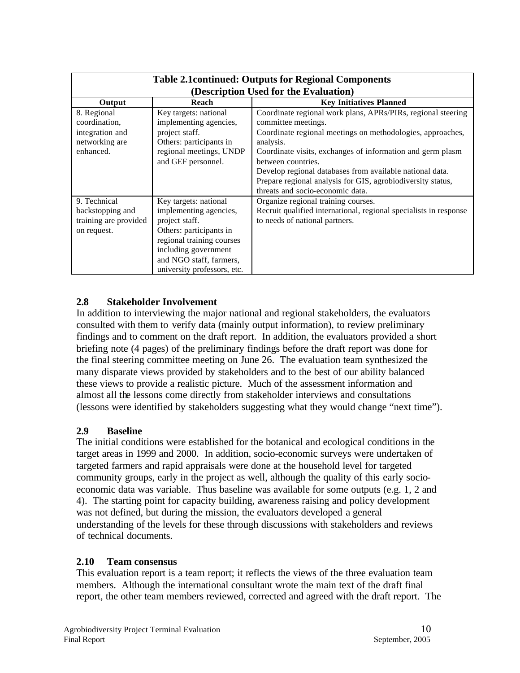| <b>Table 2.1 continued: Outputs for Regional Components</b>                    |                                                                                                                                                                                                             |                                                                                                                                                                                                                                                                                                                                                                                                                   |  |  |  |  |  |
|--------------------------------------------------------------------------------|-------------------------------------------------------------------------------------------------------------------------------------------------------------------------------------------------------------|-------------------------------------------------------------------------------------------------------------------------------------------------------------------------------------------------------------------------------------------------------------------------------------------------------------------------------------------------------------------------------------------------------------------|--|--|--|--|--|
|                                                                                | (Description Used for the Evaluation)                                                                                                                                                                       |                                                                                                                                                                                                                                                                                                                                                                                                                   |  |  |  |  |  |
| Output                                                                         | <b>Reach</b>                                                                                                                                                                                                | <b>Key Initiatives Planned</b>                                                                                                                                                                                                                                                                                                                                                                                    |  |  |  |  |  |
| 8. Regional<br>coordination,<br>integration and<br>networking are<br>enhanced. | Key targets: national<br>implementing agencies,<br>project staff.<br>Others: participants in<br>regional meetings, UNDP<br>and GEF personnel.                                                               | Coordinate regional work plans, APRs/PIRs, regional steering<br>committee meetings.<br>Coordinate regional meetings on methodologies, approaches,<br>analysis.<br>Coordinate visits, exchanges of information and germ plasm<br>between countries.<br>Develop regional databases from available national data.<br>Prepare regional analysis for GIS, agrobiodiversity status,<br>threats and socio-economic data. |  |  |  |  |  |
| 9. Technical<br>backstopping and<br>training are provided<br>on request.       | Key targets: national<br>implementing agencies,<br>project staff.<br>Others: participants in<br>regional training courses<br>including government<br>and NGO staff, farmers,<br>university professors, etc. | Organize regional training courses.<br>Recruit qualified international, regional specialists in response<br>to needs of national partners.                                                                                                                                                                                                                                                                        |  |  |  |  |  |

## **2.8 Stakeholder Involvement**

In addition to interviewing the major national and regional stakeholders, the evaluators consulted with them to verify data (mainly output information), to review preliminary findings and to comment on the draft report. In addition, the evaluators provided a short briefing note (4 pages) of the preliminary findings before the draft report was done for the final steering committee meeting on June 26. The evaluation team synthesized the many disparate views provided by stakeholders and to the best of our ability balanced these views to provide a realistic picture. Much of the assessment information and almost all the lessons come directly from stakeholder interviews and consultations (lessons were identified by stakeholders suggesting what they would change "next time").

#### **2.9 Baseline**

The initial conditions were established for the botanical and ecological conditions in the target areas in 1999 and 2000. In addition, socio-economic surveys were undertaken of targeted farmers and rapid appraisals were done at the household level for targeted community groups, early in the project as well, although the quality of this early socioeconomic data was variable. Thus baseline was available for some outputs (e.g. 1, 2 and 4). The starting point for capacity building, awareness raising and policy development was not defined, but during the mission, the evaluators developed a general understanding of the levels for these through discussions with stakeholders and reviews of technical documents.

#### **2.10 Team consensus**

This evaluation report is a team report; it reflects the views of the three evaluation team members. Although the international consultant wrote the main text of the draft final report, the other team members reviewed, corrected and agreed with the draft report. The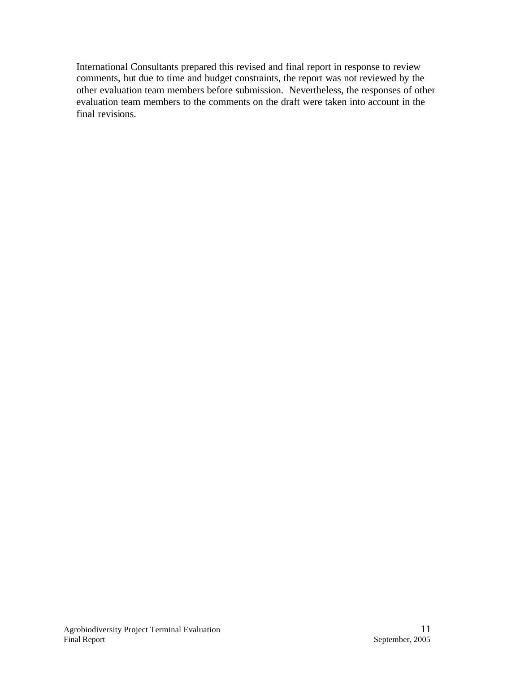International Consultants prepared this revised and final report in response to review comments, but due to time and budget constraints, the report was not reviewed by the other evaluation team members before submission. Nevertheless, the responses of other evaluation team members to the comments on the draft were taken into account in the final revisions.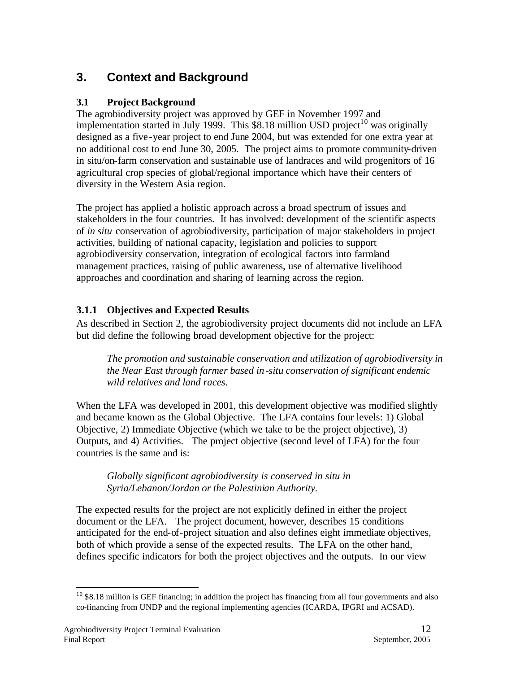# **3. Context and Background**

# **3.1 Project Background**

The agrobiodiversity project was approved by GEF in November 1997 and implementation started in July 1999. This  $$8.18$  million USD project<sup>10</sup> was originally designed as a five -year project to end June 2004, but was extended for one extra year at no additional cost to end June 30, 2005. The project aims to promote community-driven in situ/on-farm conservation and sustainable use of landraces and wild progenitors of 16 agricultural crop species of global/regional importance which have their centers of diversity in the Western Asia region.

The project has applied a holistic approach across a broad spectrum of issues and stakeholders in the four countries. It has involved: development of the scientific aspects of *in situ* conservation of agrobiodiversity, participation of major stakeholders in project activities, building of national capacity, legislation and policies to support agrobiodiversity conservation, integration of ecological factors into farmland management practices, raising of public awareness, use of alternative livelihood approaches and coordination and sharing of learning across the region.

# **3.1.1 Objectives and Expected Results**

As described in Section 2, the agrobiodiversity project documents did not include an LFA but did define the following broad development objective for the project:

*The promotion and sustainable conservation and utilization of agrobiodiversity in the Near East through farmer based in-situ conservation of significant endemic wild relatives and land races.*

When the LFA was developed in 2001, this development objective was modified slightly and became known as the Global Objective. The LFA contains four levels: 1) Global Objective, 2) Immediate Objective (which we take to be the project objective), 3) Outputs, and 4) Activities. The project objective (second level of LFA) for the four countries is the same and is:

*Globally significant agrobiodiversity is conserved in situ in Syria/Lebanon/Jordan or the Palestinian Authority.*

The expected results for the project are not explicitly defined in either the project document or the LFA. The project document, however, describes 15 conditions anticipated for the end-of-project situation and also defines eight immediate objectives, both of which provide a sense of the expected results. The LFA on the other hand, defines specific indicators for both the project objectives and the outputs. In our view

 $10$  \$8.18 million is GEF financing; in addition the project has financing from all four governments and also co-financing from UNDP and the regional implementing agencies (ICARDA, IPGRI and ACSAD).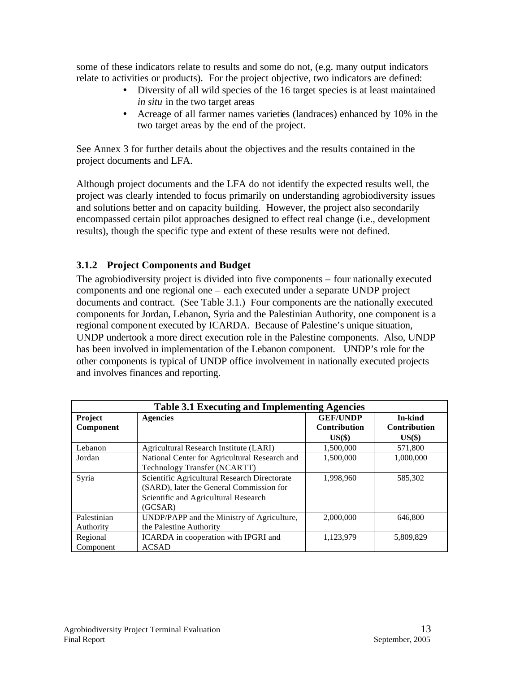some of these indicators relate to results and some do not, (e.g. many output indicators relate to activities or products). For the project objective, two indicators are defined:

- Diversity of all wild species of the 16 target species is at least maintained *in situ* in the two target areas
- Acreage of all farmer names varieties (landraces) enhanced by 10% in the two target areas by the end of the project.

See Annex 3 for further details about the objectives and the results contained in the project documents and LFA.

Although project documents and the LFA do not identify the expected results well, the project was clearly intended to focus primarily on understanding agrobiodiversity issues and solutions better and on capacity building. However, the project also secondarily encompassed certain pilot approaches designed to effect real change (i.e., development results), though the specific type and extent of these results were not defined.

## **3.1.2 Project Components and Budget**

The agrobiodiversity project is divided into five components – four nationally executed components and one regional one – each executed under a separate UNDP project documents and contract. (See Table 3.1.) Four components are the nationally executed components for Jordan, Lebanon, Syria and the Palestinian Authority, one component is a regional component executed by ICARDA. Because of Palestine's unique situation, UNDP undertook a more direct execution role in the Palestine components. Also, UNDP has been involved in implementation of the Lebanon component. UNDP's role for the other components is typical of UNDP office involvement in nationally executed projects and involves finances and reporting.

| <b>Table 3.1 Executing and Implementing Agencies</b> |                                               |                     |                     |  |  |  |  |
|------------------------------------------------------|-----------------------------------------------|---------------------|---------------------|--|--|--|--|
| Project                                              | <b>Agencies</b>                               | <b>GEF/UNDP</b>     | In-kind             |  |  |  |  |
| Component                                            |                                               | <b>Contribution</b> | <b>Contribution</b> |  |  |  |  |
|                                                      |                                               | $US($ \$ $)$        | $US($ \$ $)$        |  |  |  |  |
| Lebanon                                              | Agricultural Research Institute (LARI)        | 1,500,000           | 571,800             |  |  |  |  |
| Jordan                                               | National Center for Agricultural Research and | 1,500,000           | 1,000,000           |  |  |  |  |
|                                                      | Technology Transfer (NCARTT)                  |                     |                     |  |  |  |  |
| Syria                                                | Scientific Agricultural Research Directorate  | 1,998,960           | 585,302             |  |  |  |  |
|                                                      | (SARD), later the General Commission for      |                     |                     |  |  |  |  |
|                                                      | Scientific and Agricultural Research          |                     |                     |  |  |  |  |
|                                                      | (GCSAR)                                       |                     |                     |  |  |  |  |
| Palestinian                                          | UNDP/PAPP and the Ministry of Agriculture,    | 2,000,000           | 646,800             |  |  |  |  |
| Authority                                            | the Palestine Authority                       |                     |                     |  |  |  |  |
| Regional                                             | ICARDA in cooperation with IPGRI and          | 1,123,979           | 5,809,829           |  |  |  |  |
| Component                                            | <b>ACSAD</b>                                  |                     |                     |  |  |  |  |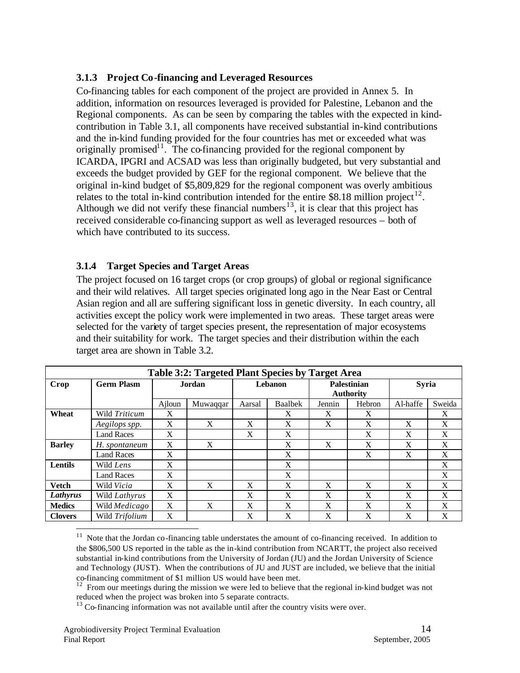## **3.1.3 Project Co-financing and Leveraged Resources**

Co-financing tables for each component of the project are provided in Annex 5. In addition, information on resources leveraged is provided for Palestine, Lebanon and the Regional components. As can be seen by comparing the tables with the expected in kindcontribution in Table 3.1, all components have received substantial in-kind contributions and the in-kind funding provided for the four countries has met or exceeded what was originally promised<sup>11</sup>. The co-financing provided for the regional component by ICARDA, IPGRI and ACSAD was less than originally budgeted, but very substantial and exceeds the budget provided by GEF for the regional component. We believe that the original in-kind budget of \$5,809,829 for the regional component was overly ambitious relates to the total in-kind contribution intended for the entire \$8.18 million project<sup>12</sup>. Although we did not verify these financial numbers<sup>13</sup>, it is clear that this project has received considerable co-financing support as well as leveraged resources – both of which have contributed to its success.

## **3.1.4 Target Species and Target Areas**

The project focused on 16 target crops (or crop groups) of global or regional significance and their wild relatives. All target species originated long ago in the Near East or Central Asian region and all are suffering significant loss in genetic diversity. In each country, all activities except the policy work were implemented in two areas. These target areas were selected for the variety of target species present, the representation of major ecosystems and their suitability for work. The target species and their distribution within the each target area are shown in Table 3.2.

| Table 3:2: Targeted Plant Species by Target Area |                   |        |          |         |                |        |                                 |          |              |  |
|--------------------------------------------------|-------------------|--------|----------|---------|----------------|--------|---------------------------------|----------|--------------|--|
| Crop                                             | <b>Germ Plasm</b> | Jordan |          | Lebanon |                |        | Palestinian<br><b>Authority</b> |          | <b>Syria</b> |  |
|                                                  |                   | Ajloun | Muwaqqar | Aarsal  | <b>Baalbek</b> | Jennin | Hebron                          | Al-haffe | Sweida       |  |
| Wheat                                            | Wild Triticum     | X      |          |         | X              | X      | X                               |          | X            |  |
|                                                  | Aegilops spp.     | X      | X        | X       | X              | X      | X                               | X        | X            |  |
|                                                  | <b>Land Races</b> | X      |          | X       | X              |        | X                               | X        | X            |  |
| <b>Barley</b>                                    | H. spontaneum     | X      | X        |         | X              | X      | X                               | X        | X            |  |
|                                                  | <b>Land Races</b> | X      |          |         | X              |        | X                               | X        | X            |  |
| <b>Lentils</b>                                   | Wild Lens         | X      |          |         | X              |        |                                 |          | X            |  |
|                                                  | <b>Land Races</b> | X      |          |         | X              |        |                                 |          | X            |  |
| <b>Vetch</b>                                     | Wild Vicia        | X      | X        | X       | X              | X      | X                               | X        | X            |  |
| Lathyrus                                         | Wild Lathyrus     | X      |          | X       | X              | X      | X                               | X        | X            |  |
| <b>Medics</b>                                    | Wild Medicago     | X      | X        | X       | X              | X      | X                               | X        | X            |  |
| <b>Clovers</b>                                   | Wild Trifolium    | X      |          | X       | X              | X      | X                               | X        | X            |  |
|                                                  |                   |        |          |         |                |        |                                 |          |              |  |

 $11$  Note that the Jordan co-financing table understates the amount of co-financing received. In addition to the \$806,500 US reported in the table as the in-kind contribution from NCARTT, the project also received substantial in-kind contributions from the University of Jordan (JU) and the Jordan University of Science and Technology (JUST). When the contributions of JU and JUST are included, we believe that the initial co-financing commitment of \$1 million US would have been met.

 $12$  From our meetings during the mission we were led to believe that the regional in-kind budget was not reduced when the project was broken into 5 separate contracts.

 $13$  Co-financing information was not available until after the country visits were over.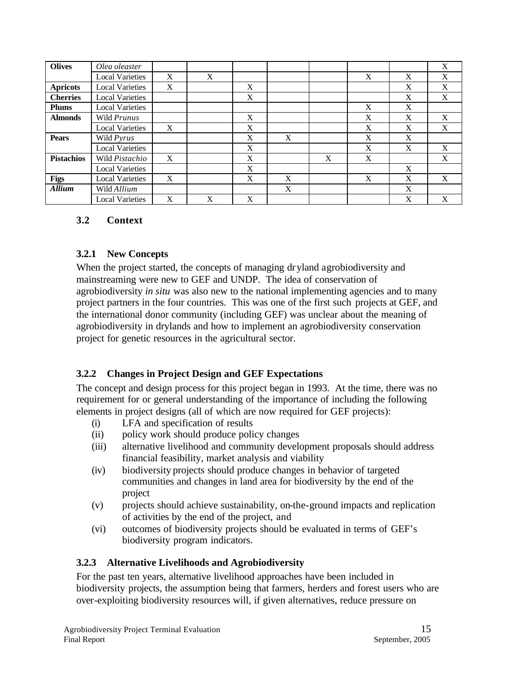| <b>Olives</b>     | Olea oleaster          |   |   |   |   |   |   |   | X           |
|-------------------|------------------------|---|---|---|---|---|---|---|-------------|
|                   | <b>Local Varieties</b> | X | X |   |   |   | X | X | $\mathbf X$ |
| <b>Apricots</b>   | <b>Local Varieties</b> | X |   | X |   |   |   | X | X           |
| <b>Cherries</b>   | <b>Local Varieties</b> |   |   | X |   |   |   | X | X           |
| <b>Plums</b>      | <b>Local Varieties</b> |   |   |   |   |   | X | X |             |
| <b>Almonds</b>    | Wild Prunus            |   |   | X |   |   | X | X | X           |
|                   | <b>Local Varieties</b> | X |   | X |   |   | X | X | X           |
| <b>Pears</b>      | Wild Pyrus             |   |   | X | X |   | X | X |             |
|                   | <b>Local Varieties</b> |   |   | X |   |   | X | X | X           |
| <b>Pistachios</b> | Wild Pistachio         | X |   | X |   | X | X |   | X           |
|                   | <b>Local Varieties</b> |   |   | X |   |   |   | X |             |
| <b>Figs</b>       | <b>Local Varieties</b> | X |   | X | X |   | X | X | X           |
| <b>Allium</b>     | Wild Allium            |   |   |   | X |   |   | X |             |
|                   | <b>Local Varieties</b> | X | X | X |   |   |   | X | X           |

## **3.2 Context**

#### **3.2.1 New Concepts**

When the project started, the concepts of managing dryland agrobiodiversity and mainstreaming were new to GEF and UNDP. The idea of conservation of agrobiodiversity *in situ* was also new to the national implementing agencies and to many project partners in the four countries. This was one of the first such projects at GEF, and the international donor community (including GEF) was unclear about the meaning of agrobiodiversity in drylands and how to implement an agrobiodiversity conservation project for genetic resources in the agricultural sector.

## **3.2.2 Changes in Project Design and GEF Expectations**

The concept and design process for this project began in 1993. At the time, there was no requirement for or general understanding of the importance of including the following elements in project designs (all of which are now required for GEF projects):

- (i) LFA and specification of results
- (ii) policy work should produce policy changes
- (iii) alternative livelihood and community development proposals should address financial feasibility, market analysis and viability
- (iv) biodiversity projects should produce changes in behavior of targeted communities and changes in land area for biodiversity by the end of the project
- (v) projects should achieve sustainability, on-the-ground impacts and replication of activities by the end of the project, and
- (vi) outcomes of biodiversity projects should be evaluated in terms of GEF's biodiversity program indicators.

## **3.2.3 Alternative Livelihoods and Agrobiodiversity**

For the past ten years, alternative livelihood approaches have been included in biodiversity projects, the assumption being that farmers, herders and forest users who are over-exploiting biodiversity resources will, if given alternatives, reduce pressure on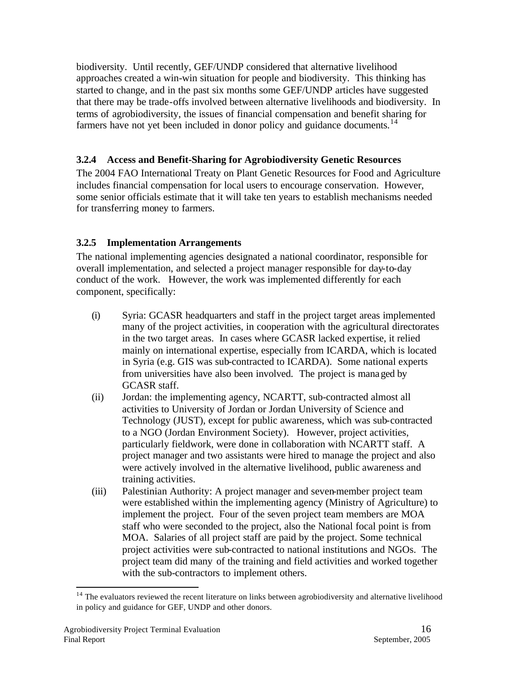biodiversity. Until recently, GEF/UNDP considered that alternative livelihood approaches created a win-win situation for people and biodiversity. This thinking has started to change, and in the past six months some GEF/UNDP articles have suggested that there may be trade-offs involved between alternative livelihoods and biodiversity. In terms of agrobiodiversity, the issues of financial compensation and benefit sharing for farmers have not yet been included in donor policy and guidance documents.<sup>14</sup>

# **3.2.4 Access and Benefit-Sharing for Agrobiodiversity Genetic Resources**

The 2004 FAO International Treaty on Plant Genetic Resources for Food and Agriculture includes financial compensation for local users to encourage conservation. However, some senior officials estimate that it will take ten years to establish mechanisms needed for transferring money to farmers.

# **3.2.5 Implementation Arrangements**

The national implementing agencies designated a national coordinator, responsible for overall implementation, and selected a project manager responsible for day-to-day conduct of the work. However, the work was implemented differently for each component, specifically:

- (i) Syria: GCASR headquarters and staff in the project target areas implemented many of the project activities, in cooperation with the agricultural directorates in the two target areas. In cases where GCASR lacked expertise, it relied mainly on international expertise, especially from ICARDA, which is located in Syria (e.g. GIS was sub-contracted to ICARDA). Some national experts from universities have also been involved. The project is managed by GCASR staff.
- (ii) Jordan: the implementing agency, NCARTT, sub-contracted almost all activities to University of Jordan or Jordan University of Science and Technology (JUST), except for public awareness, which was sub-contracted to a NGO (Jordan Environment Society). However, project activities, particularly fieldwork, were done in collaboration with NCARTT staff. A project manager and two assistants were hired to manage the project and also were actively involved in the alternative livelihood, public awareness and training activities.
- (iii) Palestinian Authority: A project manager and seven-member project team were established within the implementing agency (Ministry of Agriculture) to implement the project. Four of the seven project team members are MOA staff who were seconded to the project, also the National focal point is from MOA. Salaries of all project staff are paid by the project. Some technical project activities were sub-contracted to national institutions and NGOs. The project team did many of the training and field activities and worked together with the sub-contractors to implement others.

 $14$  The evaluators reviewed the recent literature on links between agrobiodiversity and alternative livelihood in policy and guidance for GEF, UNDP and other donors.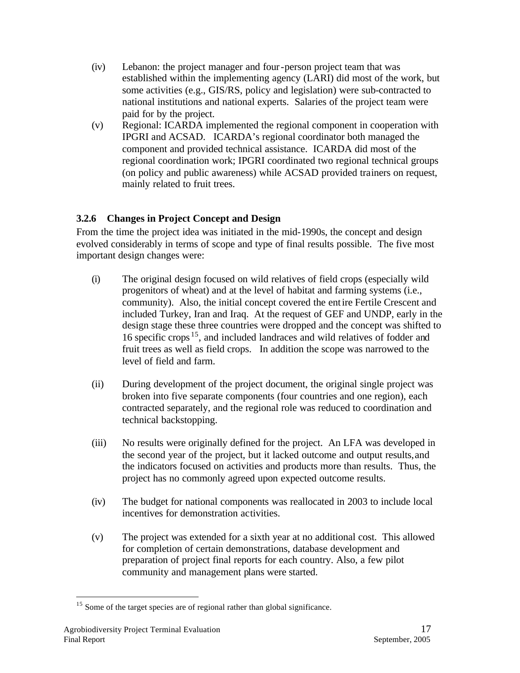- (iv) Lebanon: the project manager and four-person project team that was established within the implementing agency (LARI) did most of the work, but some activities (e.g., GIS/RS, policy and legislation) were sub-contracted to national institutions and national experts. Salaries of the project team were paid for by the project.
- (v) Regional: ICARDA implemented the regional component in cooperation with IPGRI and ACSAD. ICARDA's regional coordinator both managed the component and provided technical assistance. ICARDA did most of the regional coordination work; IPGRI coordinated two regional technical groups (on policy and public awareness) while ACSAD provided trainers on request, mainly related to fruit trees.

# **3.2.6 Changes in Project Concept and Design**

From the time the project idea was initiated in the mid-1990s, the concept and design evolved considerably in terms of scope and type of final results possible. The five most important design changes were:

- (i) The original design focused on wild relatives of field crops (especially wild progenitors of wheat) and at the level of habitat and farming systems (i.e., community). Also, the initial concept covered the entire Fertile Crescent and included Turkey, Iran and Iraq. At the request of GEF and UNDP, early in the design stage these three countries were dropped and the concept was shifted to 16 specific crops <sup>15</sup>, and included landraces and wild relatives of fodder and fruit trees as well as field crops. In addition the scope was narrowed to the level of field and farm.
- (ii) During development of the project document, the original single project was broken into five separate components (four countries and one region), each contracted separately, and the regional role was reduced to coordination and technical backstopping.
- (iii) No results were originally defined for the project. An LFA was developed in the second year of the project, but it lacked outcome and output results, and the indicators focused on activities and products more than results. Thus, the project has no commonly agreed upon expected outcome results.
- (iv) The budget for national components was reallocated in 2003 to include local incentives for demonstration activities.
- (v) The project was extended for a sixth year at no additional cost. This allowed for completion of certain demonstrations, database development and preparation of project final reports for each country. Also, a few pilot community and management plans were started.

 $\overline{a}$ <sup>15</sup> Some of the target species are of regional rather than global significance.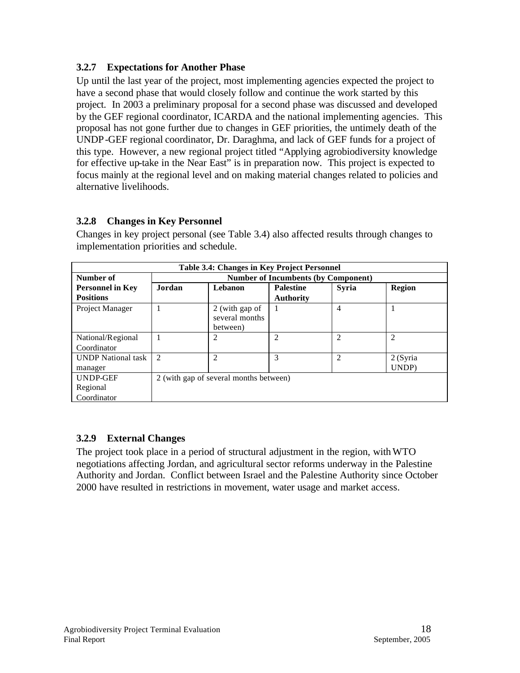## **3.2.7 Expectations for Another Phase**

Up until the last year of the project, most implementing agencies expected the project to have a second phase that would closely follow and continue the work started by this project. In 2003 a preliminary proposal for a second phase was discussed and developed by the GEF regional coordinator, ICARDA and the national implementing agencies. This proposal has not gone further due to changes in GEF priorities, the untimely death of the UNDP-GEF regional coordinator, Dr. Daraghma, and lack of GEF funds for a project of this type. However, a new regional project titled "Applying agrobiodiversity knowledge for effective up-take in the Near East" is in preparation now. This project is expected to focus mainly at the regional level and on making material changes related to policies and alternative livelihoods.

# **3.2.8 Changes in Key Personnel**

|                                             | Table 3.4: Changes in Key Project Personnel |                                              |                                            |                |                  |  |
|---------------------------------------------|---------------------------------------------|----------------------------------------------|--------------------------------------------|----------------|------------------|--|
| Number of                                   |                                             |                                              | <b>Number of Incumbents (by Component)</b> |                |                  |  |
| <b>Personnel in Key</b><br><b>Positions</b> | Jordan                                      | Lebanon                                      | <b>Palestine</b><br><b>Authority</b>       | <b>Syria</b>   | <b>Region</b>    |  |
| Project Manager                             |                                             | 2 (with gap of<br>several months<br>between) |                                            | 4              |                  |  |
| National/Regional<br>Coordinator            |                                             | $\overline{c}$                               | $\overline{c}$                             | $\overline{c}$ | 2                |  |
| <b>UNDP</b> National task<br>manager        | $\mathcal{D}_{\mathcal{L}}$                 | $\overline{c}$                               | 3                                          | $\overline{c}$ | 2(Syria<br>UNDP) |  |
| UNDP-GEF<br>Regional<br>Coordinator         |                                             | 2 (with gap of several months between)       |                                            |                |                  |  |

Changes in key project personal (see Table 3.4) also affected results through changes to implementation priorities and schedule.

## **3.2.9 External Changes**

The project took place in a period of structural adjustment in the region, with WTO negotiations affecting Jordan, and agricultural sector reforms underway in the Palestine Authority and Jordan. Conflict between Israel and the Palestine Authority since October 2000 have resulted in restrictions in movement, water usage and market access.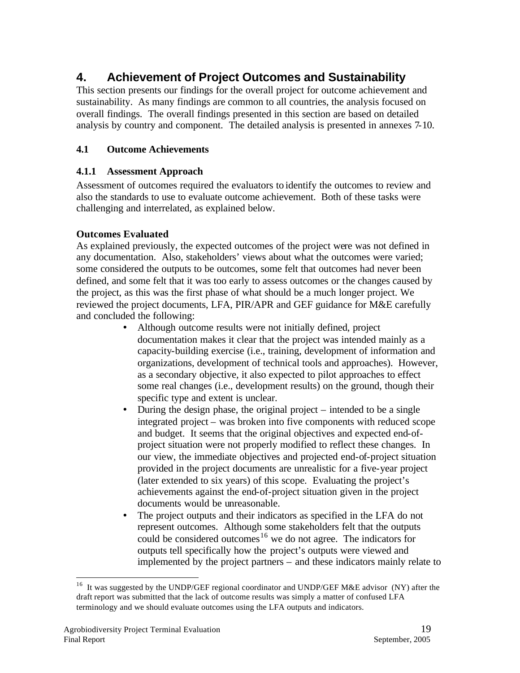# **4. Achievement of Project Outcomes and Sustainability**

This section presents our findings for the overall project for outcome achievement and sustainability. As many findings are common to all countries, the analysis focused on overall findings. The overall findings presented in this section are based on detailed analysis by country and component. The detailed analysis is presented in annexes 7-10.

## **4.1 Outcome Achievements**

#### **4.1.1 Assessment Approach**

Assessment of outcomes required the evaluators to identify the outcomes to review and also the standards to use to evaluate outcome achievement. Both of these tasks were challenging and interrelated, as explained below.

## **Outcomes Evaluated**

As explained previously, the expected outcomes of the project were was not defined in any documentation. Also, stakeholders' views about what the outcomes were varied; some considered the outputs to be outcomes, some felt that outcomes had never been defined, and some felt that it was too early to assess outcomes or the changes caused by the project, as this was the first phase of what should be a much longer project. We reviewed the project documents, LFA, PIR/APR and GEF guidance for M&E carefully and concluded the following:

- Although outcome results were not initially defined, project documentation makes it clear that the project was intended mainly as a capacity-building exercise (i.e., training, development of information and organizations, development of technical tools and approaches). However, as a secondary objective, it also expected to pilot approaches to effect some real changes (i.e., development results) on the ground, though their specific type and extent is unclear.
- During the design phase, the original project intended to be a single integrated project – was broken into five components with reduced scope and budget. It seems that the original objectives and expected end-ofproject situation were not properly modified to reflect these changes. In our view, the immediate objectives and projected end-of-project situation provided in the project documents are unrealistic for a five-year project (later extended to six years) of this scope. Evaluating the project's achievements against the end-of-project situation given in the project documents would be unreasonable.
- The project outputs and their indicators as specified in the LFA do not represent outcomes. Although some stakeholders felt that the outputs could be considered outcomes<sup>16</sup> we do not agree. The indicators for outputs tell specifically how the project's outputs were viewed and implemented by the project partners – and these indicators mainly relate to

<sup>&</sup>lt;sup>16</sup> It was suggested by the UNDP/GEF regional coordinator and UNDP/GEF M&E advisor (NY) after the draft report was submitted that the lack of outcome results was simply a matter of confused LFA terminology and we should evaluate outcomes using the LFA outputs and indicators.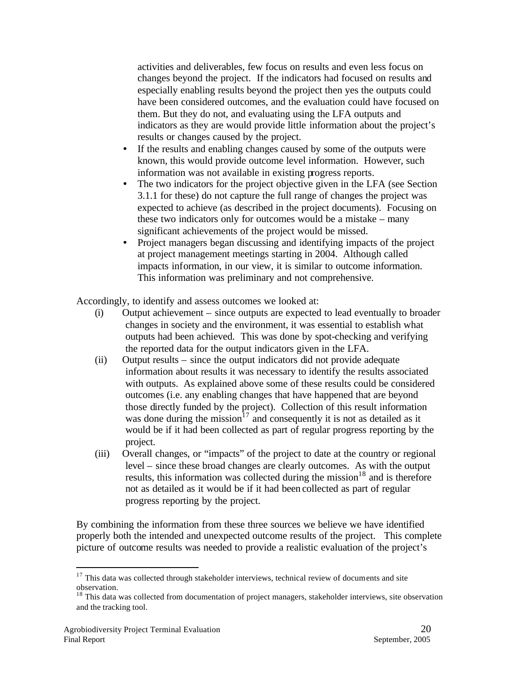activities and deliverables, few focus on results and even less focus on changes beyond the project. If the indicators had focused on results and especially enabling results beyond the project then yes the outputs could have been considered outcomes, and the evaluation could have focused on them. But they do not, and evaluating using the LFA outputs and indicators as they are would provide little information about the project's results or changes caused by the project.

- If the results and enabling changes caused by some of the outputs were known, this would provide outcome level information. However, such information was not available in existing progress reports.
- The two indicators for the project objective given in the LFA (see Section 3.1.1 for these) do not capture the full range of changes the project was expected to achieve (as described in the project documents). Focusing on these two indicators only for outcomes would be a mistake – many significant achievements of the project would be missed.
- Project managers began discussing and identifying impacts of the project at project management meetings starting in 2004. Although called impacts information, in our view, it is similar to outcome information. This information was preliminary and not comprehensive.

Accordingly, to identify and assess outcomes we looked at:

- (i) Output achievement since outputs are expected to lead eventually to broader changes in society and the environment, it was essential to establish what outputs had been achieved. This was done by spot-checking and verifying the reported data for the output indicators given in the LFA.
- (ii) Output results since the output indicators did not provide adequate information about results it was necessary to identify the results associated with outputs. As explained above some of these results could be considered outcomes (i.e. any enabling changes that have happened that are beyond those directly funded by the project). Collection of this result information was done during the mission<sup>17</sup> and consequently it is not as detailed as it would be if it had been collected as part of regular progress reporting by the project.
- (iii) Overall changes, or "impacts" of the project to date at the country or regional level – since these broad changes are clearly outcomes. As with the output results, this information was collected during the mission<sup>18</sup> and is therefore not as detailed as it would be if it had been collected as part of regular progress reporting by the project.

By combining the information from these three sources we believe we have identified properly both the intended and unexpected outcome results of the project. This complete picture of outcome results was needed to provide a realistic evaluation of the project's

 $17$  This data was collected through stakeholder interviews, technical review of documents and site observation.

<sup>&</sup>lt;sup>18</sup> This data was collected from documentation of project managers, stakeholder interviews, site observation and the tracking tool.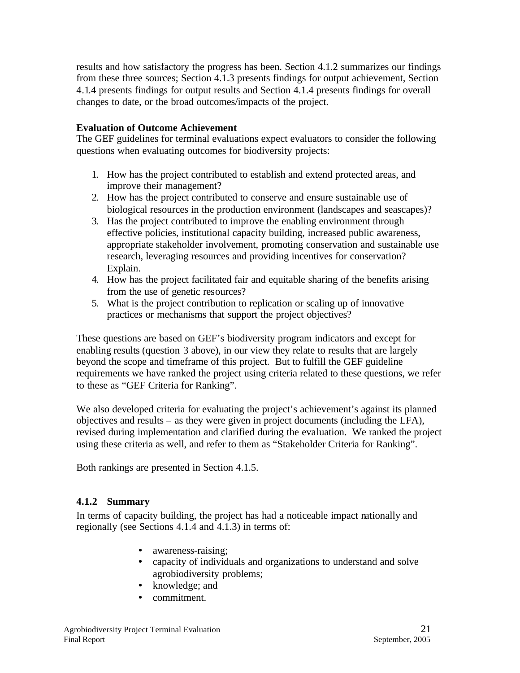results and how satisfactory the progress has been. Section 4.1.2 summarizes our findings from these three sources; Section 4.1.3 presents findings for output achievement, Section 4.1.4 presents findings for output results and Section 4.1.4 presents findings for overall changes to date, or the broad outcomes/impacts of the project.

#### **Evaluation of Outcome Achievement**

The GEF guidelines for terminal evaluations expect evaluators to consider the following questions when evaluating outcomes for biodiversity projects:

- 1. How has the project contributed to establish and extend protected areas, and improve their management?
- 2. How has the project contributed to conserve and ensure sustainable use of biological resources in the production environment (landscapes and seascapes)?
- 3. Has the project contributed to improve the enabling environment through effective policies, institutional capacity building, increased public awareness, appropriate stakeholder involvement, promoting conservation and sustainable use research, leveraging resources and providing incentives for conservation? Explain.
- 4. How has the project facilitated fair and equitable sharing of the benefits arising from the use of genetic resources?
- 5. What is the project contribution to replication or scaling up of innovative practices or mechanisms that support the project objectives?

These questions are based on GEF's biodiversity program indicators and except for enabling results (question 3 above), in our view they relate to results that are largely beyond the scope and timeframe of this project. But to fulfill the GEF guideline requirements we have ranked the project using criteria related to these questions, we refer to these as "GEF Criteria for Ranking".

We also developed criteria for evaluating the project's achievement's against its planned objectives and results – as they were given in project documents (including the LFA), revised during implementation and clarified during the evaluation. We ranked the project using these criteria as well, and refer to them as "Stakeholder Criteria for Ranking".

Both rankings are presented in Section 4.1.5.

#### **4.1.2 Summary**

In terms of capacity building, the project has had a noticeable impact nationally and regionally (see Sections 4.1.4 and 4.1.3) in terms of:

- awareness-raising;
- capacity of individuals and organizations to understand and solve agrobiodiversity problems;
- knowledge: and
- commitment.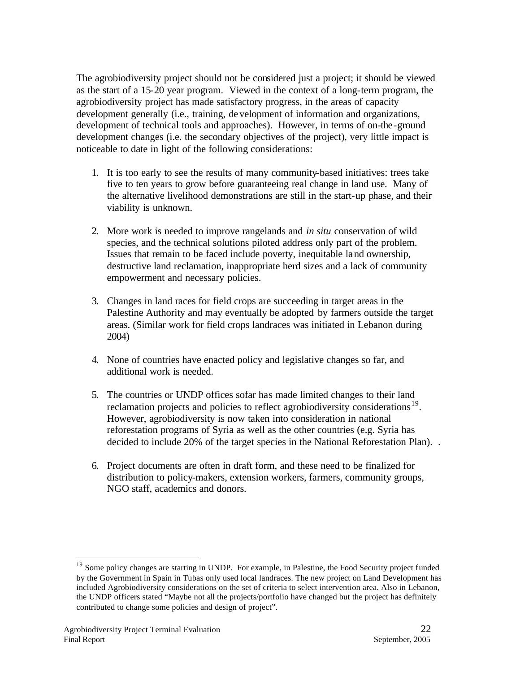The agrobiodiversity project should not be considered just a project; it should be viewed as the start of a 15-20 year program. Viewed in the context of a long-term program, the agrobiodiversity project has made satisfactory progress, in the areas of capacity development generally (i.e., training, development of information and organizations, development of technical tools and approaches). However, in terms of on-the-ground development changes (i.e. the secondary objectives of the project), very little impact is noticeable to date in light of the following considerations:

- 1. It is too early to see the results of many community-based initiatives: trees take five to ten years to grow before guaranteeing real change in land use. Many of the alternative livelihood demonstrations are still in the start-up phase, and their viability is unknown.
- 2. More work is needed to improve rangelands and *in situ* conservation of wild species, and the technical solutions piloted address only part of the problem. Issues that remain to be faced include poverty, inequitable land ownership, destructive land reclamation, inappropriate herd sizes and a lack of community empowerment and necessary policies.
- 3. Changes in land races for field crops are succeeding in target areas in the Palestine Authority and may eventually be adopted by farmers outside the target areas. (Similar work for field crops landraces was initiated in Lebanon during 2004)
- 4. None of countries have enacted policy and legislative changes so far, and additional work is needed.
- 5. The countries or UNDP offices sofar has made limited changes to their land reclamation projects and policies to reflect agrobiodiversity considerations<sup>19</sup>. However, agrobiodiversity is now taken into consideration in national reforestation programs of Syria as well as the other countries (e.g. Syria has decided to include 20% of the target species in the National Reforestation Plan). .
- 6. Project documents are often in draft form, and these need to be finalized for distribution to policy-makers, extension workers, farmers, community groups, NGO staff, academics and donors.

<sup>&</sup>lt;sup>19</sup> Some policy changes are starting in UNDP. For example, in Palestine, the Food Security project funded by the Government in Spain in Tubas only used local landraces. The new project on Land Development has included Agrobiodiversity considerations on the set of criteria to select intervention area. Also in Lebanon, the UNDP officers stated "Maybe not all the projects/portfolio have changed but the project has definitely contributed to change some policies and design of project".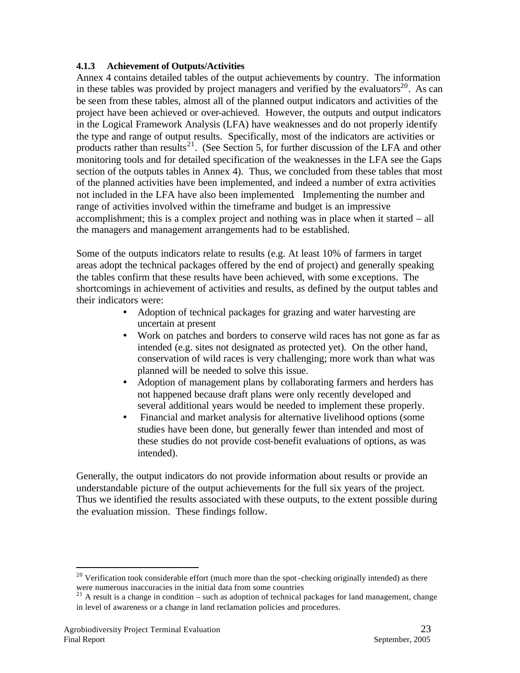#### **4.1.3 Achievement of Outputs/Activities**

Annex 4 contains detailed tables of the output achievements by country. The information in these tables was provided by project managers and verified by the evaluators<sup>20</sup>. As can be seen from these tables, almost all of the planned output indicators and activities of the project have been achieved or over-achieved. However, the outputs and output indicators in the Logical Framework Analysis (LFA) have weaknesses and do not properly identify the type and range of output results. Specifically, most of the indicators are activities or products rather than results<sup>21</sup>. (See Section 5, for further discussion of the LFA and other monitoring tools and for detailed specification of the weaknesses in the LFA see the Gaps section of the outputs tables in Annex 4). Thus, we concluded from these tables that most of the planned activities have been implemented, and indeed a number of extra activities not included in the LFA have also been implemented. Implementing the number and range of activities involved within the timeframe and budget is an impressive accomplishment; this is a complex project and nothing was in place when it started – all the managers and management arrangements had to be established.

Some of the outputs indicators relate to results (e.g. At least 10% of farmers in target areas adopt the technical packages offered by the end of project) and generally speaking the tables confirm that these results have been achieved, with some exceptions. The shortcomings in achievement of activities and results, as defined by the output tables and their indicators were:

- Adoption of technical packages for grazing and water harvesting are uncertain at present
- Work on patches and borders to conserve wild races has not gone as far as intended (e.g. sites not designated as protected yet). On the other hand, conservation of wild races is very challenging; more work than what was planned will be needed to solve this issue.
- Adoption of management plans by collaborating farmers and herders has not happened because draft plans were only recently developed and several additional years would be needed to implement these properly.
- Financial and market analysis for alternative livelihood options (some studies have been done, but generally fewer than intended and most of these studies do not provide cost-benefit evaluations of options, as was intended).

Generally, the output indicators do not provide information about results or provide an understandable picture of the output achievements for the full six years of the project. Thus we identified the results associated with these outputs, to the extent possible during the evaluation mission. These findings follow.

<sup>&</sup>lt;sup>20</sup> Verification took considerable effort (much more than the spot-checking originally intended) as there were numerous inaccuracies in the initial data from some countries

 $21$  A result is a change in condition – such as adoption of technical packages for land management, change in level of awareness or a change in land reclamation policies and procedures.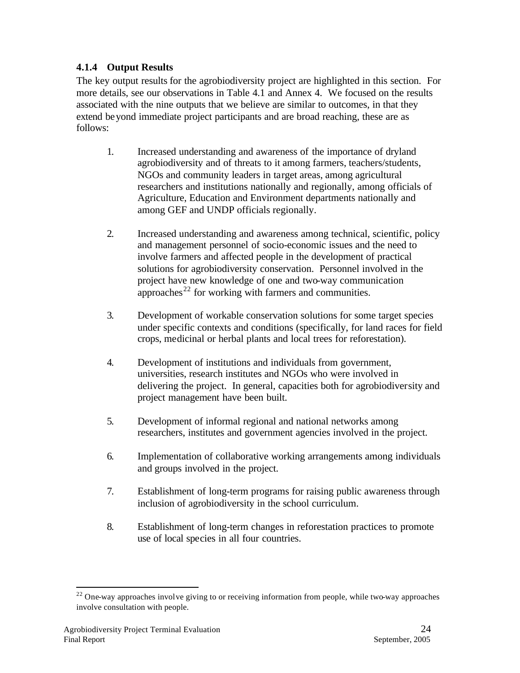## **4.1.4 Output Results**

The key output results for the agrobiodiversity project are highlighted in this section. For more details, see our observations in Table 4.1 and Annex 4. We focused on the results associated with the nine outputs that we believe are similar to outcomes, in that they extend beyond immediate project participants and are broad reaching, these are as follows:

- 1. Increased understanding and awareness of the importance of dryland agrobiodiversity and of threats to it among farmers, teachers/students, NGOs and community leaders in target areas, among agricultural researchers and institutions nationally and regionally, among officials of Agriculture, Education and Environment departments nationally and among GEF and UNDP officials regionally.
- 2. Increased understanding and awareness among technical, scientific, policy and management personnel of socio-economic issues and the need to involve farmers and affected people in the development of practical solutions for agrobiodiversity conservation. Personnel involved in the project have new knowledge of one and two-way communication approaches<sup> $22$ </sup> for working with farmers and communities.
- 3. Development of workable conservation solutions for some target species under specific contexts and conditions (specifically, for land races for field crops, medicinal or herbal plants and local trees for reforestation).
- 4. Development of institutions and individuals from government, universities, research institutes and NGOs who were involved in delivering the project. In general, capacities both for agrobiodiversity and project management have been built.
- 5. Development of informal regional and national networks among researchers, institutes and government agencies involved in the project.
- 6. Implementation of collaborative working arrangements among individuals and groups involved in the project.
- 7. Establishment of long-term programs for raising public awareness through inclusion of agrobiodiversity in the school curriculum.
- 8. Establishment of long-term changes in reforestation practices to promote use of local species in all four countries.

 $22$  One-way approaches involve giving to or receiving information from people, while two-way approaches involve consultation with people.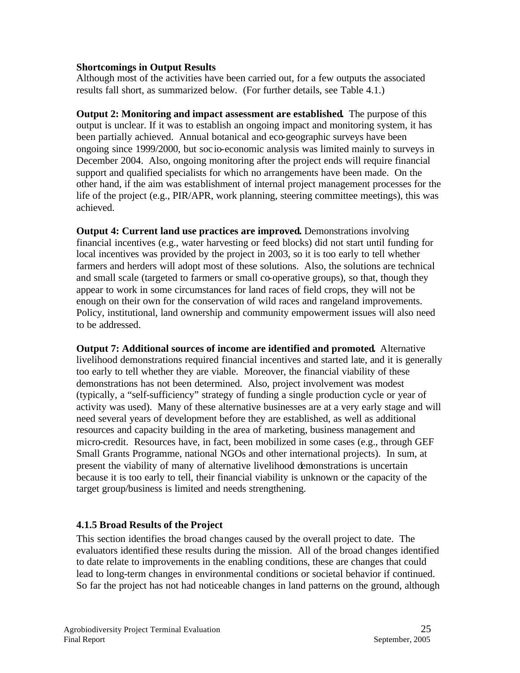#### **Shortcomings in Output Results**

Although most of the activities have been carried out, for a few outputs the associated results fall short, as summarized below. (For further details, see Table 4.1.)

**Output 2: Monitoring and impact assessment are established.** The purpose of this output is unclear. If it was to establish an ongoing impact and monitoring system, it has been partially achieved. Annual botanical and eco-geographic surveys have been ongoing since 1999/2000, but soc io-economic analysis was limited mainly to surveys in December 2004. Also, ongoing monitoring after the project ends will require financial support and qualified specialists for which no arrangements have been made. On the other hand, if the aim was establishment of internal project management processes for the life of the project (e.g., PIR/APR, work planning, steering committee meetings), this was achieved.

**Output 4: Current land use practices are improved.** Demonstrations involving financial incentives (e.g., water harvesting or feed blocks) did not start until funding for local incentives was provided by the project in 2003, so it is too early to tell whether farmers and herders will adopt most of these solutions. Also, the solutions are technical and small scale (targeted to farmers or small co-operative groups), so that, though they appear to work in some circumstances for land races of field crops, they will not be enough on their own for the conservation of wild races and rangeland improvements. Policy, institutional, land ownership and community empowerment issues will also need to be addressed.

**Output 7: Additional sources of income are identified and promoted.** Alternative livelihood demonstrations required financial incentives and started late, and it is generally too early to tell whether they are viable. Moreover, the financial viability of these demonstrations has not been determined. Also, project involvement was modest (typically, a "self-sufficiency" strategy of funding a single production cycle or year of activity was used). Many of these alternative businesses are at a very early stage and will need several years of development before they are established, as well as additional resources and capacity building in the area of marketing, business management and micro-credit. Resources have, in fact, been mobilized in some cases (e.g., through GEF Small Grants Programme, national NGOs and other international projects). In sum, at present the viability of many of alternative livelihood demonstrations is uncertain because it is too early to tell, their financial viability is unknown or the capacity of the target group/business is limited and needs strengthening.

#### **4.1.5 Broad Results of the Project**

This section identifies the broad changes caused by the overall project to date. The evaluators identified these results during the mission. All of the broad changes identified to date relate to improvements in the enabling conditions, these are changes that could lead to long-term changes in environmental conditions or societal behavior if continued. So far the project has not had noticeable changes in land patterns on the ground, although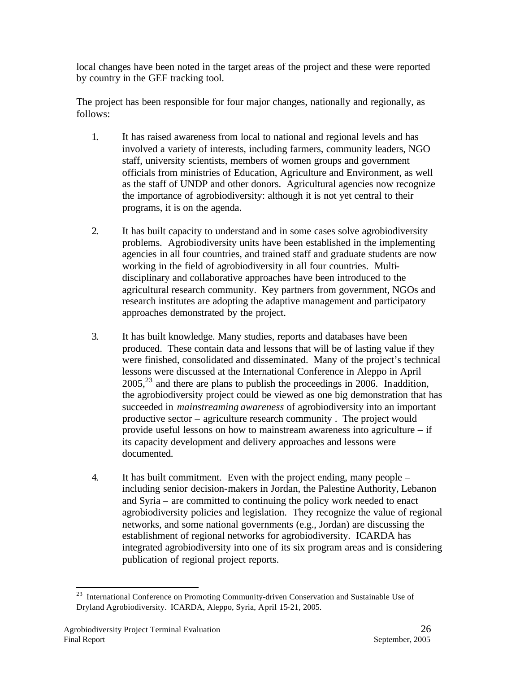local changes have been noted in the target areas of the project and these were reported by country in the GEF tracking tool.

The project has been responsible for four major changes, nationally and regionally, as follows:

- 1. It has raised awareness from local to national and regional levels and has involved a variety of interests, including farmers, community leaders, NGO staff, university scientists, members of women groups and government officials from ministries of Education, Agriculture and Environment, as well as the staff of UNDP and other donors. Agricultural agencies now recognize the importance of agrobiodiversity: although it is not yet central to their programs, it is on the agenda.
- 2. It has built capacity to understand and in some cases solve agrobiodiversity problems. Agrobiodiversity units have been established in the implementing agencies in all four countries, and trained staff and graduate students are now working in the field of agrobiodiversity in all four countries. Multidisciplinary and collaborative approaches have been introduced to the agricultural research community. Key partners from government, NGOs and research institutes are adopting the adaptive management and participatory approaches demonstrated by the project.
- 3. It has built knowledge. Many studies, reports and databases have been produced. These contain data and lessons that will be of lasting value if they were finished, consolidated and disseminated. Many of the project's technical lessons were discussed at the International Conference in Aleppo in April  $2005<sup>23</sup>$  and there are plans to publish the proceedings in 2006. In addition, the agrobiodiversity project could be viewed as one big demonstration that has succeeded in *mainstreaming awareness* of agrobiodiversity into an important productive sector – agriculture research community . The project would provide useful lessons on how to mainstream awareness into agriculture – if its capacity development and delivery approaches and lessons were documented.
- 4. It has built commitment. Even with the project ending, many people including senior decision-makers in Jordan, the Palestine Authority, Lebanon and Syria – are committed to continuing the policy work needed to enact agrobiodiversity policies and legislation. They recognize the value of regional networks, and some national governments (e.g., Jordan) are discussing the establishment of regional networks for agrobiodiversity. ICARDA has integrated agrobiodiversity into one of its six program areas and is considering publication of regional project reports.

<sup>&</sup>lt;sup>23</sup> International Conference on Promoting Community-driven Conservation and Sustainable Use of Dryland Agrobiodiversity.ICARDA, Aleppo, Syria, April 15-21, 2005.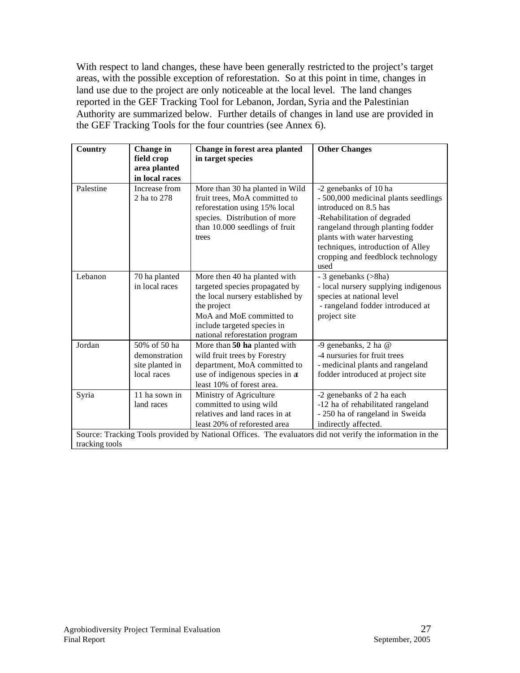With respect to land changes, these have been generally restricted to the project's target areas, with the possible exception of reforestation. So at this point in time, changes in land use due to the project are only noticeable at the local level. The land changes reported in the GEF Tracking Tool for Lebanon, Jordan, Syria and the Palestinian Authority are summarized below. Further details of changes in land use are provided in the GEF Tracking Tools for the four countries (see Annex 6).

| Country        | Change in<br>field crop<br>area planted<br>in local races       | Change in forest area planted<br>in target species                                                                                                                                                             | <b>Other Changes</b>                                                                                                                                                                                                                                                         |
|----------------|-----------------------------------------------------------------|----------------------------------------------------------------------------------------------------------------------------------------------------------------------------------------------------------------|------------------------------------------------------------------------------------------------------------------------------------------------------------------------------------------------------------------------------------------------------------------------------|
| Palestine      | Increase from<br>2 ha to 278                                    | More than 30 ha planted in Wild<br>fruit trees, MoA committed to<br>reforestation using 15% local<br>species. Distribution of more<br>than 10.000 seedlings of fruit<br>trees                                  | -2 genebanks of 10 ha<br>- 500,000 medicinal plants seedlings<br>introduced on 8.5 has<br>-Rehabilitation of degraded<br>rangeland through planting fodder<br>plants with water harvesting<br>techniques, introduction of Alley<br>cropping and feedblock technology<br>used |
| Lebanon        | 70 ha planted<br>in local races                                 | More then 40 ha planted with<br>targeted species propagated by<br>the local nursery established by<br>the project<br>MoA and MoE committed to<br>include targeted species in<br>national reforestation program | - 3 genebanks (>8ha)<br>- local nursery supplying indigenous<br>species at national level<br>- rangeland fodder introduced at<br>project site                                                                                                                                |
| Jordan         | 50% of 50 ha<br>demonstration<br>site planted in<br>local races | More than 50 ha planted with<br>wild fruit trees by Forestry<br>department, MoA committed to<br>use of indigenous species in at<br>least 10% of forest area.                                                   | -9 genebanks, 2 ha @<br>-4 nursuries for fruit trees<br>- medicinal plants and rangeland<br>fodder introduced at project site                                                                                                                                                |
| Syria          | 11 ha sown in<br>land races                                     | Ministry of Agriculture<br>committed to using wild<br>relatives and land races in at<br>least 20% of reforested area                                                                                           | -2 genebanks of 2 ha each<br>-12 ha of rehabilitated rangeland<br>- 250 ha of rangeland in Sweida<br>indirectly affected.<br>Source: Tracking Tools provided by National Offices. The evaluators did not verify the information in the                                       |
| tracking tools |                                                                 |                                                                                                                                                                                                                |                                                                                                                                                                                                                                                                              |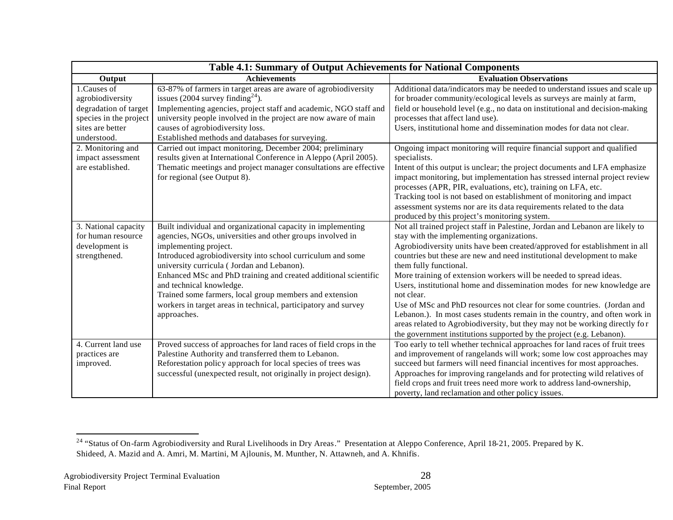|                                                                                                                       | Table 4.1: Summary of Output Achievements for National Components                                                                                                                                                                                                                                                                                                                                                                                                                                          |                                                                                                                                                                                                                                                                                                                                                                                                                                                                                                                                                                                                                                                                                                                                                                                           |  |  |  |  |  |
|-----------------------------------------------------------------------------------------------------------------------|------------------------------------------------------------------------------------------------------------------------------------------------------------------------------------------------------------------------------------------------------------------------------------------------------------------------------------------------------------------------------------------------------------------------------------------------------------------------------------------------------------|-------------------------------------------------------------------------------------------------------------------------------------------------------------------------------------------------------------------------------------------------------------------------------------------------------------------------------------------------------------------------------------------------------------------------------------------------------------------------------------------------------------------------------------------------------------------------------------------------------------------------------------------------------------------------------------------------------------------------------------------------------------------------------------------|--|--|--|--|--|
| Output                                                                                                                | <b>Achievements</b>                                                                                                                                                                                                                                                                                                                                                                                                                                                                                        | <b>Evaluation Observations</b>                                                                                                                                                                                                                                                                                                                                                                                                                                                                                                                                                                                                                                                                                                                                                            |  |  |  |  |  |
| 1.Causes of<br>agrobiodiversity<br>degradation of target<br>species in the project<br>sites are better<br>understood. | 63-87% of farmers in target areas are aware of agrobiodiversity<br>issues (2004 survey finding <sup>24</sup> ).<br>Implementing agencies, project staff and academic, NGO staff and<br>university people involved in the project are now aware of main<br>causes of agrobiodiversity loss.<br>Established methods and databases for surveying.                                                                                                                                                             | Additional data/indicators may be needed to understand issues and scale up<br>for broader community/ecological levels as surveys are mainly at farm,<br>field or household level (e.g., no data on institutional and decision-making<br>processes that affect land use).<br>Users, institutional home and dissemination modes for data not clear.                                                                                                                                                                                                                                                                                                                                                                                                                                         |  |  |  |  |  |
| 2. Monitoring and<br>impact assessment<br>are established.                                                            | Carried out impact monitoring, December 2004; preliminary<br>results given at International Conference in Aleppo (April 2005).<br>Thematic meetings and project manager consultations are effective<br>for regional (see Output 8).                                                                                                                                                                                                                                                                        | Ongoing impact monitoring will require financial support and qualified<br>specialists.<br>Intent of this output is unclear; the project documents and LFA emphasize<br>impact monitoring, but implementation has stressed internal project review<br>processes (APR, PIR, evaluations, etc), training on LFA, etc.<br>Tracking tool is not based on establishment of monitoring and impact<br>assessment systems nor are its data requirements related to the data<br>produced by this project's monitoring system.                                                                                                                                                                                                                                                                       |  |  |  |  |  |
| 3. National capacity<br>for human resource<br>development is<br>strengthened.                                         | Built individual and organizational capacity in implementing<br>agencies, NGOs, universities and other groups involved in<br>implementing project.<br>Introduced agrobiodiversity into school curriculum and some<br>university curricula (Jordan and Lebanon).<br>Enhanced MSc and PhD training and created additional scientific<br>and technical knowledge.<br>Trained some farmers, local group members and extension<br>workers in target areas in technical, participatory and survey<br>approaches. | Not all trained project staff in Palestine, Jordan and Lebanon are likely to<br>stay with the implementing organizations.<br>Agrobiodiversity units have been created/approved for establishment in all<br>countries but these are new and need institutional development to make<br>them fully functional.<br>More training of extension workers will be needed to spread ideas.<br>Users, institutional home and dissemination modes for new knowledge are<br>not clear.<br>Use of MSc and PhD resources not clear for some countries. (Jordan and<br>Lebanon.). In most cases students remain in the country, and often work in<br>areas related to Agrobiodiversity, but they may not be working directly for<br>the government institutions supported by the project (e.g. Lebanon). |  |  |  |  |  |
| 4. Current land use<br>practices are<br>improved.                                                                     | Proved success of approaches for land races of field crops in the<br>Palestine Authority and transferred them to Lebanon.<br>Reforestation policy approach for local species of trees was<br>successful (unexpected result, not originally in project design).                                                                                                                                                                                                                                             | Too early to tell whether technical approaches for land races of fruit trees<br>and improvement of rangelands will work; some low cost approaches may<br>succeed but farmers will need financial incentives for most approaches.<br>Approaches for improving rangelands and for protecting wild relatives of<br>field crops and fruit trees need more work to address land-ownership,<br>poverty, land reclamation and other policy issues.                                                                                                                                                                                                                                                                                                                                               |  |  |  |  |  |

<sup>&</sup>lt;sup>24</sup> "Status of On-farm Agrobiodiversity and Rural Livelihoods in Dry Areas." Presentation at Aleppo Conference, April 18-21, 2005. Prepared by K. Shideed, A. Mazid and A. Amri, M. Martini, M Ajlounis, M. Munther, N. Attawneh, and A. Khnifis.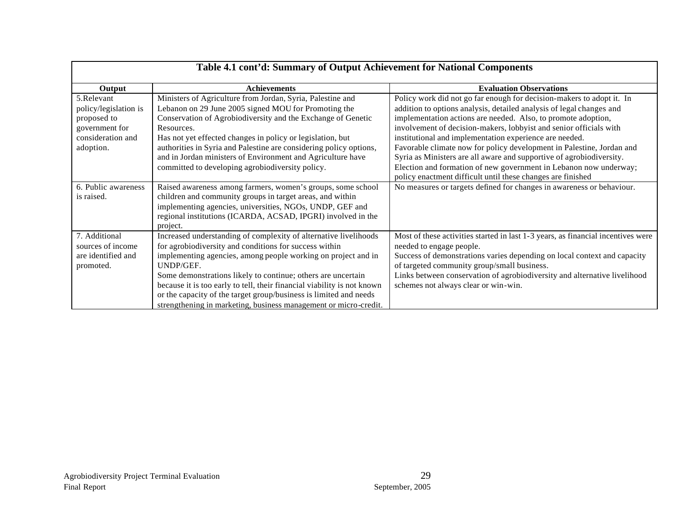| Table 4.1 cont'd: Summary of Output Achievement for National Components |                                                                         |                                                                                  |  |
|-------------------------------------------------------------------------|-------------------------------------------------------------------------|----------------------------------------------------------------------------------|--|
| Output                                                                  | <b>Achievements</b>                                                     | <b>Evaluation Observations</b>                                                   |  |
| 5.Relevant                                                              | Ministers of Agriculture from Jordan, Syria, Palestine and              | Policy work did not go far enough for decision-makers to adopt it. In            |  |
| policy/legislation is                                                   | Lebanon on 29 June 2005 signed MOU for Promoting the                    | addition to options analysis, detailed analysis of legal changes and             |  |
| proposed to                                                             | Conservation of Agrobiodiversity and the Exchange of Genetic            | implementation actions are needed. Also, to promote adoption,                    |  |
| government for                                                          | Resources.                                                              | involvement of decision-makers, lobbyist and senior officials with               |  |
| consideration and                                                       | Has not yet effected changes in policy or legislation, but              | institutional and implementation experience are needed.                          |  |
| adoption.                                                               | authorities in Syria and Palestine are considering policy options,      | Favorable climate now for policy development in Palestine, Jordan and            |  |
|                                                                         | and in Jordan ministers of Environment and Agriculture have             | Syria as Ministers are all aware and supportive of agrobiodiversity.             |  |
|                                                                         | committed to developing agrobiodiversity policy.                        | Election and formation of new government in Lebanon now underway;                |  |
|                                                                         |                                                                         | policy enactment difficult until these changes are finished                      |  |
| 6. Public awareness                                                     | Raised awareness among farmers, women's groups, some school             | No measures or targets defined for changes in awareness or behaviour.            |  |
| is raised.                                                              | children and community groups in target areas, and within               |                                                                                  |  |
|                                                                         | implementing agencies, universities, NGOs, UNDP, GEF and                |                                                                                  |  |
|                                                                         | regional institutions (ICARDA, ACSAD, IPGRI) involved in the            |                                                                                  |  |
|                                                                         | project.                                                                |                                                                                  |  |
| 7. Additional                                                           | Increased understanding of complexity of alternative livelihoods        | Most of these activities started in last 1-3 years, as financial incentives were |  |
| sources of income                                                       | for agrobiodiversity and conditions for success within                  | needed to engage people.                                                         |  |
| are identified and                                                      | implementing agencies, among people working on project and in           | Success of demonstrations varies depending on local context and capacity         |  |
| promoted.                                                               | UNDP/GEF.                                                               | of targeted community group/small business.                                      |  |
|                                                                         | Some demonstrations likely to continue; others are uncertain            | Links between conservation of agrobiodiversity and alternative livelihood        |  |
|                                                                         | because it is too early to tell, their financial viability is not known | schemes not always clear or win-win.                                             |  |
|                                                                         | or the capacity of the target group/business is limited and needs       |                                                                                  |  |
|                                                                         | strengthening in marketing, business management or micro-credit.        |                                                                                  |  |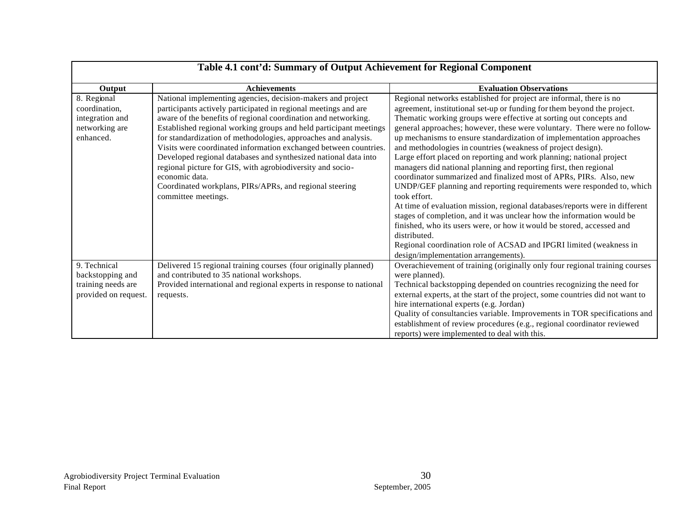| Table 4.1 cont'd: Summary of Output Achievement for Regional Component |                                                                     |                                                                                       |  |
|------------------------------------------------------------------------|---------------------------------------------------------------------|---------------------------------------------------------------------------------------|--|
| Output                                                                 | <b>Achievements</b>                                                 | <b>Evaluation Observations</b>                                                        |  |
| 8. Regional                                                            | National implementing agencies, decision-makers and project         | Regional networks established for project are informal, there is no                   |  |
| coordination,                                                          | participants actively participated in regional meetings and are     | agreement, institutional set-up or funding for them beyond the project.               |  |
| integration and                                                        | aware of the benefits of regional coordination and networking.      | Thematic working groups were effective at sorting out concepts and                    |  |
| networking are                                                         | Established regional working groups and held participant meetings   | general approaches; however, these were voluntary. There were no follow-              |  |
| enhanced.                                                              | for standardization of methodologies, approaches and analysis.      | up mechanisms to ensure standardization of implementation approaches                  |  |
|                                                                        | Visits were coordinated information exchanged between countries.    | and methodologies in countries (weakness of project design).                          |  |
|                                                                        | Developed regional databases and synthesized national data into     | Large effort placed on reporting and work planning; national project                  |  |
|                                                                        | regional picture for GIS, with agrobiodiversity and socio-          | managers did national planning and reporting first, then regional                     |  |
|                                                                        | economic data.                                                      | coordinator summarized and finalized most of APRs, PIRs. Also, new                    |  |
|                                                                        | Coordinated workplans, PIRs/APRs, and regional steering             | UNDP/GEF planning and reporting requirements were responded to, which                 |  |
|                                                                        | committee meetings.                                                 | took effort.                                                                          |  |
|                                                                        |                                                                     | At time of evaluation mission, regional databases/reports were in different           |  |
|                                                                        |                                                                     | stages of completion, and it was unclear how the information would be                 |  |
|                                                                        |                                                                     | finished, who its users were, or how it would be stored, accessed and<br>distributed. |  |
|                                                                        |                                                                     | Regional coordination role of ACSAD and IPGRI limited (weakness in                    |  |
|                                                                        |                                                                     | design/implementation arrangements).                                                  |  |
| 9. Technical                                                           | Delivered 15 regional training courses (four originally planned)    | Overachievement of training (originally only four regional training courses           |  |
| backstopping and                                                       | and contributed to 35 national workshops.                           | were planned).                                                                        |  |
| training needs are                                                     | Provided international and regional experts in response to national | Technical backstopping depended on countries recognizing the need for                 |  |
| provided on request.                                                   | requests.                                                           | external experts, at the start of the project, some countries did not want to         |  |
|                                                                        |                                                                     | hire international experts (e.g. Jordan)                                              |  |
|                                                                        |                                                                     | Quality of consultancies variable. Improvements in TOR specifications and             |  |
|                                                                        |                                                                     | establishment of review procedures (e.g., regional coordinator reviewed               |  |
|                                                                        |                                                                     | reports) were implemented to deal with this.                                          |  |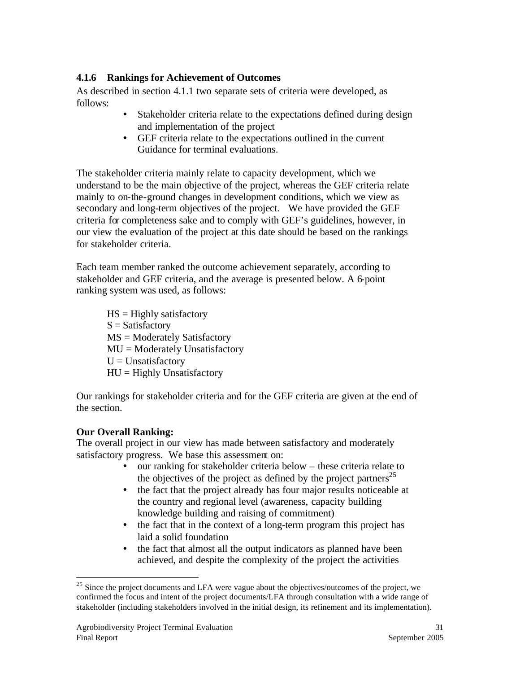## **4.1.6 Rankings for Achievement of Outcomes**

As described in section 4.1.1 two separate sets of criteria were developed, as follows:

- Stakeholder criteria relate to the expectations defined during design and implementation of the project
- GEF criteria relate to the expectations outlined in the current Guidance for terminal evaluations.

The stakeholder criteria mainly relate to capacity development, which we understand to be the main objective of the project, whereas the GEF criteria relate mainly to on-the-ground changes in development conditions, which we view as secondary and long-term objectives of the project. We have provided the GEF criteria for completeness sake and to comply with GEF's guidelines, however, in our view the evaluation of the project at this date should be based on the rankings for stakeholder criteria.

Each team member ranked the outcome achievement separately, according to stakeholder and GEF criteria, and the average is presented below. A 6-point ranking system was used, as follows:

 $HS =$  Highly satisfactory  $S = Satisfactory$ MS = Moderately Satisfactory MU = Moderately Unsatisfactory  $U =$ Unsatisfactory  $HU = Highly Unsatisfactory$ 

Our rankings for stakeholder criteria and for the GEF criteria are given at the end of the section.

#### **Our Overall Ranking:**

 $\overline{a}$ 

The overall project in our view has made between satisfactory and moderately satisfactory progress. We base this assessment on:

- our ranking for stakeholder criteria below these criteria relate to the objectives of the project as defined by the project partners<sup>25</sup>
- the fact that the project already has four major results noticeable at the country and regional level (awareness, capacity building knowledge building and raising of commitment)
- the fact that in the context of a long-term program this project has laid a solid foundation
- the fact that almost all the output indicators as planned have been achieved, and despite the complexity of the project the activities

<sup>&</sup>lt;sup>25</sup> Since the project documents and LFA were vague about the objectives/outcomes of the project, we confirmed the focus and intent of the project documents/LFA through consultation with a wide range of stakeholder (including stakeholders involved in the initial design, its refinement and its implementation).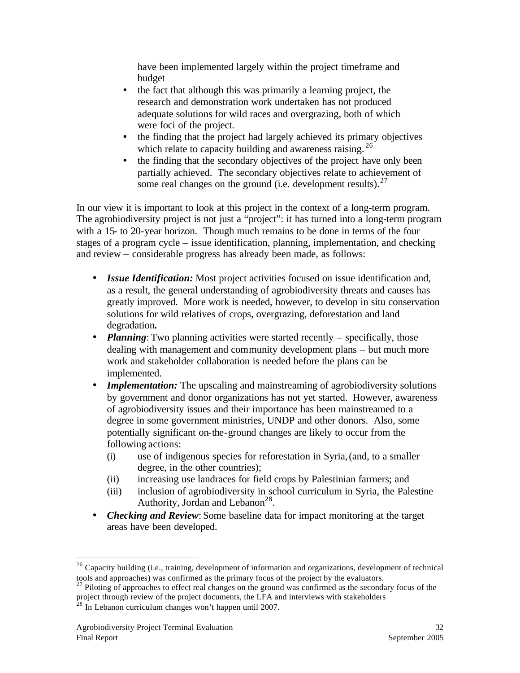have been implemented largely within the project timeframe and budget

- the fact that although this was primarily a learning project, the research and demonstration work undertaken has not produced adequate solutions for wild races and overgrazing, both of which were foci of the project.
- the finding that the project had largely achieved its primary objectives which relate to capacity building and awareness raising.<sup>26</sup>
- the finding that the secondary objectives of the project have only been partially achieved. The secondary objectives relate to achievement of some real changes on the ground (i.e. development results). $27$

In our view it is important to look at this project in the context of a long-term program. The agrobiodiversity project is not just a "project": it has turned into a long-term program with a 15- to 20-year horizon. Though much remains to be done in terms of the four stages of a program cycle – issue identification, planning, implementation, and checking and review – considerable progress has already been made, as follows:

- *Issue Identification:* Most project activities focused on issue identification and, as a result, the general understanding of agrobiodiversity threats and causes has greatly improved. More work is needed, however, to develop in situ conservation solutions for wild relatives of crops, overgrazing, deforestation and land degradation*.*
- *Planning*: Two planning activities were started recently specifically, those dealing with management and community development plans – but much more work and stakeholder collaboration is needed before the plans can be implemented.
- *Implementation:* The upscaling and mainstreaming of agrobiodiversity solutions by government and donor organizations has not yet started. However, awareness of agrobiodiversity issues and their importance has been mainstreamed to a degree in some government ministries, UNDP and other donors. Also, some potentially significant on-the-ground changes are likely to occur from the following actions:
	- (i) use of indigenous species for reforestation in Syria,(and, to a smaller degree, in the other countries);
	- (ii) increasing use landraces for field crops by Palestinian farmers; and
	- (iii) inclusion of agrobiodiversity in school curriculum in Syria, the Palestine Authority, Jordan and Lebanon<sup>28</sup>.
- *Checking and Review*: Some baseline data for impact monitoring at the target areas have been developed.

 $26$  Capacity building (i.e., training, development of information and organizations, development of technical tools and approaches) was confirmed as the primary focus of the project by the evaluators.

<sup>&</sup>lt;sup>27</sup> Piloting of approaches to effect real changes on the ground was confirmed as the secondary focus of the project through review of the project documents, the LFA and interviews with stakeholders

 $^{28}$  In Lebanon curriculum changes won't happen until 2007.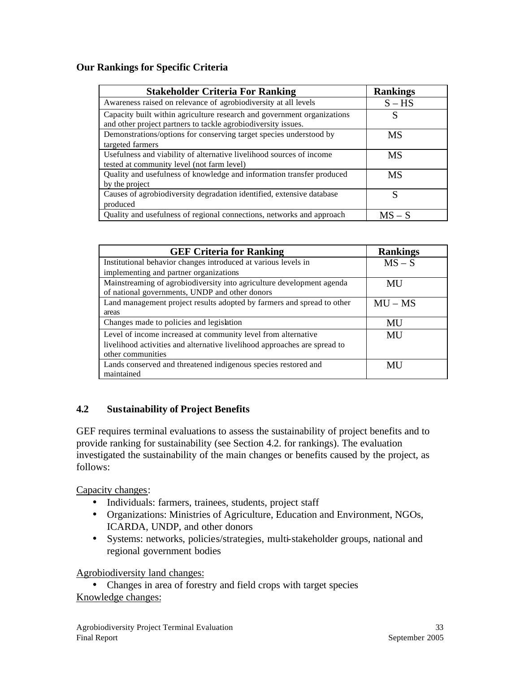## **Our Rankings for Specific Criteria**

| <b>Stakeholder Criteria For Ranking</b>                                                                                                  | <b>Rankings</b> |
|------------------------------------------------------------------------------------------------------------------------------------------|-----------------|
| Awareness raised on relevance of agrobiodiversity at all levels                                                                          | $S - HS$        |
| Capacity built within agriculture research and government organizations<br>and other project partners to tackle agrobiodiversity issues. | S               |
| Demonstrations/options for conserving target species understood by<br>targeted farmers                                                   | <b>MS</b>       |
| Usefulness and viability of alternative livelihood sources of income<br>tested at community level (not farm level)                       | MS              |
| Quality and usefulness of knowledge and information transfer produced<br>by the project                                                  | MS              |
| Causes of agrobiodiversity degradation identified, extensive database<br>produced                                                        | S               |
| Quality and usefulness of regional connections, networks and approach                                                                    | $MS - S$        |

| <b>GEF Criteria for Ranking</b>                                           | <b>Rankings</b> |
|---------------------------------------------------------------------------|-----------------|
| Institutional behavior changes introduced at various levels in            | $MS - S$        |
| implementing and partner organizations                                    |                 |
| Mainstreaming of agrobiodiversity into agriculture development agenda     | <b>MU</b>       |
| of national governments, UNDP and other donors                            |                 |
| Land management project results adopted by farmers and spread to other    | $MU - MS$       |
| areas                                                                     |                 |
| Changes made to policies and legislation                                  | MU              |
| Level of income increased at community level from alternative             | MU              |
| livelihood activities and alternative livelihood approaches are spread to |                 |
| other communities                                                         |                 |
| Lands conserved and threatened indigenous species restored and            | MU              |
| maintained                                                                |                 |

## **4.2 Sustainability of Project Benefits**

GEF requires terminal evaluations to assess the sustainability of project benefits and to provide ranking for sustainability (see Section 4.2. for rankings). The evaluation investigated the sustainability of the main changes or benefits caused by the project, as follows:

Capacity changes:

- Individuals: farmers, trainees, students, project staff
- Organizations: Ministries of Agriculture, Education and Environment, NGOs, ICARDA, UNDP, and other donors
- Systems: networks, policies/strategies, multi-stakeholder groups, national and regional government bodies

Agrobiodiversity land changes:

• Changes in area of forestry and field crops with target species Knowledge changes: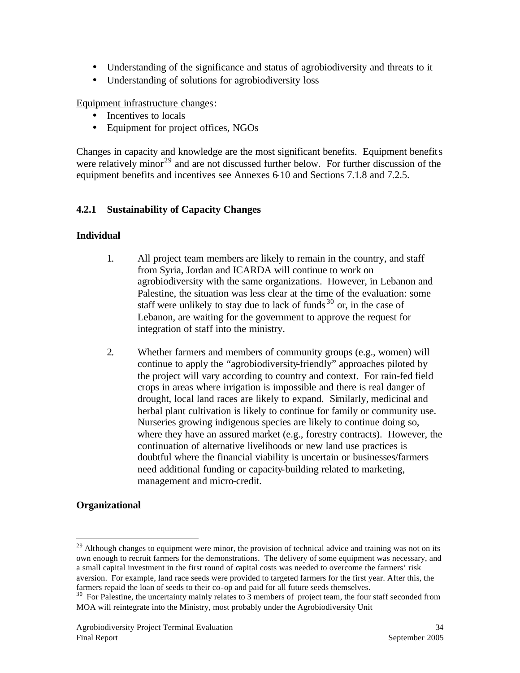- Understanding of the significance and status of agrobiodiversity and threats to it
- Understanding of solutions for agrobiodiversity loss

Equipment infrastructure changes:

- Incentives to locals
- Equipment for project offices, NGOs

Changes in capacity and knowledge are the most significant benefits. Equipment benefits were relatively minor<sup>29</sup> and are not discussed further below. For further discussion of the equipment benefits and incentives see Annexes 6-10 and Sections 7.1.8 and 7.2.5.

#### **4.2.1 Sustainability of Capacity Changes**

#### **Individual**

- 1. All project team members are likely to remain in the country, and staff from Syria, Jordan and ICARDA will continue to work on agrobiodiversity with the same organizations. However, in Lebanon and Palestine, the situation was less clear at the time of the evaluation: some staff were unlikely to stay due to lack of funds  $30$  or, in the case of Lebanon, are waiting for the government to approve the request for integration of staff into the ministry.
- 2. Whether farmers and members of community groups (e.g., women) will continue to apply the "agrobiodiversity-friendly" approaches piloted by the project will vary according to country and context. For rain-fed field crops in areas where irrigation is impossible and there is real danger of drought, local land races are likely to expand. Similarly, medicinal and herbal plant cultivation is likely to continue for family or community use. Nurseries growing indigenous species are likely to continue doing so, where they have an assured market (e.g., forestry contracts). However, the continuation of alternative livelihoods or new land use practices is doubtful where the financial viability is uncertain or businesses/farmers need additional funding or capacity-building related to marketing, management and micro-credit.

#### **Organizational**

<sup>&</sup>lt;sup>29</sup> Although changes to equipment were minor, the provision of technical advice and training was not on its own enough to recruit farmers for the demonstrations. The delivery of some equipment was necessary, and a small capital investment in the first round of capital costs was needed to overcome the farmers' risk aversion. For example, land race seeds were provided to targeted farmers for the first year. After this, the farmers repaid the loan of seeds to their co-op and paid for all future seeds themselves.

 $30\text{ F}$  For Palestine, the uncertainty mainly relates to  $\overline{3}$  members of project team, the four staff seconded from MOA will reintegrate into the Ministry, most probably under the Agrobiodiversity Unit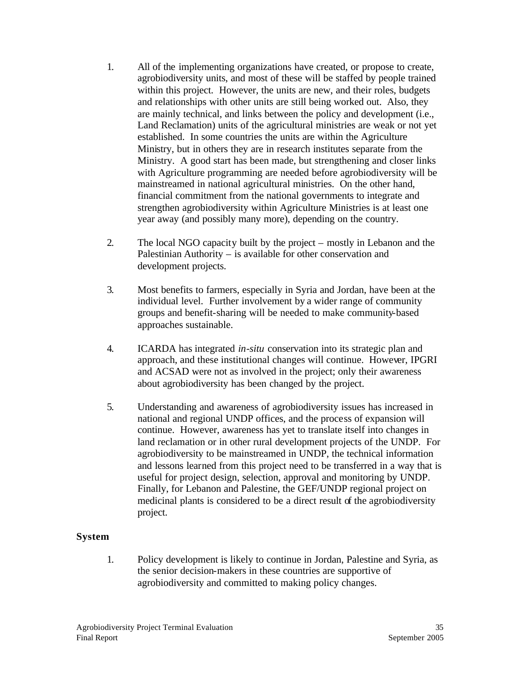- 1. All of the implementing organizations have created, or propose to create, agrobiodiversity units, and most of these will be staffed by people trained within this project. However, the units are new, and their roles, budgets and relationships with other units are still being worked out. Also, they are mainly technical, and links between the policy and development (i.e., Land Reclamation) units of the agricultural ministries are weak or not yet established. In some countries the units are within the Agriculture Ministry, but in others they are in research institutes separate from the Ministry. A good start has been made, but strengthening and closer links with Agriculture programming are needed before agrobiodiversity will be mainstreamed in national agricultural ministries. On the other hand, financial commitment from the national governments to integrate and strengthen agrobiodiversity within Agriculture Ministries is at least one year away (and possibly many more), depending on the country.
- 2. The local NGO capacity built by the project mostly in Lebanon and the Palestinian Authority – is available for other conservation and development projects.
- 3. Most benefits to farmers, especially in Syria and Jordan, have been at the individual level. Further involvement by a wider range of community groups and benefit-sharing will be needed to make community-based approaches sustainable.
- 4. ICARDA has integrated *in-situ* conservation into its strategic plan and approach, and these institutional changes will continue. However, IPGRI and ACSAD were not as involved in the project; only their awareness about agrobiodiversity has been changed by the project.
- 5. Understanding and awareness of agrobiodiversity issues has increased in national and regional UNDP offices, and the process of expansion will continue. However, awareness has yet to translate itself into changes in land reclamation or in other rural development projects of the UNDP. For agrobiodiversity to be mainstreamed in UNDP, the technical information and lessons learned from this project need to be transferred in a way that is useful for project design, selection, approval and monitoring by UNDP. Finally, for Lebanon and Palestine, the GEF/UNDP regional project on medicinal plants is considered to be a direct result of the agrobiodiversity project.

#### **System**

1. Policy development is likely to continue in Jordan, Palestine and Syria, as the senior decision-makers in these countries are supportive of agrobiodiversity and committed to making policy changes.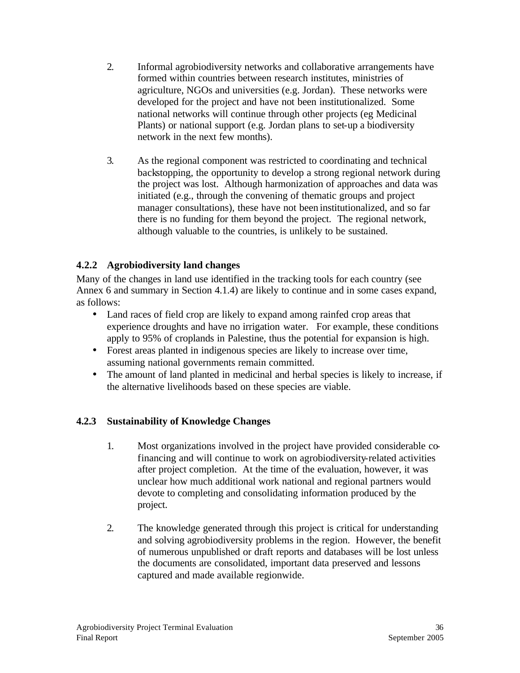- 2. Informal agrobiodiversity networks and collaborative arrangements have formed within countries between research institutes, ministries of agriculture, NGOs and universities (e.g. Jordan). These networks were developed for the project and have not been institutionalized. Some national networks will continue through other projects (eg Medicinal Plants) or national support (e.g. Jordan plans to set-up a biodiversity network in the next few months).
- 3. As the regional component was restricted to coordinating and technical backstopping, the opportunity to develop a strong regional network during the project was lost. Although harmonization of approaches and data was initiated (e.g., through the convening of thematic groups and project manager consultations), these have not been institutionalized, and so far there is no funding for them beyond the project. The regional network, although valuable to the countries, is unlikely to be sustained.

## **4.2.2 Agrobiodiversity land changes**

Many of the changes in land use identified in the tracking tools for each country (see Annex 6 and summary in Section 4.1.4) are likely to continue and in some cases expand, as follows:

- Land races of field crop are likely to expand among rainfed crop areas that experience droughts and have no irrigation water. For example, these conditions apply to 95% of croplands in Palestine, thus the potential for expansion is high.
- Forest areas planted in indigenous species are likely to increase over time, assuming national governments remain committed.
- The amount of land planted in medicinal and herbal species is likely to increase, if the alternative livelihoods based on these species are viable.

## **4.2.3 Sustainability of Knowledge Changes**

- 1. Most organizations involved in the project have provided considerable cofinancing and will continue to work on agrobiodiversity-related activities after project completion. At the time of the evaluation, however, it was unclear how much additional work national and regional partners would devote to completing and consolidating information produced by the project.
- 2. The knowledge generated through this project is critical for understanding and solving agrobiodiversity problems in the region. However, the benefit of numerous unpublished or draft reports and databases will be lost unless the documents are consolidated, important data preserved and lessons captured and made available regionwide.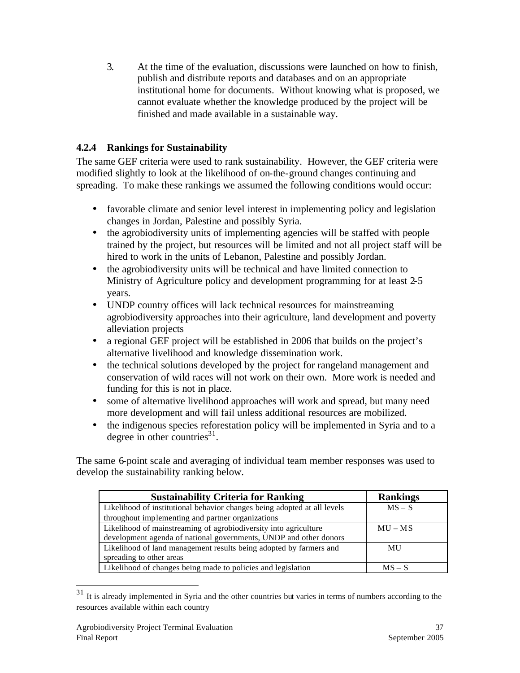3. At the time of the evaluation, discussions were launched on how to finish, publish and distribute reports and databases and on an appropriate institutional home for documents. Without knowing what is proposed, we cannot evaluate whether the knowledge produced by the project will be finished and made available in a sustainable way.

# **4.2.4 Rankings for Sustainability**

The same GEF criteria were used to rank sustainability. However, the GEF criteria were modified slightly to look at the likelihood of on-the-ground changes continuing and spreading. To make these rankings we assumed the following conditions would occur:

- favorable climate and senior level interest in implementing policy and legislation changes in Jordan, Palestine and possibly Syria.
- the agrobiodiversity units of implementing agencies will be staffed with people trained by the project, but resources will be limited and not all project staff will be hired to work in the units of Lebanon, Palestine and possibly Jordan.
- the agrobiodiversity units will be technical and have limited connection to Ministry of Agriculture policy and development programming for at least 2-5 years.
- UNDP country offices will lack technical resources for mainstreaming agrobiodiversity approaches into their agriculture, land development and poverty alleviation projects
- a regional GEF project will be established in 2006 that builds on the project's alternative livelihood and knowledge dissemination work.
- the technical solutions developed by the project for rangeland management and conservation of wild races will not work on their own. More work is needed and funding for this is not in place.
- some of alternative livelihood approaches will work and spread, but many need more development and will fail unless additional resources are mobilized.
- the indigenous species reforestation policy will be implemented in Syria and to a degree in other countries<sup>31</sup>.

The same 6-point scale and averaging of individual team member responses was used to develop the sustainability ranking below.

| <b>Sustainability Criteria for Ranking</b>                               | <b>Rankings</b> |
|--------------------------------------------------------------------------|-----------------|
| Likelihood of institutional behavior changes being adopted at all levels | $MS - S$        |
| throughout implementing and partner organizations                        |                 |
| Likelihood of mainstreaming of agrobiodiversity into agriculture         | $MU - MS$       |
| development agenda of national governments, UNDP and other donors        |                 |
| Likelihood of land management results being adopted by farmers and       | MU              |
| spreading to other areas                                                 |                 |
| Likelihood of changes being made to policies and legislation             | $MS - S$        |

 $31$  It is already implemented in Syria and the other countries but varies in terms of numbers according to the resources available within each country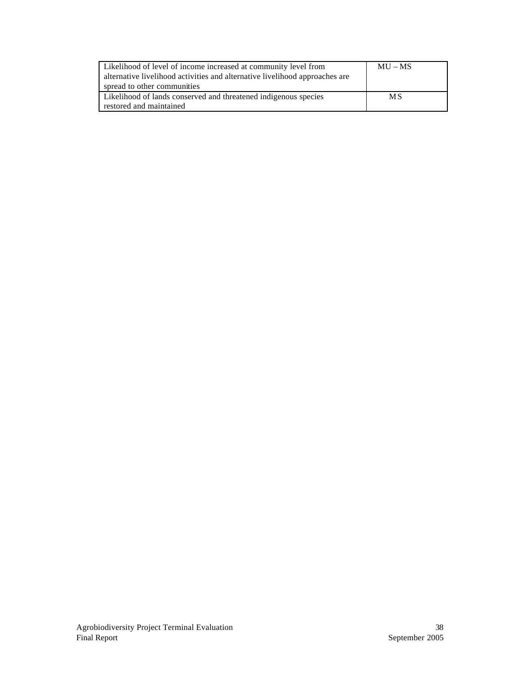| Likelihood of level of income increased at community level from<br>alternative livelihood activities and alternative livelihood approaches are<br>spread to other communities | $MU - MS$ |
|-------------------------------------------------------------------------------------------------------------------------------------------------------------------------------|-----------|
| Likelihood of lands conserved and threatened indigenous species                                                                                                               | <b>MS</b> |
| restored and maintained                                                                                                                                                       |           |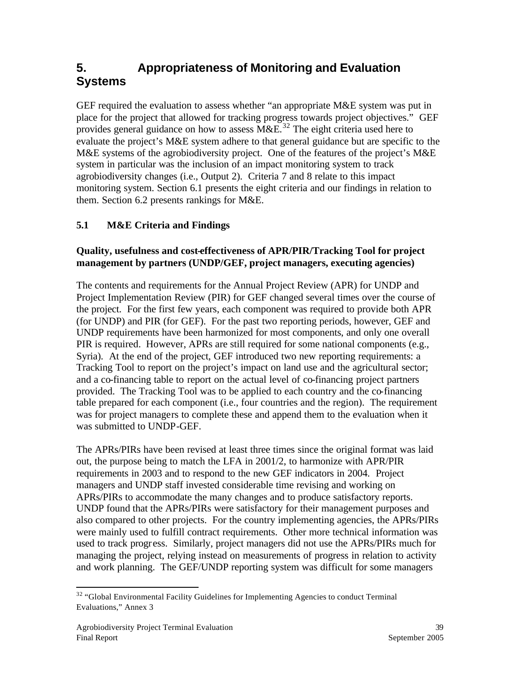# **5. Appropriateness of Monitoring and Evaluation Systems**

GEF required the evaluation to assess whether "an appropriate M&E system was put in place for the project that allowed for tracking progress towards project objectives." GEF provides general guidance on how to assess  $M\&E^{32}$ . The eight criteria used here to evaluate the project's M&E system adhere to that general guidance but are specific to the M&E systems of the agrobiodiversity project. One of the features of the project's M&E system in particular was the inclusion of an impact monitoring system to track agrobiodiversity changes (i.e., Output 2). Criteria 7 and 8 relate to this impact monitoring system. Section 6.1 presents the eight criteria and our findings in relation to them. Section 6.2 presents rankings for M&E.

# **5.1 M&E Criteria and Findings**

## **Quality, usefulness and cost-effectiveness of APR/PIR/Tracking Tool for project management by partners (UNDP/GEF, project managers, executing agencies)**

The contents and requirements for the Annual Project Review (APR) for UNDP and Project Implementation Review (PIR) for GEF changed several times over the course of the project. For the first few years, each component was required to provide both APR (for UNDP) and PIR (for GEF). For the past two reporting periods, however, GEF and UNDP requirements have been harmonized for most components, and only one overall PIR is required. However, APRs are still required for some national components (e.g., Syria). At the end of the project, GEF introduced two new reporting requirements: a Tracking Tool to report on the project's impact on land use and the agricultural sector; and a co-financing table to report on the actual level of co-financing project partners provided. The Tracking Tool was to be applied to each country and the co-financing table prepared for each component (i.e., four countries and the region). The requirement was for project managers to complete these and append them to the evaluation when it was submitted to UNDP-GEF.

The APRs/PIRs have been revised at least three times since the original format was laid out, the purpose being to match the LFA in 2001/2, to harmonize with APR/PIR requirements in 2003 and to respond to the new GEF indicators in 2004. Project managers and UNDP staff invested considerable time revising and working on APRs/PIRs to accommodate the many changes and to produce satisfactory reports. UNDP found that the APRs/PIRs were satisfactory for their management purposes and also compared to other projects. For the country implementing agencies, the APRs/PIRs were mainly used to fulfill contract requirements. Other more technical information was used to track progress. Similarly, project managers did not use the APRs/PIRs much for managing the project, relying instead on measurements of progress in relation to activity and work planning. The GEF/UNDP reporting system was difficult for some managers

 $\overline{a}$  $32$  "Global Environmental Facility Guidelines for Implementing Agencies to conduct Terminal Evaluations," Annex 3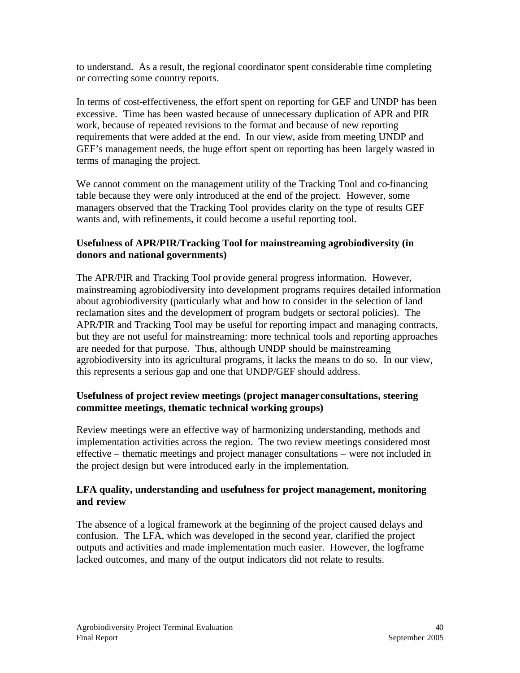to understand. As a result, the regional coordinator spent considerable time completing or correcting some country reports.

In terms of cost-effectiveness, the effort spent on reporting for GEF and UNDP has been excessive. Time has been wasted because of unnecessary duplication of APR and PIR work, because of repeated revisions to the format and because of new reporting requirements that were added at the end. In our view, aside from meeting UNDP and GEF's management needs, the huge effort spent on reporting has been largely wasted in terms of managing the project.

We cannot comment on the management utility of the Tracking Tool and co-financing table because they were only introduced at the end of the project. However, some managers observed that the Tracking Tool provides clarity on the type of results GEF wants and, with refinements, it could become a useful reporting tool.

#### **Usefulness of APR/PIR/Tracking Tool for mainstreaming agrobiodiversity (in donors and national governments)**

The APR/PIR and Tracking Tool provide general progress information. However, mainstreaming agrobiodiversity into development programs requires detailed information about agrobiodiversity (particularly what and how to consider in the selection of land reclamation sites and the development of program budgets or sectoral policies). The APR/PIR and Tracking Tool may be useful for reporting impact and managing contracts, but they are not useful for mainstreaming: more technical tools and reporting approaches are needed for that purpose. Thus, although UNDP should be mainstreaming agrobiodiversity into its agricultural programs, it lacks the means to do so. In our view, this represents a serious gap and one that UNDP/GEF should address.

## **Usefulness of project review meetings (project manager consultations, steering committee meetings, thematic technical working groups)**

Review meetings were an effective way of harmonizing understanding, methods and implementation activities across the region. The two review meetings considered most effective – thematic meetings and project manager consultations – were not included in the project design but were introduced early in the implementation.

## **LFA quality, understanding and usefulness for project management, monitoring and review**

The absence of a logical framework at the beginning of the project caused delays and confusion. The LFA, which was developed in the second year, clarified the project outputs and activities and made implementation much easier. However, the logframe lacked outcomes, and many of the output indicators did not relate to results.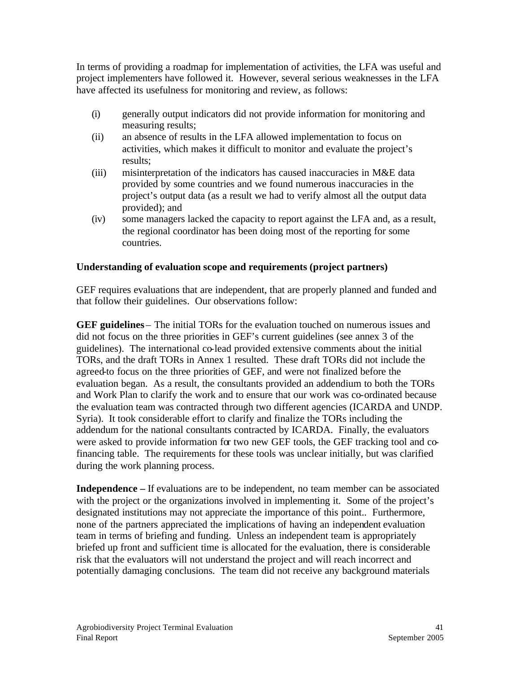In terms of providing a roadmap for implementation of activities, the LFA was useful and project implementers have followed it. However, several serious weaknesses in the LFA have affected its usefulness for monitoring and review, as follows:

- (i) generally output indicators did not provide information for monitoring and measuring results;
- (ii) an absence of results in the LFA allowed implementation to focus on activities, which makes it difficult to monitor and evaluate the project's results;
- (iii) misinterpretation of the indicators has caused inaccuracies in M&E data provided by some countries and we found numerous inaccuracies in the project's output data (as a result we had to verify almost all the output data provided); and
- (iv) some managers lacked the capacity to report against the LFA and, as a result, the regional coordinator has been doing most of the reporting for some countries.

## **Understanding of evaluation scope and requirements (project partners)**

GEF requires evaluations that are independent, that are properly planned and funded and that follow their guidelines. Our observations follow:

**GEF guidelines** – The initial TORs for the evaluation touched on numerous issues and did not focus on the three priorities in GEF's current guidelines (see annex 3 of the guidelines). The international co-lead provided extensive comments about the initial TORs, and the draft TORs in Annex 1 resulted. These draft TORs did not include the agreed-to focus on the three priorities of GEF, and were not finalized before the evaluation began. As a result, the consultants provided an addendium to both the TORs and Work Plan to clarify the work and to ensure that our work was co-ordinated because the evaluation team was contracted through two different agencies (ICARDA and UNDP. Syria). It took considerable effort to clarify and finalize the TORs including the addendum for the national consultants contracted by ICARDA. Finally, the evaluators were asked to provide information for two new GEF tools, the GEF tracking tool and cofinancing table. The requirements for these tools was unclear initially, but was clarified during the work planning process.

**Independence** – If evaluations are to be independent, no team member can be associated with the project or the organizations involved in implementing it. Some of the project's designated institutions may not appreciate the importance of this point.. Furthermore, none of the partners appreciated the implications of having an independent evaluation team in terms of briefing and funding. Unless an independent team is appropriately briefed up front and sufficient time is allocated for the evaluation, there is considerable risk that the evaluators will not understand the project and will reach incorrect and potentially damaging conclusions. The team did not receive any background materials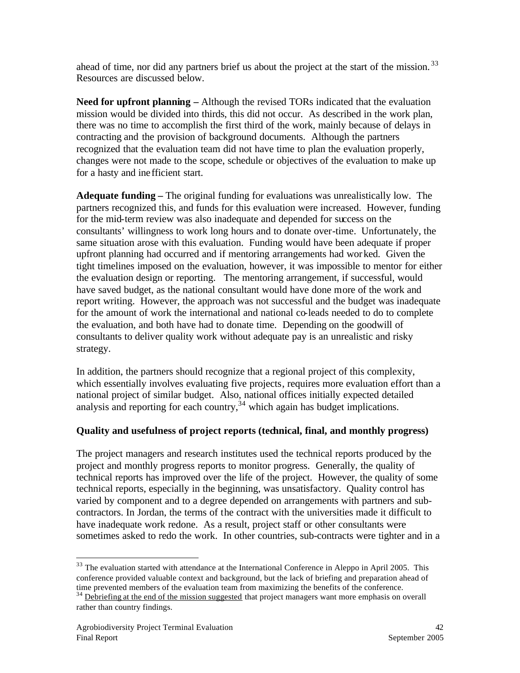ahead of time, nor did any partners brief us about the project at the start of the mission.<sup>33</sup> Resources are discussed below.

**Need for upfront planning –** Although the revised TORs indicated that the evaluation mission would be divided into thirds, this did not occur. As described in the work plan, there was no time to accomplish the first third of the work, mainly because of delays in contracting and the provision of background documents. Although the partners recognized that the evaluation team did not have time to plan the evaluation properly, changes were not made to the scope, schedule or objectives of the evaluation to make up for a hasty and inefficient start.

**Adequate funding –** The original funding for evaluations was unrealistically low. The partners recognized this, and funds for this evaluation were increased. However, funding for the mid-term review was also inadequate and depended for success on the consultants' willingness to work long hours and to donate over-time. Unfortunately, the same situation arose with this evaluation. Funding would have been adequate if proper upfront planning had occurred and if mentoring arrangements had worked. Given the tight timelines imposed on the evaluation, however, it was impossible to mentor for either the evaluation design or reporting. The mentoring arrangement, if successful, would have saved budget, as the national consultant would have done more of the work and report writing. However, the approach was not successful and the budget was inadequate for the amount of work the international and national co-leads needed to do to complete the evaluation, and both have had to donate time. Depending on the goodwill of consultants to deliver quality work without adequate pay is an unrealistic and risky strategy.

In addition, the partners should recognize that a regional project of this complexity, which essentially involves evaluating five projects, requires more evaluation effort than a national project of similar budget. Also, national offices initially expected detailed analysis and reporting for each country,  $34$  which again has budget implications.

# **Quality and usefulness of project reports (technical, final, and monthly progress)**

The project managers and research institutes used the technical reports produced by the project and monthly progress reports to monitor progress. Generally, the quality of technical reports has improved over the life of the project. However, the quality of some technical reports, especially in the beginning, was unsatisfactory. Quality control has varied by component and to a degree depended on arrangements with partners and subcontractors. In Jordan, the terms of the contract with the universities made it difficult to have inadequate work redone. As a result, project staff or other consultants were sometimes asked to redo the work. In other countries, sub-contracts were tighter and in a

 $\overline{a}$  $33$  The evaluation started with attendance at the International Conference in Aleppo in April 2005. This conference provided valuable context and background, but the lack of briefing and preparation ahead of time prevented members of the evaluation team from maximizing the benefits of the conference.

<sup>&</sup>lt;sup>34</sup> Debriefing at the end of the mission suggested that project managers want more emphasis on overall rather than country findings.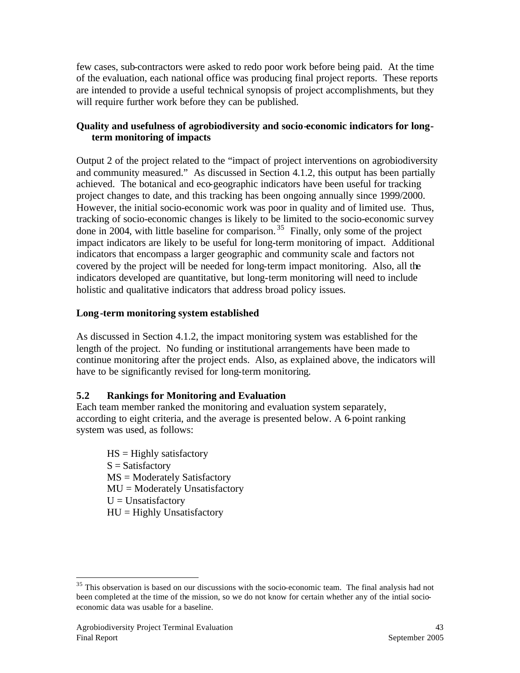few cases, sub-contractors were asked to redo poor work before being paid. At the time of the evaluation, each national office was producing final project reports. These reports are intended to provide a useful technical synopsis of project accomplishments, but they will require further work before they can be published.

## **Quality and usefulness of agrobiodiversity and socio-economic indicators for longterm monitoring of impacts**

Output 2 of the project related to the "impact of project interventions on agrobiodiversity and community measured." As discussed in Section 4.1.2, this output has been partially achieved. The botanical and eco-geographic indicators have been useful for tracking project changes to date, and this tracking has been ongoing annually since 1999/2000. However, the initial socio-economic work was poor in quality and of limited use. Thus, tracking of socio-economic changes is likely to be limited to the socio-economic survey done in 2004, with little baseline for comparison.<sup>35</sup> Finally, only some of the project impact indicators are likely to be useful for long-term monitoring of impact. Additional indicators that encompass a larger geographic and community scale and factors not covered by the project will be needed for long-term impact monitoring. Also, all the indicators developed are quantitative, but long-term monitoring will need to include holistic and qualitative indicators that address broad policy issues.

## **Long-term monitoring system established**

As discussed in Section 4.1.2, the impact monitoring system was established for the length of the project. No funding or institutional arrangements have been made to continue monitoring after the project ends. Also, as explained above, the indicators will have to be significantly revised for long-term monitoring.

## **5.2 Rankings for Monitoring and Evaluation**

Each team member ranked the monitoring and evaluation system separately, according to eight criteria, and the average is presented below. A 6-point ranking system was used, as follows:

 $HS =$  Highly satisfactory  $S = Satisfactory$ MS = Moderately Satisfactory MU = Moderately Unsatisfactory  $U =$ Unsatisfactory  $HU = Highly Unsatisfactory$ 

<sup>&</sup>lt;sup>35</sup> This observation is based on our discussions with the socio-economic team. The final analysis had not been completed at the time of the mission, so we do not know for certain whether any of the intial socioeconomic data was usable for a baseline.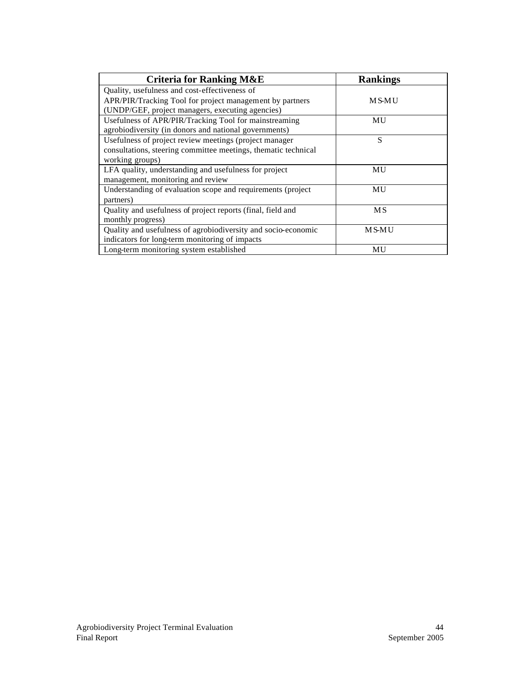| <b>Criteria for Ranking M&amp;E</b>                            | <b>Rankings</b> |
|----------------------------------------------------------------|-----------------|
| Quality, usefulness and cost-effectiveness of                  |                 |
| APR/PIR/Tracking Tool for project management by partners       | MS-MU           |
| (UNDP/GEF, project managers, executing agencies)               |                 |
| Usefulness of APR/PIR/Tracking Tool for mainstreaming          | MU              |
| agrobiodiversity (in donors and national governments)          |                 |
| Usefulness of project review meetings (project manager         | S               |
| consultations, steering committee meetings, thematic technical |                 |
| working groups)                                                |                 |
| LFA quality, understanding and usefulness for project          | MU              |
| management, monitoring and review                              |                 |
| Understanding of evaluation scope and requirements (project    | MU              |
| partners)                                                      |                 |
| Quality and usefulness of project reports (final, field and    | <b>MS</b>       |
| monthly progress)                                              |                 |
| Quality and usefulness of agrobiodiversity and socio-economic  | MS-MU           |
| indicators for long-term monitoring of impacts                 |                 |
| Long-term monitoring system established                        | <b>MU</b>       |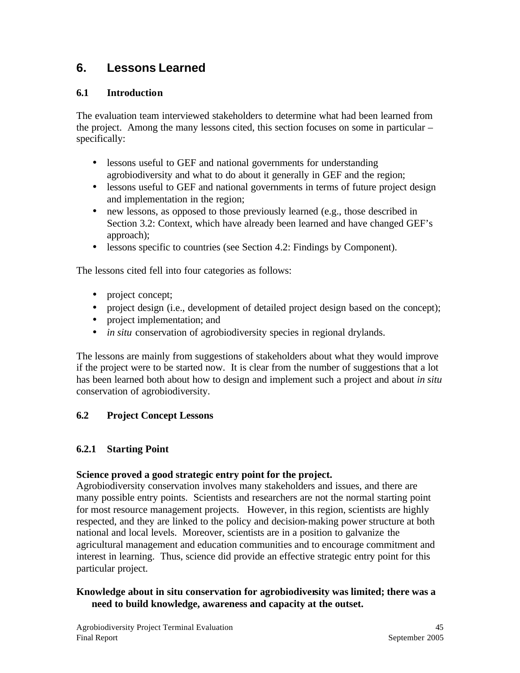# **6. Lessons Learned**

## **6.1 Introduction**

The evaluation team interviewed stakeholders to determine what had been learned from the project. Among the many lessons cited, this section focuses on some in particular – specifically:

- lessons useful to GEF and national governments for understanding agrobiodiversity and what to do about it generally in GEF and the region;
- lessons useful to GEF and national governments in terms of future project design and implementation in the region;
- new lessons, as opposed to those previously learned (e.g., those described in Section 3.2: Context, which have already been learned and have changed GEF's approach);
- lessons specific to countries (see Section 4.2: Findings by Component).

The lessons cited fell into four categories as follows:

- project concept;
- project design (i.e., development of detailed project design based on the concept);
- project implementation; and
- *in situ* conservation of agrobiodiversity species in regional drylands.

The lessons are mainly from suggestions of stakeholders about what they would improve if the project were to be started now. It is clear from the number of suggestions that a lot has been learned both about how to design and implement such a project and about *in situ* conservation of agrobiodiversity.

# **6.2 Project Concept Lessons**

## **6.2.1 Starting Point**

## **Science proved a good strategic entry point for the project.**

Agrobiodiversity conservation involves many stakeholders and issues, and there are many possible entry points. Scientists and researchers are not the normal starting point for most resource management projects. However, in this region, scientists are highly respected, and they are linked to the policy and decision-making power structure at both national and local levels. Moreover, scientists are in a position to galvanize the agricultural management and education communities and to encourage commitment and interest in learning. Thus, science did provide an effective strategic entry point for this particular project.

## **Knowledge about in situ conservation for agrobiodiversity was limited; there was a need to build knowledge, awareness and capacity at the outset.**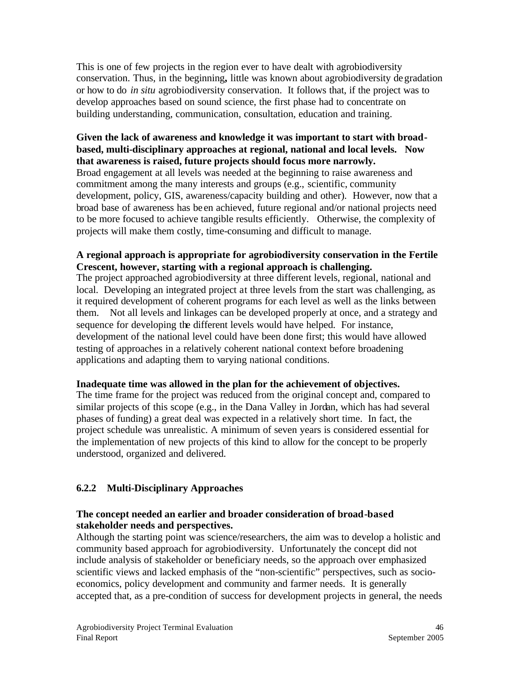This is one of few projects in the region ever to have dealt with agrobiodiversity conservation. Thus, in the beginning**,** little was known about agrobiodiversity degradation or how to do *in situ* agrobiodiversity conservation. It follows that, if the project was to develop approaches based on sound science, the first phase had to concentrate on building understanding, communication, consultation, education and training.

#### **Given the lack of awareness and knowledge it was important to start with broadbased, multi-disciplinary approaches at regional, national and local levels. Now that awareness is raised, future projects should focus more narrowly.**

Broad engagement at all levels was needed at the beginning to raise awareness and commitment among the many interests and groups (e.g., scientific, community development, policy, GIS, awareness/capacity building and other). However, now that a broad base of awareness has be en achieved, future regional and/or national projects need to be more focused to achieve tangible results efficiently. Otherwise, the complexity of projects will make them costly, time-consuming and difficult to manage.

## **A regional approach is appropriate for agrobiodiversity conservation in the Fertile Crescent, however, starting with a regional approach is challenging.**

The project approached agrobiodiversity at three different levels, regional, national and local. Developing an integrated project at three levels from the start was challenging, as it required development of coherent programs for each level as well as the links between them. Not all levels and linkages can be developed properly at once, and a strategy and sequence for developing the different levels would have helped. For instance, development of the national level could have been done first; this would have allowed testing of approaches in a relatively coherent national context before broadening applications and adapting them to varying national conditions.

#### **Inadequate time was allowed in the plan for the achievement of objectives.**

The time frame for the project was reduced from the original concept and, compared to similar projects of this scope (e.g., in the Dana Valley in Jordan, which has had several phases of funding) a great deal was expected in a relatively short time. In fact, the project schedule was unrealistic. A minimum of seven years is considered essential for the implementation of new projects of this kind to allow for the concept to be properly understood, organized and delivered.

## **6.2.2 Multi-Disciplinary Approaches**

## **The concept needed an earlier and broader consideration of broad-based stakeholder needs and perspectives.**

Although the starting point was science/researchers, the aim was to develop a holistic and community based approach for agrobiodiversity. Unfortunately the concept did not include analysis of stakeholder or beneficiary needs, so the approach over emphasized scientific views and lacked emphasis of the "non-scientific" perspectives, such as socioeconomics, policy development and community and farmer needs. It is generally accepted that, as a pre-condition of success for development projects in general, the needs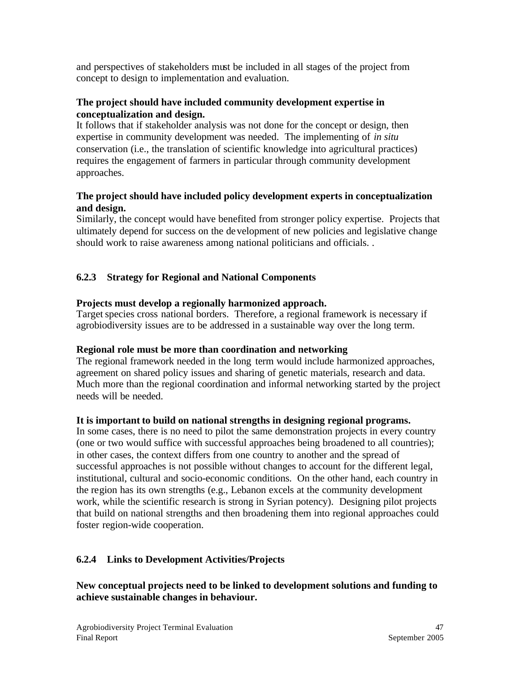and perspectives of stakeholders must be included in all stages of the project from concept to design to implementation and evaluation.

#### **The project should have included community development expertise in conceptualization and design.**

It follows that if stakeholder analysis was not done for the concept or design, then expertise in community development was needed. The implementing of *in situ* conservation (i.e., the translation of scientific knowledge into agricultural practices) requires the engagement of farmers in particular through community development approaches.

#### **The project should have included policy development experts in conceptualization and design.**

Similarly, the concept would have benefited from stronger policy expertise. Projects that ultimately depend for success on the development of new policies and legislative change should work to raise awareness among national politicians and officials. .

# **6.2.3 Strategy for Regional and National Components**

## **Projects must develop a regionally harmonized approach.**

Target species cross national borders. Therefore, a regional framework is necessary if agrobiodiversity issues are to be addressed in a sustainable way over the long term.

#### **Regional role must be more than coordination and networking**

The regional framework needed in the long term would include harmonized approaches, agreement on shared policy issues and sharing of genetic materials, research and data. Much more than the regional coordination and informal networking started by the project needs will be needed.

#### **It is important to build on national strengths in designing regional programs.**

In some cases, there is no need to pilot the same demonstration projects in every country (one or two would suffice with successful approaches being broadened to all countries); in other cases, the context differs from one country to another and the spread of successful approaches is not possible without changes to account for the different legal, institutional, cultural and socio-economic conditions. On the other hand, each country in the region has its own strengths (e.g., Lebanon excels at the community development work, while the scientific research is strong in Syrian potency). Designing pilot projects that build on national strengths and then broadening them into regional approaches could foster region-wide cooperation.

## **6.2.4 Links to Development Activities/Projects**

**New conceptual projects need to be linked to development solutions and funding to achieve sustainable changes in behaviour.**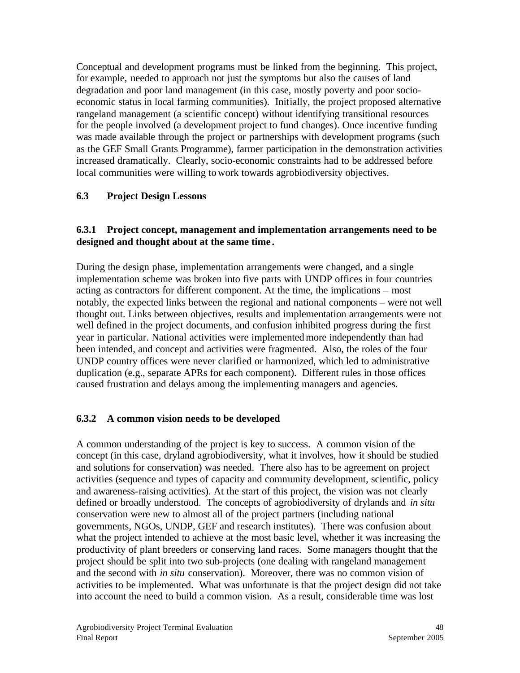Conceptual and development programs must be linked from the beginning. This project, for example, needed to approach not just the symptoms but also the causes of land degradation and poor land management (in this case, mostly poverty and poor socioeconomic status in local farming communities). Initially, the project proposed alternative rangeland management (a scientific concept) without identifying transitional resources for the people involved (a development project to fund changes). Once incentive funding was made available through the project or partnerships with development programs (such as the GEF Small Grants Programme), farmer participation in the demonstration activities increased dramatically. Clearly, socio-economic constraints had to be addressed before local communities were willing to work towards agrobiodiversity objectives.

## **6.3 Project Design Lessons**

#### **6.3.1 Project concept, management and implementation arrangements need to be designed and thought about at the same time .**

During the design phase, implementation arrangements were changed, and a single implementation scheme was broken into five parts with UNDP offices in four countries acting as contractors for different component. At the time, the implications – most notably, the expected links between the regional and national components – were not well thought out. Links between objectives, results and implementation arrangements were not well defined in the project documents, and confusion inhibited progress during the first year in particular. National activities were implemented more independently than had been intended, and concept and activities were fragmented. Also, the roles of the four UNDP country offices were never clarified or harmonized, which led to administrative duplication (e.g., separate APRs for each component). Different rules in those offices caused frustration and delays among the implementing managers and agencies.

#### **6.3.2 A common vision needs to be developed**

A common understanding of the project is key to success. A common vision of the concept (in this case, dryland agrobiodiversity, what it involves, how it should be studied and solutions for conservation) was needed. There also has to be agreement on project activities (sequence and types of capacity and community development, scientific, policy and awareness-raising activities). At the start of this project, the vision was not clearly defined or broadly understood. The concepts of agrobiodiversity of drylands and *in situ* conservation were new to almost all of the project partners (including national governments, NGOs, UNDP, GEF and research institutes). There was confusion about what the project intended to achieve at the most basic level, whether it was increasing the productivity of plant breeders or conserving land races. Some managers thought that the project should be split into two sub-projects (one dealing with rangeland management and the second with *in situ* conservation). Moreover, there was no common vision of activities to be implemented. What was unfortunate is that the project design did not take into account the need to build a common vision. As a result, considerable time was lost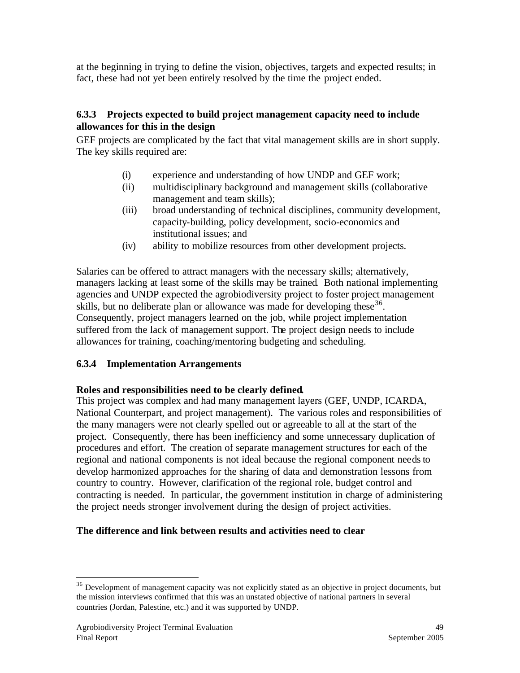at the beginning in trying to define the vision, objectives, targets and expected results; in fact, these had not yet been entirely resolved by the time the project ended.

## **6.3.3 Projects expected to build project management capacity need to include allowances for this in the design**

GEF projects are complicated by the fact that vital management skills are in short supply. The key skills required are:

- (i) experience and understanding of how UNDP and GEF work;
- (ii) multidisciplinary background and management skills (collaborative management and team skills);
- (iii) broad understanding of technical disciplines, community development, capacity-building, policy development, socio-economics and institutional issues; and
- (iv) ability to mobilize resources from other development projects.

Salaries can be offered to attract managers with the necessary skills; alternatively, managers lacking at least some of the skills may be trained. Both national implementing agencies and UNDP expected the agrobiodiversity project to foster project management skills, but no deliberate plan or allowance was made for developing these  $36$ . Consequently, project managers learned on the job, while project implementation suffered from the lack of management support. The project design needs to include allowances for training, coaching/mentoring budgeting and scheduling.

#### **6.3.4 Implementation Arrangements**

#### **Roles and responsibilities need to be clearly defined.**

This project was complex and had many management layers (GEF, UNDP, ICARDA, National Counterpart, and project management). The various roles and responsibilities of the many managers were not clearly spelled out or agreeable to all at the start of the project. Consequently, there has been inefficiency and some unnecessary duplication of procedures and effort. The creation of separate management structures for each of the regional and national components is not ideal because the regional component needs to develop harmonized approaches for the sharing of data and demonstration lessons from country to country. However, clarification of the regional role, budget control and contracting is needed. In particular, the government institution in charge of administering the project needs stronger involvement during the design of project activities.

## **The difference and link between results and activities need to clear**

<sup>&</sup>lt;sup>36</sup> Development of management capacity was not explicitly stated as an objective in project documents, but the mission interviews confirmed that this was an unstated objective of national partners in several countries (Jordan, Palestine, etc.) and it was supported by UNDP.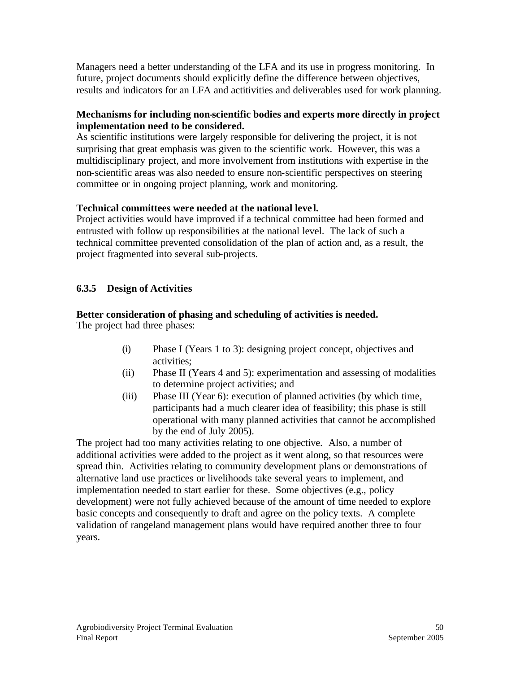Managers need a better understanding of the LFA and its use in progress monitoring. In future, project documents should explicitly define the difference between objectives, results and indicators for an LFA and actitivities and deliverables used for work planning.

## **Mechanisms for including non-scientific bodies and experts more directly in project implementation need to be considered.**

As scientific institutions were largely responsible for delivering the project, it is not surprising that great emphasis was given to the scientific work. However, this was a multidisciplinary project, and more involvement from institutions with expertise in the non-scientific areas was also needed to ensure non-scientific perspectives on steering committee or in ongoing project planning, work and monitoring.

## **Technical committees were needed at the national leve l.**

Project activities would have improved if a technical committee had been formed and entrusted with follow up responsibilities at the national level. The lack of such a technical committee prevented consolidation of the plan of action and, as a result, the project fragmented into several sub-projects.

# **6.3.5 Design of Activities**

## **Better consideration of phasing and scheduling of activities is needed.**

The project had three phases:

- (i) Phase I (Years 1 to 3): designing project concept, objectives and activities;
- (ii) Phase II (Years 4 and 5): experimentation and assessing of modalities to determine project activities; and
- (iii) Phase III (Year 6): execution of planned activities (by which time, participants had a much clearer idea of feasibility; this phase is still operational with many planned activities that cannot be accomplished by the end of July 2005).

The project had too many activities relating to one objective. Also, a number of additional activities were added to the project as it went along, so that resources were spread thin. Activities relating to community development plans or demonstrations of alternative land use practices or livelihoods take several years to implement, and implementation needed to start earlier for these. Some objectives (e.g., policy development) were not fully achieved because of the amount of time needed to explore basic concepts and consequently to draft and agree on the policy texts. A complete validation of rangeland management plans would have required another three to four years.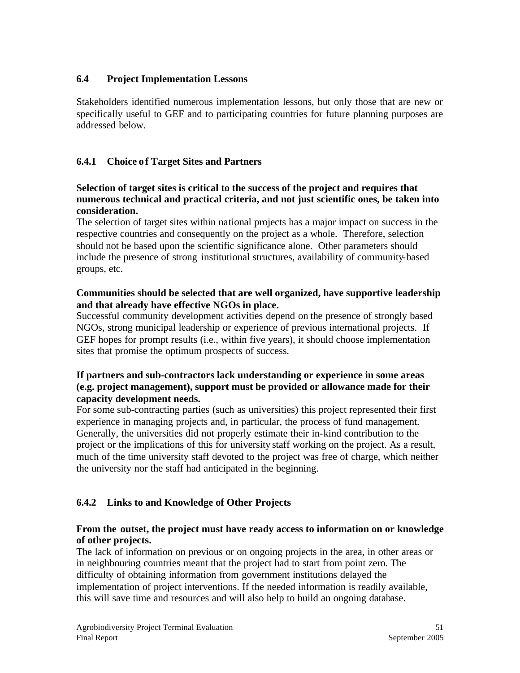## **6.4 Project Implementation Lessons**

Stakeholders identified numerous implementation lessons, but only those that are new or specifically useful to GEF and to participating countries for future planning purposes are addressed below.

## **6.4.1 Choice of Target Sites and Partners**

#### **Selection of target sites is critical to the success of the project and requires that numerous technical and practical criteria, and not just scientific ones, be taken into consideration.**

The selection of target sites within national projects has a major impact on success in the respective countries and consequently on the project as a whole. Therefore, selection should not be based upon the scientific significance alone. Other parameters should include the presence of strong institutional structures, availability of community-based groups, etc.

#### **Communities should be selected that are well organized, have supportive leadership and that already have effective NGOs in place.**

Successful community development activities depend on the presence of strongly based NGOs, strong municipal leadership or experience of previous international projects. If GEF hopes for prompt results (i.e., within five years), it should choose implementation sites that promise the optimum prospects of success.

#### **If partners and sub-contractors lack understanding or experience in some areas (e.g. project management), support must be provided or allowance made for their capacity development needs.**

For some sub-contracting parties (such as universities) this project represented their first experience in managing projects and, in particular, the process of fund management. Generally, the universities did not properly estimate their in-kind contribution to the project or the implications of this for university staff working on the project. As a result, much of the time university staff devoted to the project was free of charge, which neither the university nor the staff had anticipated in the beginning.

## **6.4.2 Links to and Knowledge of Other Projects**

#### **From the outset, the project must have ready access to information on or knowledge of other projects.**

The lack of information on previous or on ongoing projects in the area, in other areas or in neighbouring countries meant that the project had to start from point zero. The difficulty of obtaining information from government institutions delayed the implementation of project interventions. If the needed information is readily available, this will save time and resources and will also help to build an ongoing database.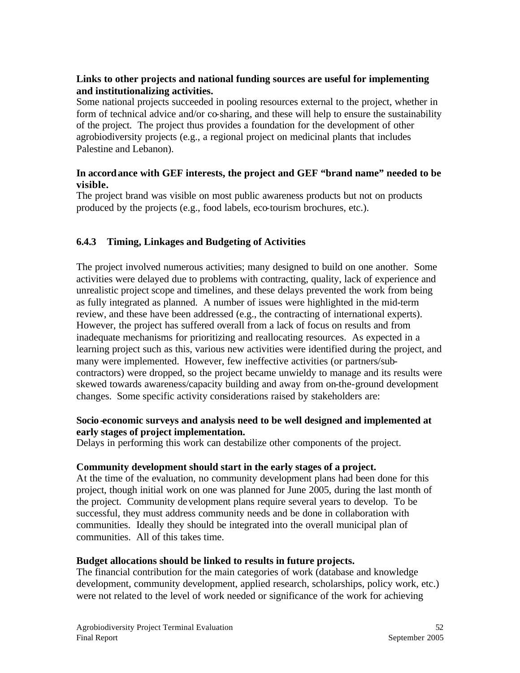## **Links to other projects and national funding sources are useful for implementing and institutionalizing activities.**

Some national projects succeeded in pooling resources external to the project, whether in form of technical advice and/or co-sharing, and these will help to ensure the sustainability of the project. The project thus provides a foundation for the development of other agrobiodiversity projects (e.g., a regional project on medicinal plants that includes Palestine and Lebanon).

## **In accordance with GEF interests, the project and GEF "brand name" needed to be visible.**

The project brand was visible on most public awareness products but not on products produced by the projects (e.g., food labels, eco-tourism brochures, etc.).

## **6.4.3 Timing, Linkages and Budgeting of Activities**

The project involved numerous activities; many designed to build on one another. Some activities were delayed due to problems with contracting, quality, lack of experience and unrealistic project scope and timelines, and these delays prevented the work from being as fully integrated as planned. A number of issues were highlighted in the mid-term review, and these have been addressed (e.g., the contracting of international experts). However, the project has suffered overall from a lack of focus on results and from inadequate mechanisms for prioritizing and reallocating resources. As expected in a learning project such as this, various new activities were identified during the project, and many were implemented. However, few ineffective activities (or partners/subcontractors) were dropped, so the project became unwieldy to manage and its results were skewed towards awareness/capacity building and away from on-the-ground development changes. Some specific activity considerations raised by stakeholders are:

#### **Socio-economic surveys and analysis need to be well designed and implemented at early stages of project implementation.**

Delays in performing this work can destabilize other components of the project.

#### **Community development should start in the early stages of a project.**

At the time of the evaluation, no community development plans had been done for this project, though initial work on one was planned for June 2005, during the last month of the project. Community development plans require several years to develop. To be successful, they must address community needs and be done in collaboration with communities. Ideally they should be integrated into the overall municipal plan of communities. All of this takes time.

#### **Budget allocations should be linked to results in future projects.**

The financial contribution for the main categories of work (database and knowledge development, community development, applied research, scholarships, policy work, etc.) were not related to the level of work needed or significance of the work for achieving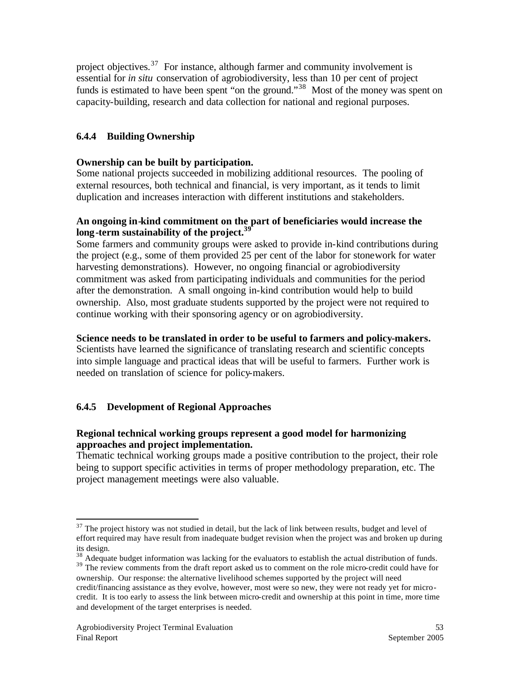project objectives.<sup>37</sup> For instance, although farmer and community involvement is essential for *in situ* conservation of agrobiodiversity, less than 10 per cent of project funds is estimated to have been spent "on the ground."<sup>38</sup> Most of the money was spent on capacity-building, research and data collection for national and regional purposes.

## **6.4.4 Building Ownership**

#### **Ownership can be built by participation.**

Some national projects succeeded in mobilizing additional resources. The pooling of external resources, both technical and financial, is very important, as it tends to limit duplication and increases interaction with different institutions and stakeholders.

#### **An ongoing in-kind commitment on the part of beneficiaries would increase the long-term sustainability of the project.<sup>39</sup>**

Some farmers and community groups were asked to provide in-kind contributions during the project (e.g., some of them provided 25 per cent of the labor for stonework for water harvesting demonstrations). However, no ongoing financial or agrobiodiversity commitment was asked from participating individuals and communities for the period after the demonstration. A small ongoing in-kind contribution would help to build ownership. Also, most graduate students supported by the project were not required to continue working with their sponsoring agency or on agrobiodiversity.

#### **Science needs to be translated in order to be useful to farmers and policy-makers.**

Scientists have learned the significance of translating research and scientific concepts into simple language and practical ideas that will be useful to farmers. Further work is needed on translation of science for policy-makers.

#### **6.4.5 Development of Regional Approaches**

#### **Regional technical working groups represent a good model for harmonizing approaches and project implementation.**

Thematic technical working groups made a positive contribution to the project, their role being to support specific activities in terms of proper methodology preparation, etc. The project management meetings were also valuable.

<sup>&</sup>lt;sup>37</sup> The project history was not studied in detail, but the lack of link between results, budget and level of effort required may have result from inadequate budget revision when the project was and broken up during its design.

<sup>&</sup>lt;sup>38</sup> Adequate budget information was lacking for the evaluators to establish the actual distribution of funds. <sup>39</sup> The review comments from the draft report asked us to comment on the role micro-credit could have for ownership. Our response: the alternative livelihood schemes supported by the project will need credit/financing assistance as they evolve, however, most were so new, they were not ready yet for microcredit. It is too early to assess the link between micro-credit and ownership at this point in time, more time and development of the target enterprises is needed.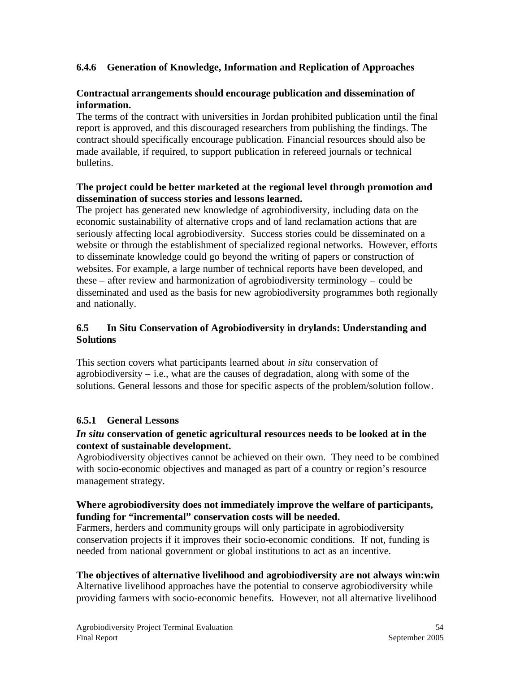## **6.4.6 Generation of Knowledge, Information and Replication of Approaches**

#### **Contractual arrangements should encourage publication and dissemination of information.**

The terms of the contract with universities in Jordan prohibited publication until the final report is approved, and this discouraged researchers from publishing the findings. The contract should specifically encourage publication. Financial resources should also be made available, if required, to support publication in refereed journals or technical bulletins.

#### **The project could be better marketed at the regional level through promotion and dissemination of success stories and lessons learned.**

The project has generated new knowledge of agrobiodiversity, including data on the economic sustainability of alternative crops and of land reclamation actions that are seriously affecting local agrobiodiversity. Success stories could be disseminated on a website or through the establishment of specialized regional networks. However, efforts to disseminate knowledge could go beyond the writing of papers or construction of websites. For example, a large number of technical reports have been developed, and these – after review and harmonization of agrobiodiversity terminology – could be disseminated and used as the basis for new agrobiodiversity programmes both regionally and nationally.

#### **6.5 In Situ Conservation of Agrobiodiversity in drylands: Understanding and Solutions**

This section covers what participants learned about *in situ* conservation of agrobiodiversity – i.e., what are the causes of degradation, along with some of the solutions. General lessons and those for specific aspects of the problem/solution follow.

#### **6.5.1 General Lessons**

#### *In situ* **conservation of genetic agricultural resources needs to be looked at in the context of sustainable development.**

Agrobiodiversity objectives cannot be achieved on their own. They need to be combined with socio-economic objectives and managed as part of a country or region's resource management strategy.

#### **Where agrobiodiversity does not immediately improve the welfare of participants, funding for "incremental" conservation costs will be needed.**

Farmers, herders and community groups will only participate in agrobiodiversity conservation projects if it improves their socio-economic conditions. If not, funding is needed from national government or global institutions to act as an incentive.

#### **The objectives of alternative livelihood and agrobiodiversity are not always win:win**

Alternative livelihood approaches have the potential to conserve agrobiodiversity while providing farmers with socio-economic benefits. However, not all alternative livelihood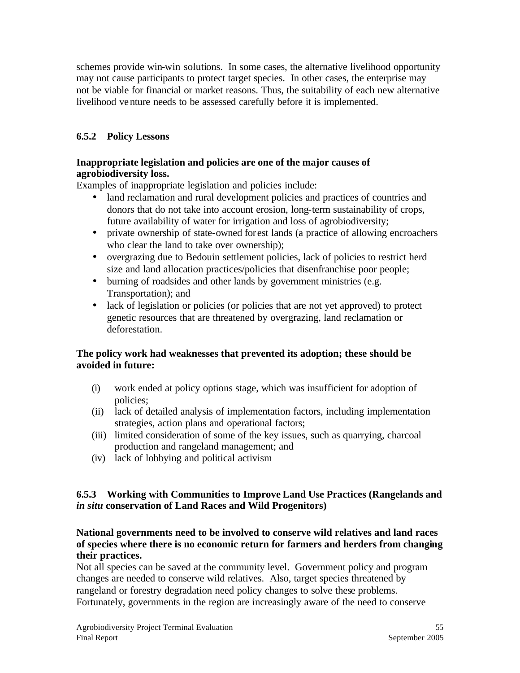schemes provide win-win solutions. In some cases, the alternative livelihood opportunity may not cause participants to protect target species. In other cases, the enterprise may not be viable for financial or market reasons. Thus, the suitability of each new alternative livelihood venture needs to be assessed carefully before it is implemented.

## **6.5.2 Policy Lessons**

#### **Inappropriate legislation and policies are one of the major causes of agrobiodiversity loss.**

Examples of inappropriate legislation and policies include:

- land reclamation and rural development policies and practices of countries and donors that do not take into account erosion, long-term sustainability of crops, future availability of water for irrigation and loss of agrobiodiversity;
- private ownership of state-owned forest lands (a practice of allowing encroachers who clear the land to take over ownership);
- overgrazing due to Bedouin settlement policies, lack of policies to restrict herd size and land allocation practices/policies that disenfranchise poor people;
- burning of roadsides and other lands by government ministries (e.g. Transportation); and
- lack of legislation or policies (or policies that are not yet approved) to protect genetic resources that are threatened by overgrazing, land reclamation or deforestation.

## **The policy work had weaknesses that prevented its adoption; these should be avoided in future:**

- (i) work ended at policy options stage, which was insufficient for adoption of policies;
- (ii) lack of detailed analysis of implementation factors, including implementation strategies, action plans and operational factors;
- (iii) limited consideration of some of the key issues, such as quarrying, charcoal production and rangeland management; and
- (iv) lack of lobbying and political activism

#### **6.5.3 Working with Communities to Improve Land Use Practices (Rangelands and**  *in situ* **conservation of Land Races and Wild Progenitors)**

#### **National governments need to be involved to conserve wild relatives and land races of species where there is no economic return for farmers and herders from changing their practices.**

Not all species can be saved at the community level. Government policy and program changes are needed to conserve wild relatives. Also, target species threatened by rangeland or forestry degradation need policy changes to solve these problems. Fortunately, governments in the region are increasingly aware of the need to conserve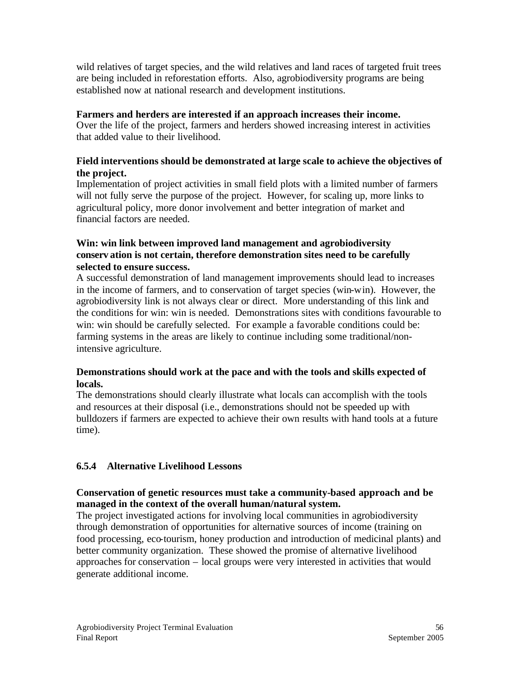wild relatives of target species, and the wild relatives and land races of targeted fruit trees are being included in reforestation efforts. Also, agrobiodiversity programs are being established now at national research and development institutions.

#### **Farmers and herders are interested if an approach increases their income.**

Over the life of the project, farmers and herders showed increasing interest in activities that added value to their livelihood.

## **Field interventions should be demonstrated at large scale to achieve the objectives of the project.**

Implementation of project activities in small field plots with a limited number of farmers will not fully serve the purpose of the project. However, for scaling up, more links to agricultural policy, more donor involvement and better integration of market and financial factors are needed.

#### **Win: win link between improved land management and agrobiodiversity conserv ation is not certain, therefore demonstration sites need to be carefully selected to ensure success.**

A successful demonstration of land management improvements should lead to increases in the income of farmers, and to conservation of target species (win-win). However, the agrobiodiversity link is not always clear or direct. More understanding of this link and the conditions for win: win is needed. Demonstrations sites with conditions favourable to win: win should be carefully selected. For example a favorable conditions could be: farming systems in the areas are likely to continue including some traditional/nonintensive agriculture.

## **Demonstrations should work at the pace and with the tools and skills expected of locals.**

The demonstrations should clearly illustrate what locals can accomplish with the tools and resources at their disposal (i.e., demonstrations should not be speeded up with bulldozers if farmers are expected to achieve their own results with hand tools at a future time).

## **6.5.4 Alternative Livelihood Lessons**

## **Conservation of genetic resources must take a community-based approach and be managed in the context of the overall human/natural system.**

The project investigated actions for involving local communities in agrobiodiversity through demonstration of opportunities for alternative sources of income (training on food processing, eco-tourism, honey production and introduction of medicinal plants) and better community organization. These showed the promise of alternative livelihood approaches for conservation – local groups were very interested in activities that would generate additional income.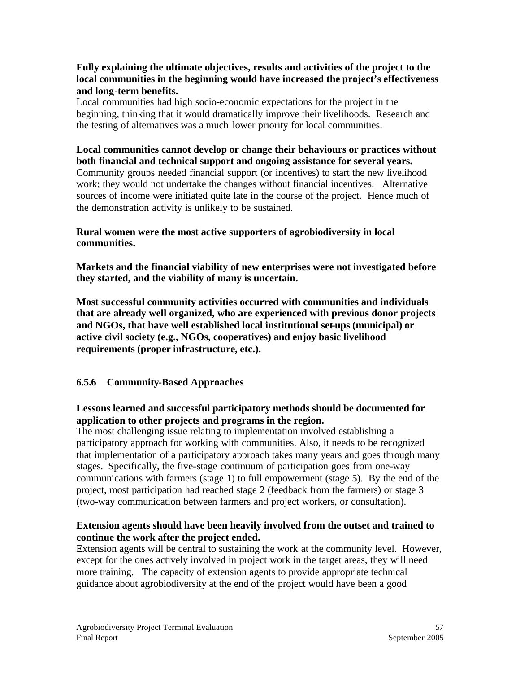#### **Fully explaining the ultimate objectives, results and activities of the project to the local communities in the beginning would have increased the project's effectiveness and long-term benefits.**

Local communities had high socio-economic expectations for the project in the beginning, thinking that it would dramatically improve their livelihoods. Research and the testing of alternatives was a much lower priority for local communities.

#### **Local communities cannot develop or change their behaviours or practices without both financial and technical support and ongoing assistance for several years.**  Community groups needed financial support (or incentives) to start the new livelihood work; they would not undertake the changes without financial incentives. Alternative sources of income were initiated quite late in the course of the project. Hence much of the demonstration activity is unlikely to be sustained.

#### **Rural women were the most active supporters of agrobiodiversity in local communities.**

**Markets and the financial viability of new enterprises were not investigated before they started, and the viability of many is uncertain.** 

**Most successful community activities occurred with communities and individuals that are already well organized, who are experienced with previous donor projects and NGOs, that have well established local institutional set-ups (municipal) or active civil society (e.g., NGOs, cooperatives) and enjoy basic livelihood requirements (proper infrastructure, etc.).**

## **6.5.6 Community-Based Approaches**

## **Lessons learned and successful participatory methods should be documented for application to other projects and programs in the region.**

The most challenging issue relating to implementation involved establishing a participatory approach for working with communities. Also, it needs to be recognized that implementation of a participatory approach takes many years and goes through many stages. Specifically, the five-stage continuum of participation goes from one-way communications with farmers (stage 1) to full empowerment (stage 5). By the end of the project, most participation had reached stage 2 (feedback from the farmers) or stage 3 (two-way communication between farmers and project workers, or consultation).

## **Extension agents should have been heavily involved from the outset and trained to continue the work after the project ended.**

Extension agents will be central to sustaining the work at the community level. However, except for the ones actively involved in project work in the target areas, they will need more training. The capacity of extension agents to provide appropriate technical guidance about agrobiodiversity at the end of the project would have been a good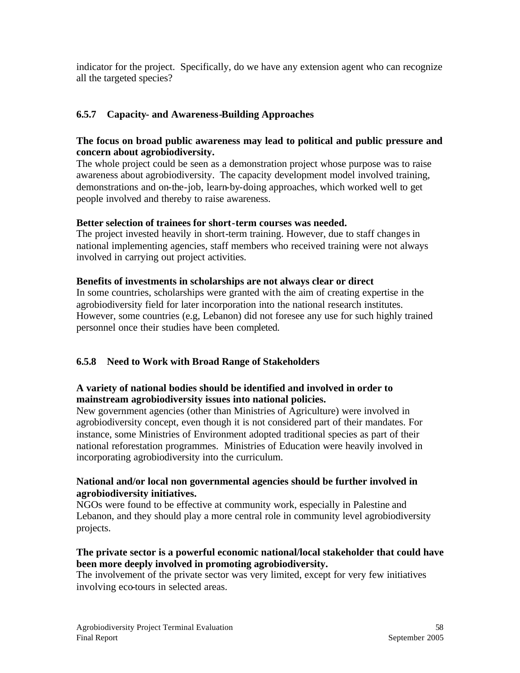indicator for the project. Specifically, do we have any extension agent who can recognize all the targeted species?

## **6.5.7 Capacity- and Awareness-Building Approaches**

#### **The focus on broad public awareness may lead to political and public pressure and concern about agrobiodiversity.**

The whole project could be seen as a demonstration project whose purpose was to raise awareness about agrobiodiversity. The capacity development model involved training, demonstrations and on-the-job, learn-by-doing approaches, which worked well to get people involved and thereby to raise awareness.

#### **Better selection of trainees for short-term courses was needed.**

The project invested heavily in short-term training. However, due to staff changes in national implementing agencies, staff members who received training were not always involved in carrying out project activities.

#### **Benefits of investments in scholarships are not always clear or direct**

In some countries, scholarships were granted with the aim of creating expertise in the agrobiodiversity field for later incorporation into the national research institutes. However, some countries (e.g, Lebanon) did not foresee any use for such highly trained personnel once their studies have been completed.

#### **6.5.8 Need to Work with Broad Range of Stakeholders**

#### **A variety of national bodies should be identified and involved in order to mainstream agrobiodiversity issues into national policies.**

New government agencies (other than Ministries of Agriculture) were involved in agrobiodiversity concept, even though it is not considered part of their mandates. For instance, some Ministries of Environment adopted traditional species as part of their national reforestation programmes. Ministries of Education were heavily involved in incorporating agrobiodiversity into the curriculum.

#### **National and/or local non governmental agencies should be further involved in agrobiodiversity initiatives.**

NGOs were found to be effective at community work, especially in Palestine and Lebanon, and they should play a more central role in community level agrobiodiversity projects.

#### **The private sector is a powerful economic national/local stakeholder that could have been more deeply involved in promoting agrobiodiversity.**

The involvement of the private sector was very limited, except for very few initiatives involving eco-tours in selected areas.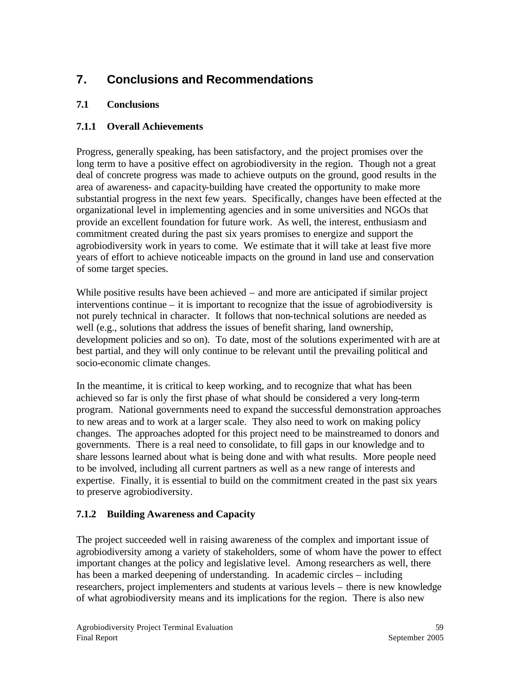# **7. Conclusions and Recommendations**

## **7.1 Conclusions**

## **7.1.1 Overall Achievements**

Progress, generally speaking, has been satisfactory, and the project promises over the long term to have a positive effect on agrobiodiversity in the region. Though not a great deal of concrete progress was made to achieve outputs on the ground, good results in the area of awareness- and capacity-building have created the opportunity to make more substantial progress in the next few years. Specifically, changes have been effected at the organizational level in implementing agencies and in some universities and NGOs that provide an excellent foundation for future work. As well, the interest, enthusiasm and commitment created during the past six years promises to energize and support the agrobiodiversity work in years to come. We estimate that it will take at least five more years of effort to achieve noticeable impacts on the ground in land use and conservation of some target species.

While positive results have been achieved – and more are anticipated if similar project interventions continue – it is important to recognize that the issue of agrobiodiversity is not purely technical in character. It follows that non-technical solutions are needed as well (e.g., solutions that address the issues of benefit sharing, land ownership, development policies and so on). To date, most of the solutions experimented with are at best partial, and they will only continue to be relevant until the prevailing political and socio-economic climate changes.

In the meantime, it is critical to keep working, and to recognize that what has been achieved so far is only the first phase of what should be considered a very long-term program. National governments need to expand the successful demonstration approaches to new areas and to work at a larger scale. They also need to work on making policy changes. The approaches adopted for this project need to be mainstreamed to donors and governments. There is a real need to consolidate, to fill gaps in our knowledge and to share lessons learned about what is being done and with what results. More people need to be involved, including all current partners as well as a new range of interests and expertise. Finally, it is essential to build on the commitment created in the past six years to preserve agrobiodiversity.

# **7.1.2 Building Awareness and Capacity**

The project succeeded well in raising awareness of the complex and important issue of agrobiodiversity among a variety of stakeholders, some of whom have the power to effect important changes at the policy and legislative level. Among researchers as well, there has been a marked deepening of understanding. In academic circles – including researchers, project implementers and students at various levels – there is new knowledge of what agrobiodiversity means and its implications for the region. There is also new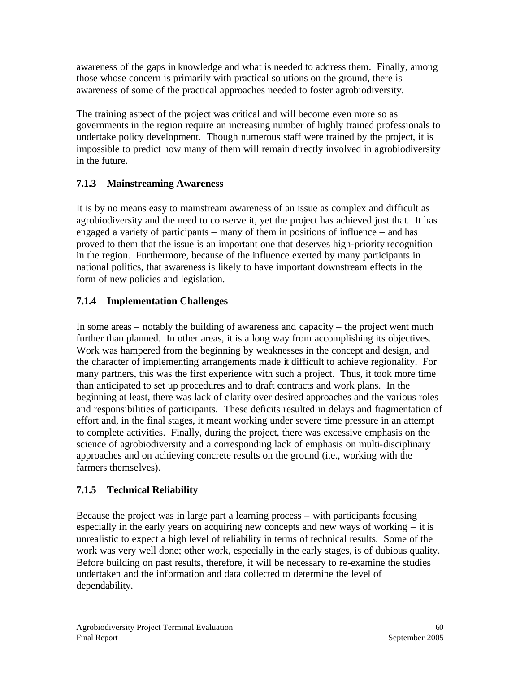awareness of the gaps in knowledge and what is needed to address them. Finally, among those whose concern is primarily with practical solutions on the ground, there is awareness of some of the practical approaches needed to foster agrobiodiversity.

The training aspect of the project was critical and will become even more so as governments in the region require an increasing number of highly trained professionals to undertake policy development. Though numerous staff were trained by the project, it is impossible to predict how many of them will remain directly involved in agrobiodiversity in the future.

# **7.1.3 Mainstreaming Awareness**

It is by no means easy to mainstream awareness of an issue as complex and difficult as agrobiodiversity and the need to conserve it, yet the project has achieved just that. It has engaged a variety of participants – many of them in positions of influence – and has proved to them that the issue is an important one that deserves high-priority recognition in the region. Furthermore, because of the influence exerted by many participants in national politics, that awareness is likely to have important downstream effects in the form of new policies and legislation.

# **7.1.4 Implementation Challenges**

In some areas – notably the building of awareness and capacity – the project went much further than planned. In other areas, it is a long way from accomplishing its objectives. Work was hampered from the beginning by weaknesses in the concept and design, and the character of implementing arrangements made it difficult to achieve regionality. For many partners, this was the first experience with such a project. Thus, it took more time than anticipated to set up procedures and to draft contracts and work plans. In the beginning at least, there was lack of clarity over desired approaches and the various roles and responsibilities of participants. These deficits resulted in delays and fragmentation of effort and, in the final stages, it meant working under severe time pressure in an attempt to complete activities. Finally, during the project, there was excessive emphasis on the science of agrobiodiversity and a corresponding lack of emphasis on multi-disciplinary approaches and on achieving concrete results on the ground (i.e., working with the farmers themselves).

# **7.1.5 Technical Reliability**

Because the project was in large part a learning process – with participants focusing especially in the early years on acquiring new concepts and new ways of working – it is unrealistic to expect a high level of reliability in terms of technical results. Some of the work was very well done; other work, especially in the early stages, is of dubious quality. Before building on past results, therefore, it will be necessary to re-examine the studies undertaken and the information and data collected to determine the level of dependability.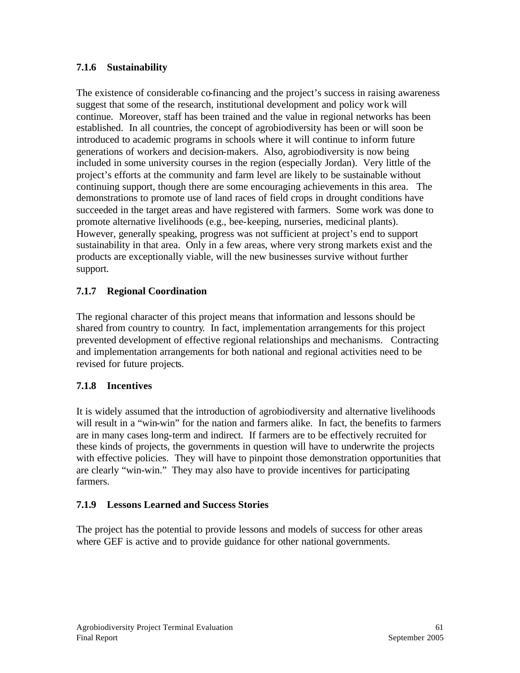## **7.1.6 Sustainability**

The existence of considerable co-financing and the project's success in raising awareness suggest that some of the research, institutional development and policy work will continue. Moreover, staff has been trained and the value in regional networks has been established. In all countries, the concept of agrobiodiversity has been or will soon be introduced to academic programs in schools where it will continue to inform future generations of workers and decision-makers. Also, agrobiodiversity is now being included in some university courses in the region (especially Jordan). Very little of the project's efforts at the community and farm level are likely to be sustainable without continuing support, though there are some encouraging achievements in this area. The demonstrations to promote use of land races of field crops in drought conditions have succeeded in the target areas and have registered with farmers. Some work was done to promote alternative livelihoods (e.g., bee-keeping, nurseries, medicinal plants). However, generally speaking, progress was not sufficient at project's end to support sustainability in that area. Only in a few areas, where very strong markets exist and the products are exceptionally viable, will the new businesses survive without further support.

## **7.1.7 Regional Coordination**

The regional character of this project means that information and lessons should be shared from country to country. In fact, implementation arrangements for this project prevented development of effective regional relationships and mechanisms. Contracting and implementation arrangements for both national and regional activities need to be revised for future projects.

#### **7.1.8 Incentives**

It is widely assumed that the introduction of agrobiodiversity and alternative livelihoods will result in a "win-win" for the nation and farmers alike. In fact, the benefits to farmers are in many cases long-term and indirect. If farmers are to be effectively recruited for these kinds of projects, the governments in question will have to underwrite the projects with effective policies. They will have to pinpoint those demonstration opportunities that are clearly "win-win." They may also have to provide incentives for participating farmers.

#### **7.1.9 Lessons Learned and Success Stories**

The project has the potential to provide lessons and models of success for other areas where GEF is active and to provide guidance for other national governments.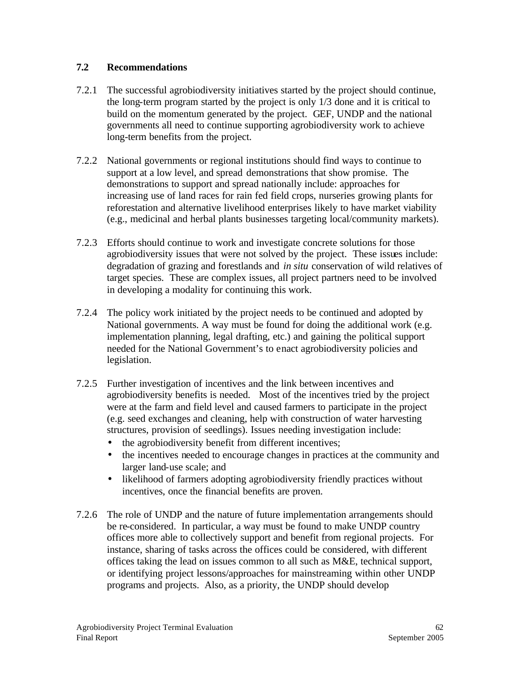#### **7.2 Recommendations**

- 7.2.1 The successful agrobiodiversity initiatives started by the project should continue, the long-term program started by the project is only 1/3 done and it is critical to build on the momentum generated by the project. GEF, UNDP and the national governments all need to continue supporting agrobiodiversity work to achieve long-term benefits from the project.
- 7.2.2 National governments or regional institutions should find ways to continue to support at a low level, and spread demonstrations that show promise. The demonstrations to support and spread nationally include: approaches for increasing use of land races for rain fed field crops, nurseries growing plants for reforestation and alternative livelihood enterprises likely to have market viability (e.g., medicinal and herbal plants businesses targeting local/community markets).
- 7.2.3 Efforts should continue to work and investigate concrete solutions for those agrobiodiversity issues that were not solved by the project. These issues include: degradation of grazing and forestlands and *in situ* conservation of wild relatives of target species. These are complex issues, all project partners need to be involved in developing a modality for continuing this work.
- 7.2.4 The policy work initiated by the project needs to be continued and adopted by National governments. A way must be found for doing the additional work (e.g. implementation planning, legal drafting, etc.) and gaining the political support needed for the National Government's to enact agrobiodiversity policies and legislation.
- 7.2.5 Further investigation of incentives and the link between incentives and agrobiodiversity benefits is needed. Most of the incentives tried by the project were at the farm and field level and caused farmers to participate in the project (e.g. seed exchanges and cleaning, help with construction of water harvesting structures, provision of seedlings). Issues needing investigation include:
	- the agrobiodiversity benefit from different incentives;
	- the incentives needed to encourage changes in practices at the community and larger land-use scale; and
	- likelihood of farmers adopting agrobiodiversity friendly practices without incentives, once the financial benefits are proven.
- 7.2.6 The role of UNDP and the nature of future implementation arrangements should be re-considered. In particular, a way must be found to make UNDP country offices more able to collectively support and benefit from regional projects. For instance, sharing of tasks across the offices could be considered, with different offices taking the lead on issues common to all such as M&E, technical support, or identifying project lessons/approaches for mainstreaming within other UNDP programs and projects. Also, as a priority, the UNDP should develop